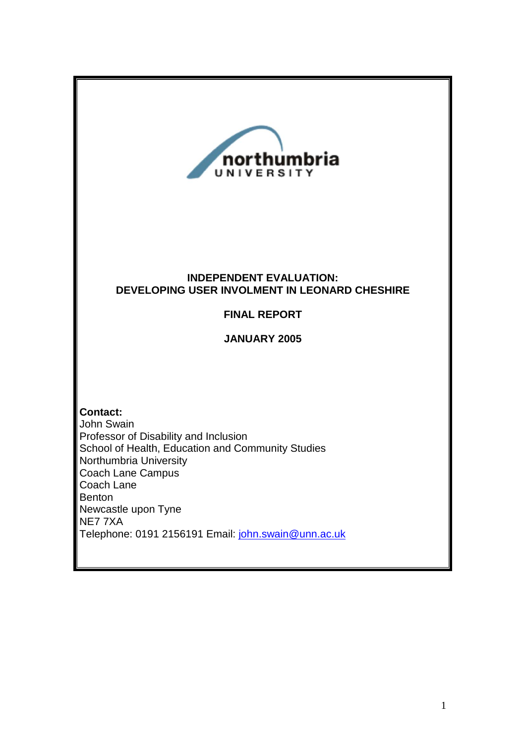| northumbria<br>UNIVERSITY                                                                                                                                                                                                                                                                                |
|----------------------------------------------------------------------------------------------------------------------------------------------------------------------------------------------------------------------------------------------------------------------------------------------------------|
| <b>INDEPENDENT EVALUATION:</b><br>DEVELOPING USER INVOLMENT IN LEONARD CHESHIRE                                                                                                                                                                                                                          |
| <b>FINAL REPORT</b>                                                                                                                                                                                                                                                                                      |
| <b>JANUARY 2005</b>                                                                                                                                                                                                                                                                                      |
| <b>Contact:</b><br>John Swain<br>Professor of Disability and Inclusion<br>School of Health, Education and Community Studies<br>Northumbria University<br><b>Coach Lane Campus</b><br>Coach Lane<br><b>Benton</b><br>Newcastle upon Tyne<br>NE77XA<br>Telephone: 0191 2156191 Email: john.swain@unn.ac.uk |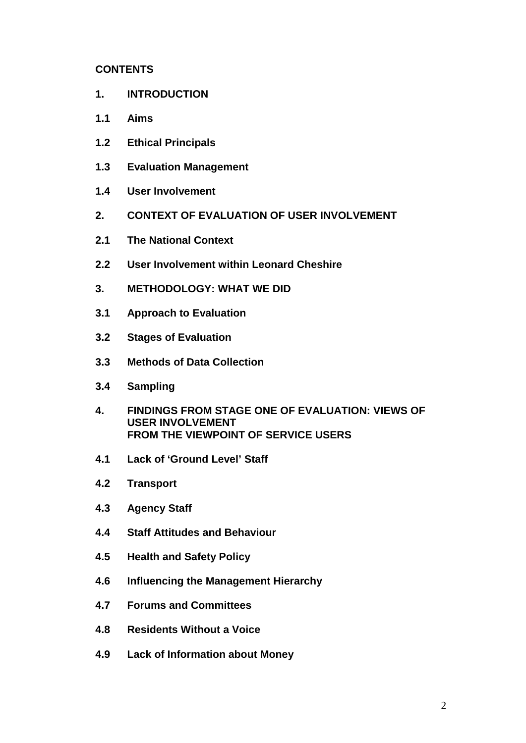## **CONTENTS**

- **1. INTRODUCTION**
- **1.1 Aims**
- **1.2 Ethical Principals**
- **1.3 Evaluation Management**
- **1.4 User Involvement**
- **2. CONTEXT OF EVALUATION OF USER INVOLVEMENT**
- **2.1 The National Context**
- **2.2 User Involvement within Leonard Cheshire**
- **3. METHODOLOGY: WHAT WE DID**
- **3.1 Approach to Evaluation**
- **3.2 Stages of Evaluation**
- **3.3 Methods of Data Collection**
- **3.4 Sampling**
- **4. FINDINGS FROM STAGE ONE OF EVALUATION: VIEWS OF USER INVOLVEMENT FROM THE VIEWPOINT OF SERVICE USERS**
- **4.1 Lack of 'Ground Level' Staff**
- **4.2 Transport**
- **4.3 Agency Staff**
- **4.4 Staff Attitudes and Behaviour**
- **4.5 Health and Safety Policy**
- **4.6 Influencing the Management Hierarchy**
- **4.7 Forums and Committees**
- **4.8 Residents Without a Voice**
- **4.9 Lack of Information about Money**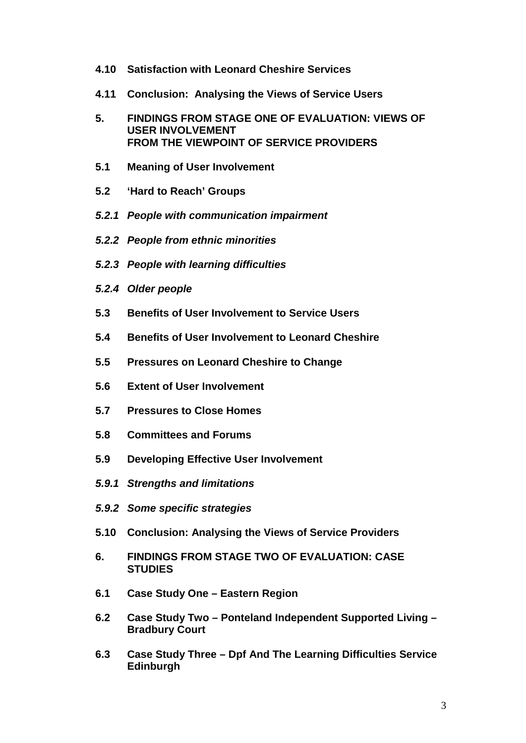- **4.10 Satisfaction with Leonard Cheshire Services**
- **4.11 Conclusion: Analysing the Views of Service Users**
- **5. FINDINGS FROM STAGE ONE OF EVALUATION: VIEWS OF USER INVOLVEMENT FROM THE VIEWPOINT OF SERVICE PROVIDERS**
- **5.1 Meaning of User Involvement**
- **5.2 'Hard to Reach' Groups**
- *5.2.1 People with communication impairment*
- *5.2.2 People from ethnic minorities*
- *5.2.3 People with learning difficulties*
- *5.2.4 Older people*
- **5.3 Benefits of User Involvement to Service Users**
- **5.4 Benefits of User Involvement to Leonard Cheshire**
- **5.5 Pressures on Leonard Cheshire to Change**
- **5.6 Extent of User Involvement**
- **5.7 Pressures to Close Homes**
- **5.8 Committees and Forums**
- **5.9 Developing Effective User Involvement**
- *5.9.1 Strengths and limitations*
- *5.9.2 Some specific strategies*
- **5.10 Conclusion: Analysing the Views of Service Providers**
- **6. FINDINGS FROM STAGE TWO OF EVALUATION: CASE STUDIES**
- **6.1 Case Study One Eastern Region**
- **6.2 Case Study Two Ponteland Independent Supported Living Bradbury Court**
- **6.3 Case Study Three Dpf And The Learning Difficulties Service Edinburgh**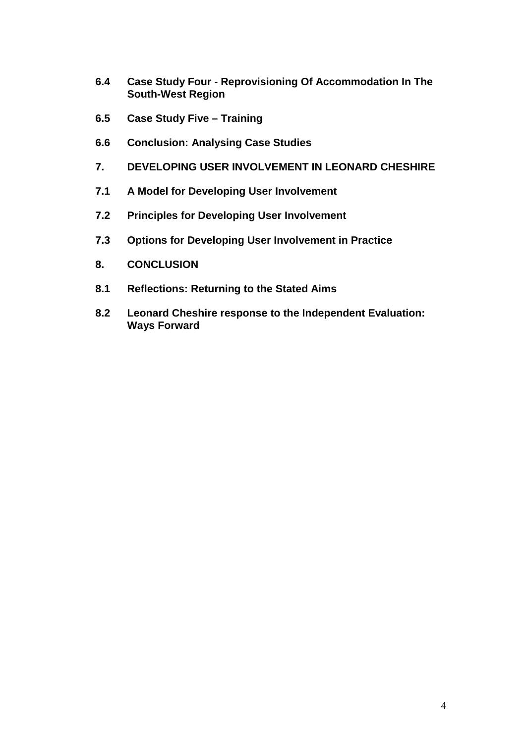- **6.4 Case Study Four Reprovisioning Of Accommodation In The South-West Region**
- **6.5 Case Study Five Training**
- **6.6 Conclusion: Analysing Case Studies**
- **7. DEVELOPING USER INVOLVEMENT IN LEONARD CHESHIRE**
- **7.1 A Model for Developing User Involvement**
- **7.2 Principles for Developing User Involvement**
- **7.3 Options for Developing User Involvement in Practice**
- **8. CONCLUSION**
- **8.1 Reflections: Returning to the Stated Aims**
- **8.2 Leonard Cheshire response to the Independent Evaluation: Ways Forward**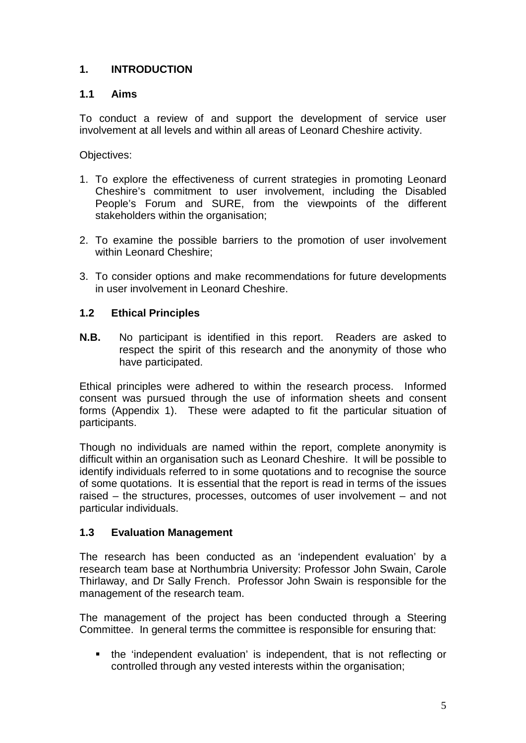# **1. INTRODUCTION**

# **1.1 Aims**

To conduct a review of and support the development of service user involvement at all levels and within all areas of Leonard Cheshire activity.

Objectives:

- 1. To explore the effectiveness of current strategies in promoting Leonard Cheshire's commitment to user involvement, including the Disabled People's Forum and SURE, from the viewpoints of the different stakeholders within the organisation;
- 2. To examine the possible barriers to the promotion of user involvement within Leonard Cheshire;
- 3. To consider options and make recommendations for future developments in user involvement in Leonard Cheshire.

# **1.2 Ethical Principles**

**N.B.** No participant is identified in this report. Readers are asked to respect the spirit of this research and the anonymity of those who have participated.

Ethical principles were adhered to within the research process. Informed consent was pursued through the use of information sheets and consent forms (Appendix 1). These were adapted to fit the particular situation of participants.

Though no individuals are named within the report, complete anonymity is difficult within an organisation such as Leonard Cheshire. It will be possible to identify individuals referred to in some quotations and to recognise the source of some quotations. It is essential that the report is read in terms of the issues raised – the structures, processes, outcomes of user involvement – and not particular individuals.

# **1.3 Evaluation Management**

The research has been conducted as an 'independent evaluation' by a research team base at Northumbria University: Professor John Swain, Carole Thirlaway, and Dr Sally French. Professor John Swain is responsible for the management of the research team.

The management of the project has been conducted through a Steering Committee. In general terms the committee is responsible for ensuring that:

 the 'independent evaluation' is independent, that is not reflecting or controlled through any vested interests within the organisation;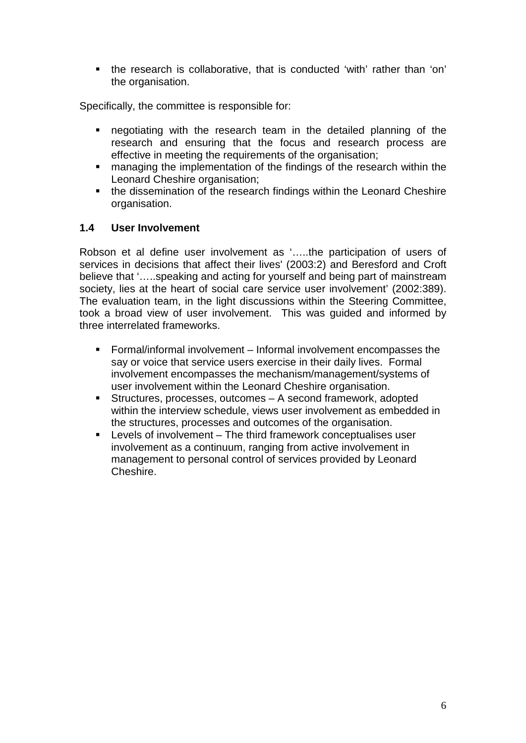the research is collaborative, that is conducted 'with' rather than 'on' the organisation.

Specifically, the committee is responsible for:

- negotiating with the research team in the detailed planning of the research and ensuring that the focus and research process are effective in meeting the requirements of the organisation;
- **EXECT** managing the implementation of the findings of the research within the Leonard Cheshire organisation:
- the dissemination of the research findings within the Leonard Cheshire organisation.

# **1.4 User Involvement**

Robson et al define user involvement as '…..the participation of users of services in decisions that affect their lives' (2003:2) and Beresford and Croft believe that '…..speaking and acting for yourself and being part of mainstream society, lies at the heart of social care service user involvement' (2002:389). The evaluation team, in the light discussions within the Steering Committee, took a broad view of user involvement. This was guided and informed by three interrelated frameworks.

- Formal/informal involvement Informal involvement encompasses the say or voice that service users exercise in their daily lives. Formal involvement encompasses the mechanism/management/systems of user involvement within the Leonard Cheshire organisation.
- Structures, processes, outcomes A second framework, adopted within the interview schedule, views user involvement as embedded in the structures, processes and outcomes of the organisation.
- Levels of involvement The third framework conceptualises user involvement as a continuum, ranging from active involvement in management to personal control of services provided by Leonard Cheshire.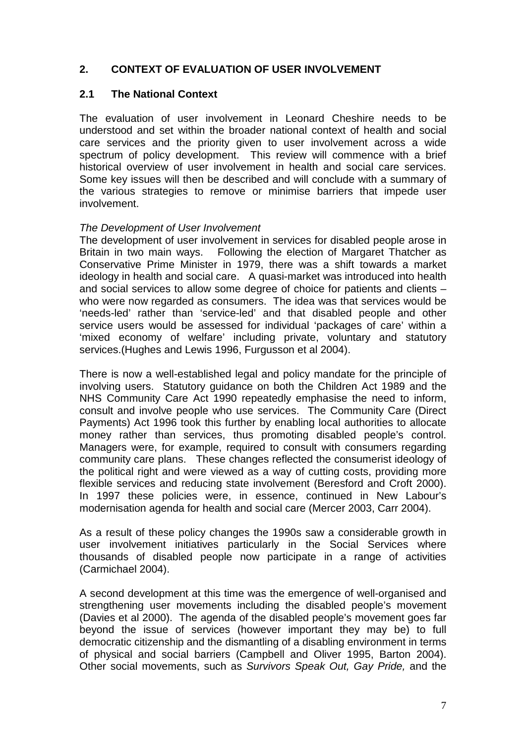# **2. CONTEXT OF EVALUATION OF USER INVOLVEMENT**

#### **2.1 The National Context**

The evaluation of user involvement in Leonard Cheshire needs to be understood and set within the broader national context of health and social care services and the priority given to user involvement across a wide spectrum of policy development. This review will commence with a brief historical overview of user involvement in health and social care services. Some key issues will then be described and will conclude with a summary of the various strategies to remove or minimise barriers that impede user involvement.

#### *The Development of User Involvement*

The development of user involvement in services for disabled people arose in Britain in two main ways. Following the election of Margaret Thatcher as Conservative Prime Minister in 1979, there was a shift towards a market ideology in health and social care. A quasi-market was introduced into health and social services to allow some degree of choice for patients and clients – who were now regarded as consumers. The idea was that services would be 'needs-led' rather than 'service-led' and that disabled people and other service users would be assessed for individual 'packages of care' within a 'mixed economy of welfare' including private, voluntary and statutory services.(Hughes and Lewis 1996, Furgusson et al 2004).

There is now a well-established legal and policy mandate for the principle of involving users. Statutory guidance on both the Children Act 1989 and the NHS Community Care Act 1990 repeatedly emphasise the need to inform, consult and involve people who use services. The Community Care (Direct Payments) Act 1996 took this further by enabling local authorities to allocate money rather than services, thus promoting disabled people's control. Managers were, for example, required to consult with consumers regarding community care plans. These changes reflected the consumerist ideology of the political right and were viewed as a way of cutting costs, providing more flexible services and reducing state involvement (Beresford and Croft 2000). In 1997 these policies were, in essence, continued in New Labour's modernisation agenda for health and social care (Mercer 2003, Carr 2004).

As a result of these policy changes the 1990s saw a considerable growth in user involvement initiatives particularly in the Social Services where thousands of disabled people now participate in a range of activities (Carmichael 2004).

A second development at this time was the emergence of well-organised and strengthening user movements including the disabled people's movement (Davies et al 2000). The agenda of the disabled people's movement goes far beyond the issue of services (however important they may be) to full democratic citizenship and the dismantling of a disabling environment in terms of physical and social barriers (Campbell and Oliver 1995, Barton 2004). Other social movements, such as *Survivors Speak Out, Gay Pride,* and the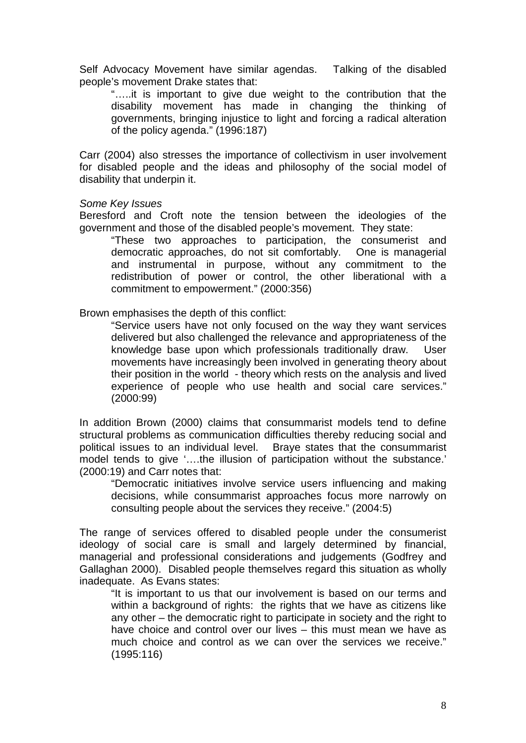Self Advocacy Movement have similar agendas. Talking of the disabled people's movement Drake states that:

"…..it is important to give due weight to the contribution that the disability movement has made in changing the thinking of governments, bringing injustice to light and forcing a radical alteration of the policy agenda." (1996:187)

Carr (2004) also stresses the importance of collectivism in user involvement for disabled people and the ideas and philosophy of the social model of disability that underpin it.

#### *Some Key Issues*

Beresford and Croft note the tension between the ideologies of the government and those of the disabled people's movement. They state:

"These two approaches to participation, the consumerist and democratic approaches, do not sit comfortably. One is managerial and instrumental in purpose, without any commitment to the redistribution of power or control, the other liberational with a commitment to empowerment." (2000:356)

Brown emphasises the depth of this conflict:

"Service users have not only focused on the way they want services delivered but also challenged the relevance and appropriateness of the knowledge base upon which professionals traditionally draw. User movements have increasingly been involved in generating theory about their position in the world - theory which rests on the analysis and lived experience of people who use health and social care services." (2000:99)

In addition Brown (2000) claims that consummarist models tend to define structural problems as communication difficulties thereby reducing social and political issues to an individual level. Braye states that the consummarist model tends to give '….the illusion of participation without the substance.' (2000:19) and Carr notes that:

"Democratic initiatives involve service users influencing and making decisions, while consummarist approaches focus more narrowly on consulting people about the services they receive." (2004:5)

The range of services offered to disabled people under the consumerist ideology of social care is small and largely determined by financial, managerial and professional considerations and judgements (Godfrey and Gallaghan 2000). Disabled people themselves regard this situation as wholly inadequate. As Evans states:

"It is important to us that our involvement is based on our terms and within a background of rights: the rights that we have as citizens like any other – the democratic right to participate in society and the right to have choice and control over our lives – this must mean we have as much choice and control as we can over the services we receive." (1995:116)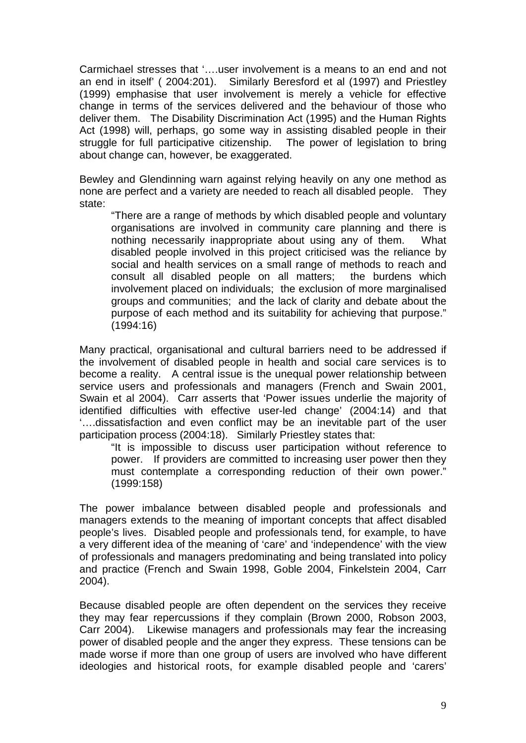Carmichael stresses that '….user involvement is a means to an end and not an end in itself' ( 2004:201). Similarly Beresford et al (1997) and Priestley (1999) emphasise that user involvement is merely a vehicle for effective change in terms of the services delivered and the behaviour of those who deliver them. The Disability Discrimination Act (1995) and the Human Rights Act (1998) will, perhaps, go some way in assisting disabled people in their struggle for full participative citizenship. The power of legislation to bring about change can, however, be exaggerated.

Bewley and Glendinning warn against relying heavily on any one method as none are perfect and a variety are needed to reach all disabled people. They state:

"There are a range of methods by which disabled people and voluntary organisations are involved in community care planning and there is nothing necessarily inappropriate about using any of them. What disabled people involved in this project criticised was the reliance by social and health services on a small range of methods to reach and consult all disabled people on all matters; the burdens which involvement placed on individuals; the exclusion of more marginalised groups and communities; and the lack of clarity and debate about the purpose of each method and its suitability for achieving that purpose." (1994:16)

Many practical, organisational and cultural barriers need to be addressed if the involvement of disabled people in health and social care services is to become a reality. A central issue is the unequal power relationship between service users and professionals and managers (French and Swain 2001, Swain et al 2004). Carr asserts that 'Power issues underlie the majority of identified difficulties with effective user-led change' (2004:14) and that '….dissatisfaction and even conflict may be an inevitable part of the user participation process (2004:18). Similarly Priestley states that:

"It is impossible to discuss user participation without reference to power. If providers are committed to increasing user power then they must contemplate a corresponding reduction of their own power." (1999:158)

The power imbalance between disabled people and professionals and managers extends to the meaning of important concepts that affect disabled people's lives. Disabled people and professionals tend, for example, to have a very different idea of the meaning of 'care' and 'independence' with the view of professionals and managers predominating and being translated into policy and practice (French and Swain 1998, Goble 2004, Finkelstein 2004, Carr 2004).

Because disabled people are often dependent on the services they receive they may fear repercussions if they complain (Brown 2000, Robson 2003, Carr 2004). Likewise managers and professionals may fear the increasing power of disabled people and the anger they express. These tensions can be made worse if more than one group of users are involved who have different ideologies and historical roots, for example disabled people and 'carers'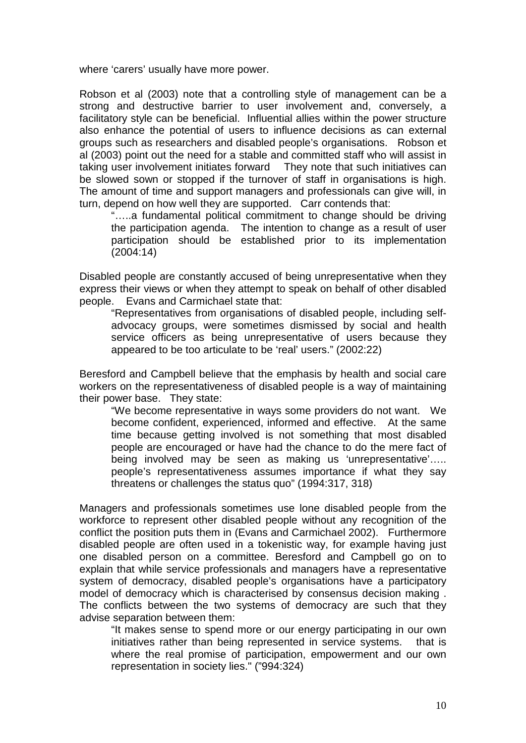where 'carers' usually have more power.

Robson et al (2003) note that a controlling style of management can be a strong and destructive barrier to user involvement and, conversely, a facilitatory style can be beneficial. Influential allies within the power structure also enhance the potential of users to influence decisions as can external groups such as researchers and disabled people's organisations. Robson et al (2003) point out the need for a stable and committed staff who will assist in taking user involvement initiates forward They note that such initiatives can be slowed sown or stopped if the turnover of staff in organisations is high. The amount of time and support managers and professionals can give will, in turn, depend on how well they are supported. Carr contends that:

"…..a fundamental political commitment to change should be driving the participation agenda. The intention to change as a result of user participation should be established prior to its implementation (2004:14)

Disabled people are constantly accused of being unrepresentative when they express their views or when they attempt to speak on behalf of other disabled people. Evans and Carmichael state that:

"Representatives from organisations of disabled people, including selfadvocacy groups, were sometimes dismissed by social and health service officers as being unrepresentative of users because they appeared to be too articulate to be 'real' users." (2002:22)

Beresford and Campbell believe that the emphasis by health and social care workers on the representativeness of disabled people is a way of maintaining their power base. They state:

"We become representative in ways some providers do not want. We become confident, experienced, informed and effective. At the same time because getting involved is not something that most disabled people are encouraged or have had the chance to do the mere fact of being involved may be seen as making us 'unrepresentative'..... people's representativeness assumes importance if what they say threatens or challenges the status quo" (1994:317, 318)

Managers and professionals sometimes use lone disabled people from the workforce to represent other disabled people without any recognition of the conflict the position puts them in (Evans and Carmichael 2002). Furthermore disabled people are often used in a tokenistic way, for example having just one disabled person on a committee. Beresford and Campbell go on to explain that while service professionals and managers have a representative system of democracy, disabled people's organisations have a participatory model of democracy which is characterised by consensus decision making . The conflicts between the two systems of democracy are such that they advise separation between them:

"It makes sense to spend more or our energy participating in our own initiatives rather than being represented in service systems. that is where the real promise of participation, empowerment and our own representation in society lies." ("994:324)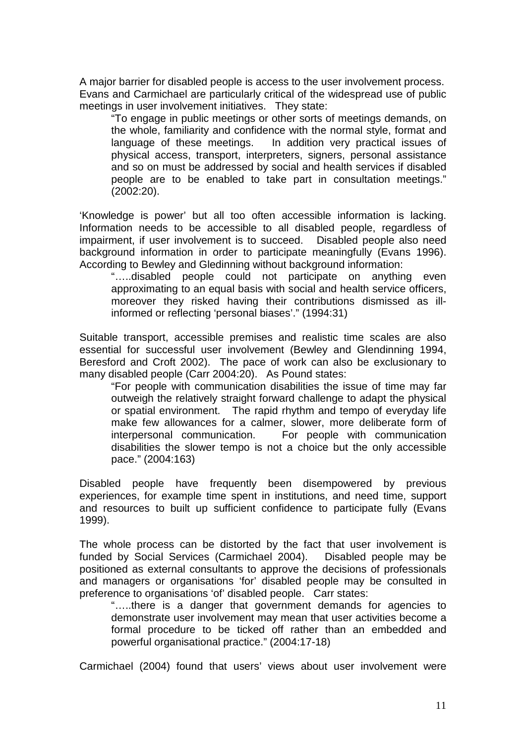A major barrier for disabled people is access to the user involvement process. Evans and Carmichael are particularly critical of the widespread use of public meetings in user involvement initiatives. They state:

"To engage in public meetings or other sorts of meetings demands, on the whole, familiarity and confidence with the normal style, format and language of these meetings. In addition very practical issues of physical access, transport, interpreters, signers, personal assistance and so on must be addressed by social and health services if disabled people are to be enabled to take part in consultation meetings." (2002:20).

'Knowledge is power' but all too often accessible information is lacking. Information needs to be accessible to all disabled people, regardless of impairment, if user involvement is to succeed. Disabled people also need background information in order to participate meaningfully (Evans 1996). According to Bewley and Gledinning without background information:

"…..disabled people could not participate on anything even approximating to an equal basis with social and health service officers, moreover they risked having their contributions dismissed as illinformed or reflecting 'personal biases'." (1994:31)

Suitable transport, accessible premises and realistic time scales are also essential for successful user involvement (Bewley and Glendinning 1994, Beresford and Croft 2002). The pace of work can also be exclusionary to many disabled people (Carr 2004:20). As Pound states:

"For people with communication disabilities the issue of time may far outweigh the relatively straight forward challenge to adapt the physical or spatial environment. The rapid rhythm and tempo of everyday life make few allowances for a calmer, slower, more deliberate form of interpersonal communication. For people with communication disabilities the slower tempo is not a choice but the only accessible pace." (2004:163)

Disabled people have frequently been disempowered by previous experiences, for example time spent in institutions, and need time, support and resources to built up sufficient confidence to participate fully (Evans 1999).

The whole process can be distorted by the fact that user involvement is funded by Social Services (Carmichael 2004). Disabled people may be positioned as external consultants to approve the decisions of professionals and managers or organisations 'for' disabled people may be consulted in preference to organisations 'of' disabled people. Carr states:

"…..there is a danger that government demands for agencies to demonstrate user involvement may mean that user activities become a formal procedure to be ticked off rather than an embedded and powerful organisational practice." (2004:17-18)

Carmichael (2004) found that users' views about user involvement were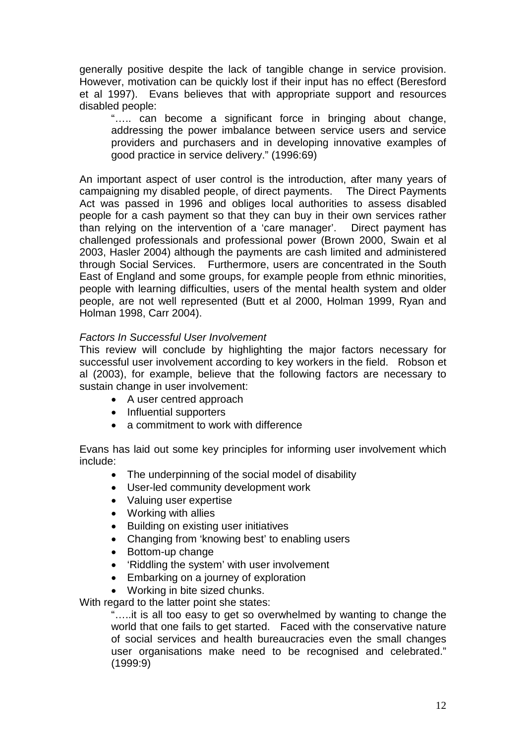generally positive despite the lack of tangible change in service provision. However, motivation can be quickly lost if their input has no effect (Beresford et al 1997). Evans believes that with appropriate support and resources disabled people:

"….. can become a significant force in bringing about change, addressing the power imbalance between service users and service providers and purchasers and in developing innovative examples of good practice in service delivery." (1996:69)

An important aspect of user control is the introduction, after many years of campaigning my disabled people, of direct payments. The Direct Payments Act was passed in 1996 and obliges local authorities to assess disabled people for a cash payment so that they can buy in their own services rather than relying on the intervention of a 'care manager'. Direct payment has challenged professionals and professional power (Brown 2000, Swain et al 2003, Hasler 2004) although the payments are cash limited and administered through Social Services. Furthermore, users are concentrated in the South East of England and some groups, for example people from ethnic minorities, people with learning difficulties, users of the mental health system and older people, are not well represented (Butt et al 2000, Holman 1999, Ryan and Holman 1998, Carr 2004).

## *Factors In Successful User Involvement*

This review will conclude by highlighting the major factors necessary for successful user involvement according to key workers in the field. Robson et al (2003), for example, believe that the following factors are necessary to sustain change in user involvement:

- A user centred approach
- Influential supporters
- a commitment to work with difference

Evans has laid out some key principles for informing user involvement which include:

- The underpinning of the social model of disability
- User-led community development work
- Valuing user expertise
- Working with allies
- Building on existing user initiatives
- Changing from 'knowing best' to enabling users
- Bottom-up change
- 'Riddling the system' with user involvement
- Embarking on a journey of exploration
- Working in bite sized chunks.

With regard to the latter point she states:

"…..it is all too easy to get so overwhelmed by wanting to change the world that one fails to get started. Faced with the conservative nature of social services and health bureaucracies even the small changes user organisations make need to be recognised and celebrated." (1999:9)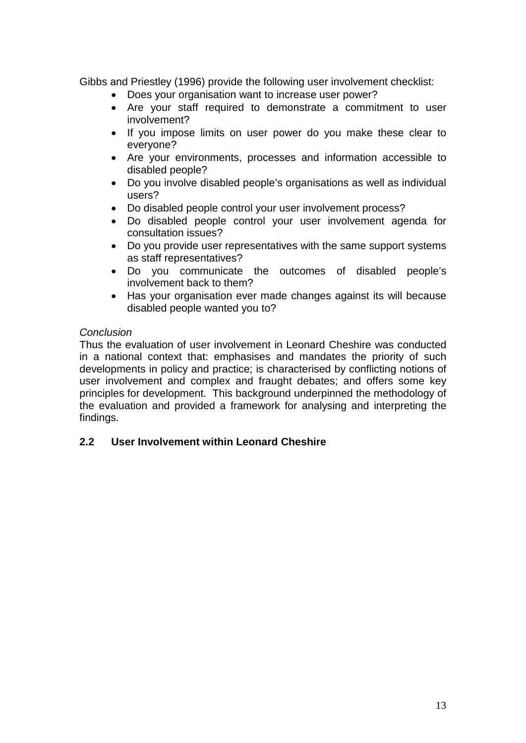Gibbs and Priestley (1996) provide the following user involvement checklist:

- Does your organisation want to increase user power?
- Are your staff required to demonstrate a commitment to user involvement?
- If you impose limits on user power do you make these clear to everyone?
- Are your environments, processes and information accessible to disabled people?
- Do you involve disabled people's organisations as well as individual users?
- Do disabled people control your user involvement process?
- Do disabled people control your user involvement agenda for consultation issues?
- Do you provide user representatives with the same support systems as staff representatives?
- Do you communicate the outcomes of disabled people's involvement back to them?
- Has your organisation ever made changes against its will because disabled people wanted you to?

#### *Conclusion*

Thus the evaluation of user involvement in Leonard Cheshire was conducted in a national context that: emphasises and mandates the priority of such developments in policy and practice; is characterised by conflicting notions of user involvement and complex and fraught debates; and offers some key principles for development. This background underpinned the methodology of the evaluation and provided a framework for analysing and interpreting the findings.

## **2.2 User Involvement within Leonard Cheshire**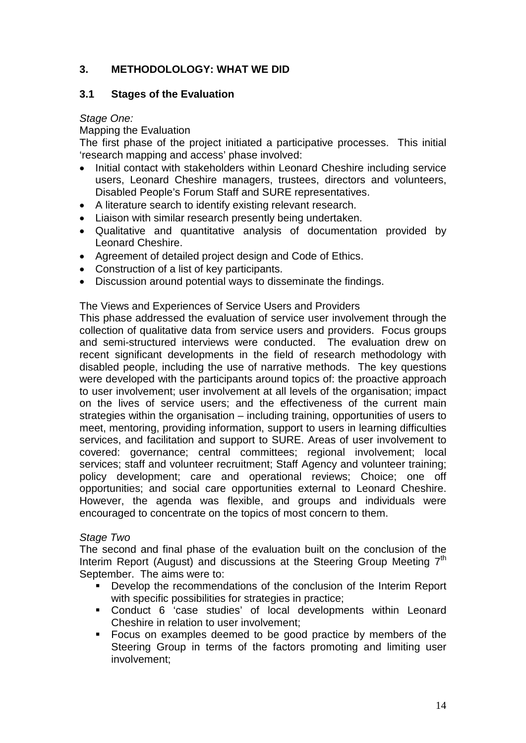# **3. METHODOLOLOGY: WHAT WE DID**

# **3.1 Stages of the Evaluation**

## *Stage One:*

#### Mapping the Evaluation

The first phase of the project initiated a participative processes. This initial 'research mapping and access' phase involved:

- Initial contact with stakeholders within Leonard Cheshire including service users, Leonard Cheshire managers, trustees, directors and volunteers, Disabled People's Forum Staff and SURE representatives.
- A literature search to identify existing relevant research.
- Liaison with similar research presently being undertaken.
- Qualitative and quantitative analysis of documentation provided by Leonard Cheshire.
- Agreement of detailed project design and Code of Ethics.
- Construction of a list of key participants.
- Discussion around potential ways to disseminate the findings.

The Views and Experiences of Service Users and Providers

This phase addressed the evaluation of service user involvement through the collection of qualitative data from service users and providers. Focus groups and semi-structured interviews were conducted. The evaluation drew on recent significant developments in the field of research methodology with disabled people, including the use of narrative methods. The key questions were developed with the participants around topics of: the proactive approach to user involvement; user involvement at all levels of the organisation; impact on the lives of service users; and the effectiveness of the current main strategies within the organisation – including training, opportunities of users to meet, mentoring, providing information, support to users in learning difficulties services, and facilitation and support to SURE. Areas of user involvement to covered: governance; central committees; regional involvement; local services; staff and volunteer recruitment; Staff Agency and volunteer training; policy development; care and operational reviews; Choice; one off opportunities; and social care opportunities external to Leonard Cheshire. However, the agenda was flexible, and groups and individuals were encouraged to concentrate on the topics of most concern to them.

## *Stage Two*

The second and final phase of the evaluation built on the conclusion of the Interim Report (August) and discussions at the Steering Group Meeting  $7<sup>th</sup>$ September. The aims were to:

- Develop the recommendations of the conclusion of the Interim Report with specific possibilities for strategies in practice;
- Conduct 6 'case studies' of local developments within Leonard Cheshire in relation to user involvement;
- Focus on examples deemed to be good practice by members of the Steering Group in terms of the factors promoting and limiting user involvement;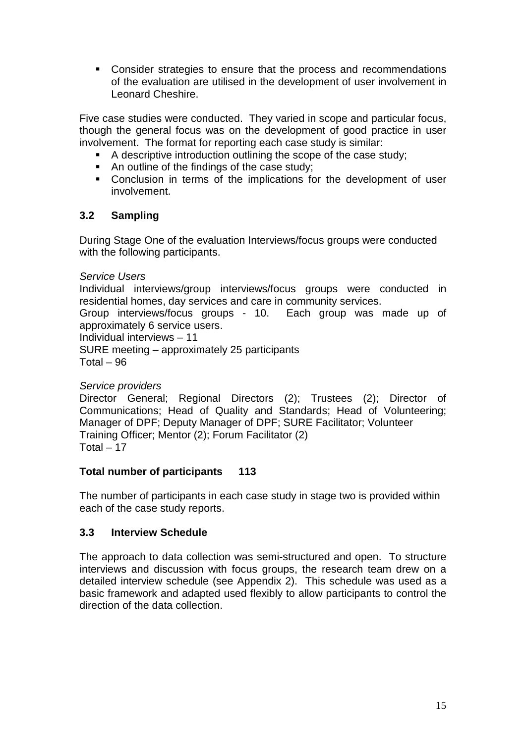Consider strategies to ensure that the process and recommendations of the evaluation are utilised in the development of user involvement in Leonard Cheshire.

Five case studies were conducted. They varied in scope and particular focus, though the general focus was on the development of good practice in user involvement. The format for reporting each case study is similar:

- A descriptive introduction outlining the scope of the case study;
- An outline of the findings of the case study;
- Conclusion in terms of the implications for the development of user involvement.

# **3.2 Sampling**

During Stage One of the evaluation Interviews/focus groups were conducted with the following participants.

#### *Service Users*

Individual interviews/group interviews/focus groups were conducted in residential homes, day services and care in community services.

Group interviews/focus groups - 10. Each group was made up of approximately 6 service users.

Individual interviews – 11

SURE meeting – approximately 25 participants Total – 96

## *Service providers*

Director General; Regional Directors (2); Trustees (2); Director of Communications; Head of Quality and Standards; Head of Volunteering; Manager of DPF; Deputy Manager of DPF; SURE Facilitator; Volunteer Training Officer; Mentor (2); Forum Facilitator (2) Total – 17

## **Total number of participants 113**

The number of participants in each case study in stage two is provided within each of the case study reports.

## **3.3 Interview Schedule**

The approach to data collection was semi-structured and open. To structure interviews and discussion with focus groups, the research team drew on a detailed interview schedule (see Appendix 2). This schedule was used as a basic framework and adapted used flexibly to allow participants to control the direction of the data collection.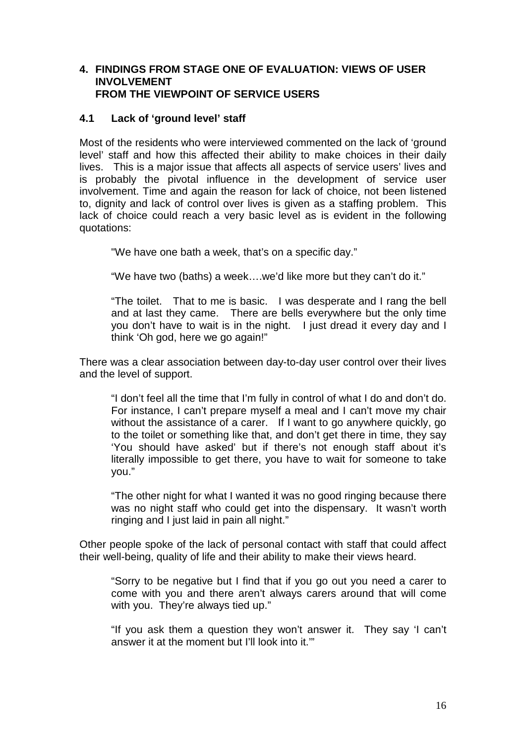#### **4. FINDINGS FROM STAGE ONE OF EVALUATION: VIEWS OF USER INVOLVEMENT FROM THE VIEWPOINT OF SERVICE USERS**

# **4.1 Lack of 'ground level' staff**

Most of the residents who were interviewed commented on the lack of 'ground level' staff and how this affected their ability to make choices in their daily lives. This is a major issue that affects all aspects of service users' lives and is probably the pivotal influence in the development of service user involvement. Time and again the reason for lack of choice, not been listened to, dignity and lack of control over lives is given as a staffing problem. This lack of choice could reach a very basic level as is evident in the following quotations:

"We have one bath a week, that's on a specific day."

"We have two (baths) a week….we'd like more but they can't do it."

"The toilet. That to me is basic. I was desperate and I rang the bell and at last they came. There are bells everywhere but the only time you don't have to wait is in the night. I just dread it every day and I think 'Oh god, here we go again!"

There was a clear association between day-to-day user control over their lives and the level of support.

"I don't feel all the time that I'm fully in control of what I do and don't do. For instance, I can't prepare myself a meal and I can't move my chair without the assistance of a carer. If I want to go anywhere quickly, go to the toilet or something like that, and don't get there in time, they say 'You should have asked' but if there's not enough staff about it's literally impossible to get there, you have to wait for someone to take you."

"The other night for what I wanted it was no good ringing because there was no night staff who could get into the dispensary. It wasn't worth ringing and I just laid in pain all night."

Other people spoke of the lack of personal contact with staff that could affect their well-being, quality of life and their ability to make their views heard.

"Sorry to be negative but I find that if you go out you need a carer to come with you and there aren't always carers around that will come with you. They're always tied up."

"If you ask them a question they won't answer it. They say 'I can't answer it at the moment but I'll look into it.'"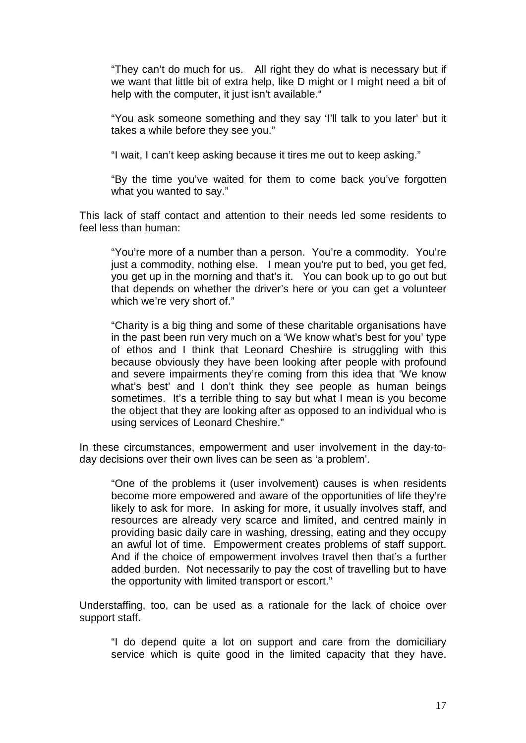"They can't do much for us. All right they do what is necessary but if we want that little bit of extra help, like D might or I might need a bit of help with the computer, it just isn't available."

"You ask someone something and they say 'I'll talk to you later' but it takes a while before they see you."

"I wait, I can't keep asking because it tires me out to keep asking."

"By the time you've waited for them to come back you've forgotten what you wanted to say."

This lack of staff contact and attention to their needs led some residents to feel less than human:

"You're more of a number than a person. You're a commodity. You're just a commodity, nothing else. I mean you're put to bed, you get fed, you get up in the morning and that's it. You can book up to go out but that depends on whether the driver's here or you can get a volunteer which we're very short of."

"Charity is a big thing and some of these charitable organisations have in the past been run very much on a 'We know what's best for you' type of ethos and I think that Leonard Cheshire is struggling with this because obviously they have been looking after people with profound and severe impairments they're coming from this idea that 'We know what's best' and I don't think they see people as human beings sometimes. It's a terrible thing to say but what I mean is you become the object that they are looking after as opposed to an individual who is using services of Leonard Cheshire."

In these circumstances, empowerment and user involvement in the day-today decisions over their own lives can be seen as 'a problem'.

"One of the problems it (user involvement) causes is when residents become more empowered and aware of the opportunities of life they're likely to ask for more. In asking for more, it usually involves staff, and resources are already very scarce and limited, and centred mainly in providing basic daily care in washing, dressing, eating and they occupy an awful lot of time. Empowerment creates problems of staff support. And if the choice of empowerment involves travel then that's a further added burden. Not necessarily to pay the cost of travelling but to have the opportunity with limited transport or escort."

Understaffing, too, can be used as a rationale for the lack of choice over support staff.

"I do depend quite a lot on support and care from the domiciliary service which is quite good in the limited capacity that they have.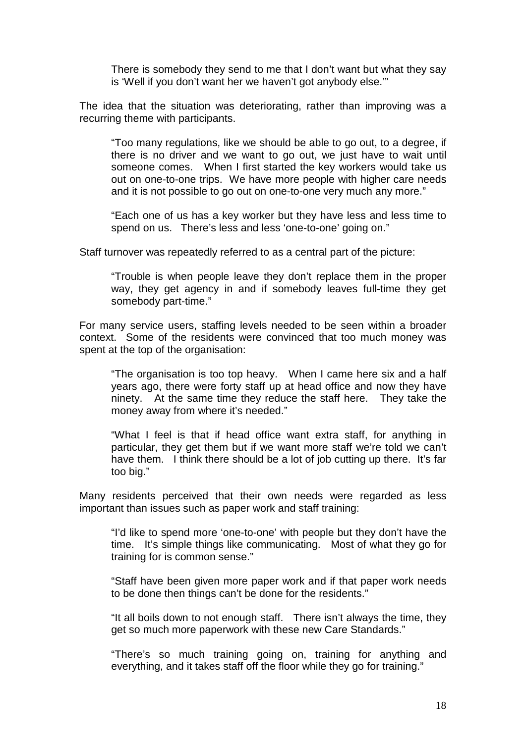There is somebody they send to me that I don't want but what they say is 'Well if you don't want her we haven't got anybody else.'"

The idea that the situation was deteriorating, rather than improving was a recurring theme with participants.

"Too many regulations, like we should be able to go out, to a degree, if there is no driver and we want to go out, we just have to wait until someone comes. When I first started the key workers would take us out on one-to-one trips. We have more people with higher care needs and it is not possible to go out on one-to-one very much any more."

"Each one of us has a key worker but they have less and less time to spend on us. There's less and less 'one-to-one' going on."

Staff turnover was repeatedly referred to as a central part of the picture:

"Trouble is when people leave they don't replace them in the proper way, they get agency in and if somebody leaves full-time they get somebody part-time."

For many service users, staffing levels needed to be seen within a broader context. Some of the residents were convinced that too much money was spent at the top of the organisation:

"The organisation is too top heavy. When I came here six and a half years ago, there were forty staff up at head office and now they have ninety. At the same time they reduce the staff here. They take the money away from where it's needed."

"What I feel is that if head office want extra staff, for anything in particular, they get them but if we want more staff we're told we can't have them. I think there should be a lot of job cutting up there. It's far too big."

Many residents perceived that their own needs were regarded as less important than issues such as paper work and staff training:

"I'd like to spend more 'one-to-one' with people but they don't have the time. It's simple things like communicating. Most of what they go for training for is common sense."

"Staff have been given more paper work and if that paper work needs to be done then things can't be done for the residents."

"It all boils down to not enough staff. There isn't always the time, they get so much more paperwork with these new Care Standards."

"There's so much training going on, training for anything and everything, and it takes staff off the floor while they go for training."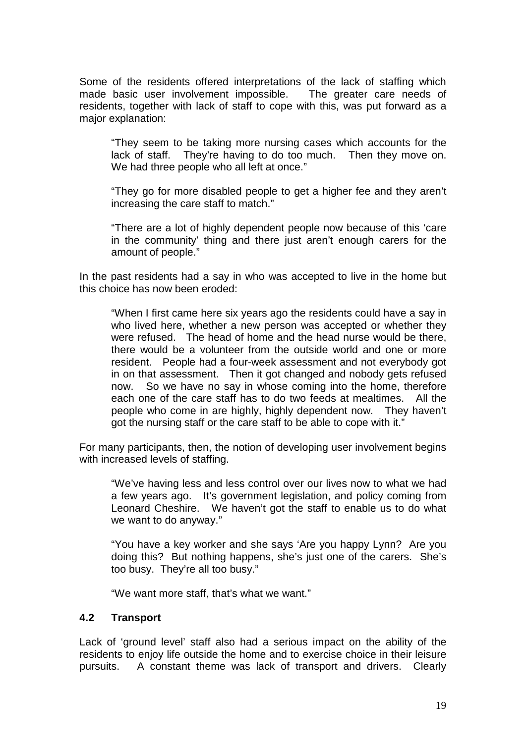Some of the residents offered interpretations of the lack of staffing which made basic user involvement impossible. The greater care needs of residents, together with lack of staff to cope with this, was put forward as a major explanation:

"They seem to be taking more nursing cases which accounts for the lack of staff. They're having to do too much. Then they move on. We had three people who all left at once."

"They go for more disabled people to get a higher fee and they aren't increasing the care staff to match."

"There are a lot of highly dependent people now because of this 'care in the community' thing and there just aren't enough carers for the amount of people."

In the past residents had a say in who was accepted to live in the home but this choice has now been eroded:

"When I first came here six years ago the residents could have a say in who lived here, whether a new person was accepted or whether they were refused. The head of home and the head nurse would be there, there would be a volunteer from the outside world and one or more resident. People had a four-week assessment and not everybody got in on that assessment. Then it got changed and nobody gets refused now. So we have no say in whose coming into the home, therefore each one of the care staff has to do two feeds at mealtimes. All the people who come in are highly, highly dependent now. They haven't got the nursing staff or the care staff to be able to cope with it."

For many participants, then, the notion of developing user involvement begins with increased levels of staffing.

"We've having less and less control over our lives now to what we had a few years ago. It's government legislation, and policy coming from Leonard Cheshire. We haven't got the staff to enable us to do what we want to do anyway."

"You have a key worker and she says 'Are you happy Lynn? Are you doing this? But nothing happens, she's just one of the carers. She's too busy. They're all too busy."

"We want more staff, that's what we want."

#### **4.2 Transport**

Lack of 'ground level' staff also had a serious impact on the ability of the residents to enjoy life outside the home and to exercise choice in their leisure pursuits. A constant theme was lack of transport and drivers. Clearly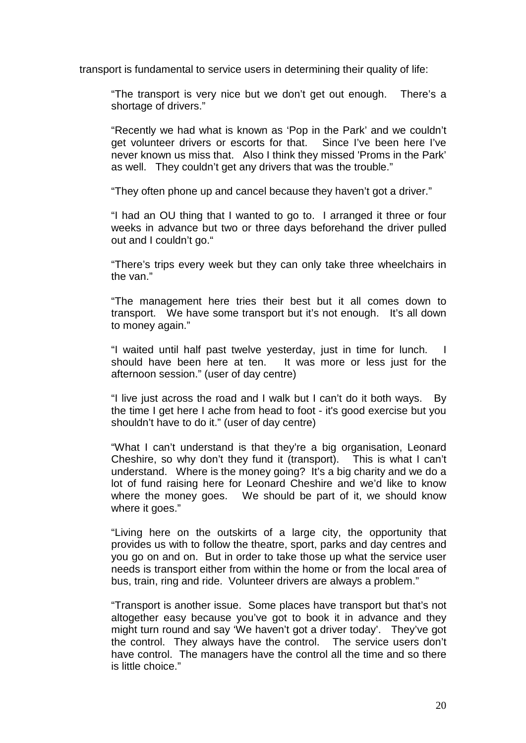transport is fundamental to service users in determining their quality of life:

"The transport is very nice but we don't get out enough. There's a shortage of drivers."

"Recently we had what is known as 'Pop in the Park' and we couldn't get volunteer drivers or escorts for that. Since I've been here I've never known us miss that. Also I think they missed 'Proms in the Park' as well. They couldn't get any drivers that was the trouble."

"They often phone up and cancel because they haven't got a driver."

"I had an OU thing that I wanted to go to. I arranged it three or four weeks in advance but two or three days beforehand the driver pulled out and I couldn't go."

"There's trips every week but they can only take three wheelchairs in the van."

"The management here tries their best but it all comes down to transport. We have some transport but it's not enough. It's all down to money again."

"I waited until half past twelve yesterday, just in time for lunch. I should have been here at ten. It was more or less just for the afternoon session." (user of day centre)

"I live just across the road and I walk but I can't do it both ways. By the time I get here I ache from head to foot - it's good exercise but you shouldn't have to do it." (user of day centre)

"What I can't understand is that they're a big organisation, Leonard Cheshire, so why don't they fund it (transport). This is what I can't understand. Where is the money going? It's a big charity and we do a lot of fund raising here for Leonard Cheshire and we'd like to know where the money goes. We should be part of it, we should know where it goes."

"Living here on the outskirts of a large city, the opportunity that provides us with to follow the theatre, sport, parks and day centres and you go on and on. But in order to take those up what the service user needs is transport either from within the home or from the local area of bus, train, ring and ride. Volunteer drivers are always a problem."

"Transport is another issue. Some places have transport but that's not altogether easy because you've got to book it in advance and they might turn round and say 'We haven't got a driver today'. They've got the control. They always have the control. The service users don't have control. The managers have the control all the time and so there is little choice."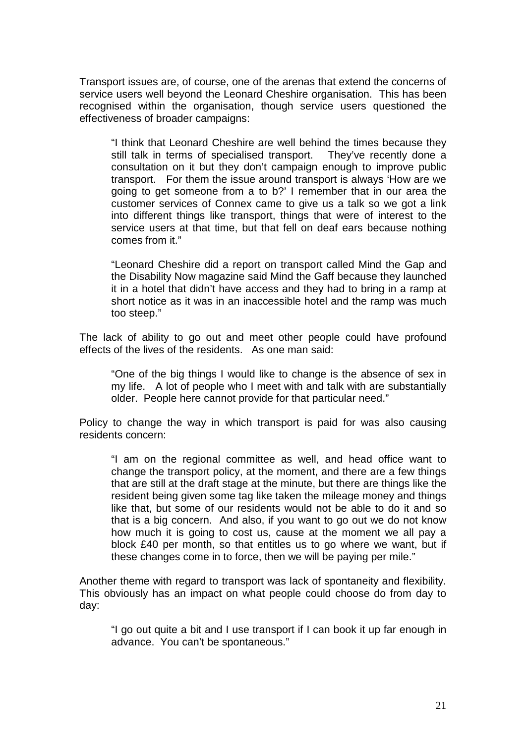Transport issues are, of course, one of the arenas that extend the concerns of service users well beyond the Leonard Cheshire organisation. This has been recognised within the organisation, though service users questioned the effectiveness of broader campaigns:

"I think that Leonard Cheshire are well behind the times because they still talk in terms of specialised transport. They've recently done a consultation on it but they don't campaign enough to improve public transport. For them the issue around transport is always 'How are we going to get someone from a to b?' I remember that in our area the customer services of Connex came to give us a talk so we got a link into different things like transport, things that were of interest to the service users at that time, but that fell on deaf ears because nothing comes from it."

"Leonard Cheshire did a report on transport called Mind the Gap and the Disability Now magazine said Mind the Gaff because they launched it in a hotel that didn't have access and they had to bring in a ramp at short notice as it was in an inaccessible hotel and the ramp was much too steep."

The lack of ability to go out and meet other people could have profound effects of the lives of the residents. As one man said:

"One of the big things I would like to change is the absence of sex in my life. A lot of people who I meet with and talk with are substantially older. People here cannot provide for that particular need."

Policy to change the way in which transport is paid for was also causing residents concern:

"I am on the regional committee as well, and head office want to change the transport policy, at the moment, and there are a few things that are still at the draft stage at the minute, but there are things like the resident being given some tag like taken the mileage money and things like that, but some of our residents would not be able to do it and so that is a big concern. And also, if you want to go out we do not know how much it is going to cost us, cause at the moment we all pay a block £40 per month, so that entitles us to go where we want, but if these changes come in to force, then we will be paying per mile."

Another theme with regard to transport was lack of spontaneity and flexibility. This obviously has an impact on what people could choose do from day to day:

"I go out quite a bit and I use transport if I can book it up far enough in advance. You can't be spontaneous."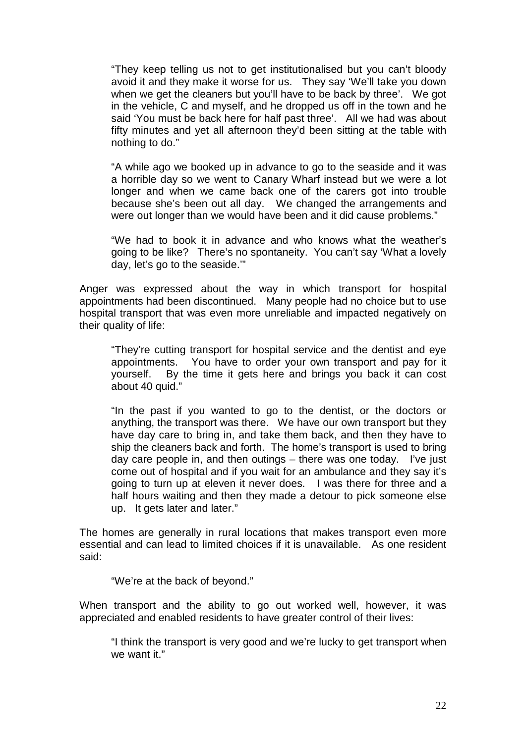"They keep telling us not to get institutionalised but you can't bloody avoid it and they make it worse for us. They say 'We'll take you down when we get the cleaners but you'll have to be back by three'. We got in the vehicle, C and myself, and he dropped us off in the town and he said 'You must be back here for half past three'. All we had was about fifty minutes and yet all afternoon they'd been sitting at the table with nothing to do."

"A while ago we booked up in advance to go to the seaside and it was a horrible day so we went to Canary Wharf instead but we were a lot longer and when we came back one of the carers got into trouble because she's been out all day. We changed the arrangements and were out longer than we would have been and it did cause problems."

"We had to book it in advance and who knows what the weather's going to be like? There's no spontaneity. You can't say 'What a lovely day, let's go to the seaside.'"

Anger was expressed about the way in which transport for hospital appointments had been discontinued. Many people had no choice but to use hospital transport that was even more unreliable and impacted negatively on their quality of life:

"They're cutting transport for hospital service and the dentist and eye appointments. You have to order your own transport and pay for it yourself. By the time it gets here and brings you back it can cost about 40 quid."

"In the past if you wanted to go to the dentist, or the doctors or anything, the transport was there. We have our own transport but they have day care to bring in, and take them back, and then they have to ship the cleaners back and forth. The home's transport is used to bring day care people in, and then outings – there was one today. I've just come out of hospital and if you wait for an ambulance and they say it's going to turn up at eleven it never does. I was there for three and a half hours waiting and then they made a detour to pick someone else up. It gets later and later."

The homes are generally in rural locations that makes transport even more essential and can lead to limited choices if it is unavailable. As one resident said:

"We're at the back of beyond."

When transport and the ability to go out worked well, however, it was appreciated and enabled residents to have greater control of their lives:

"I think the transport is very good and we're lucky to get transport when we want it."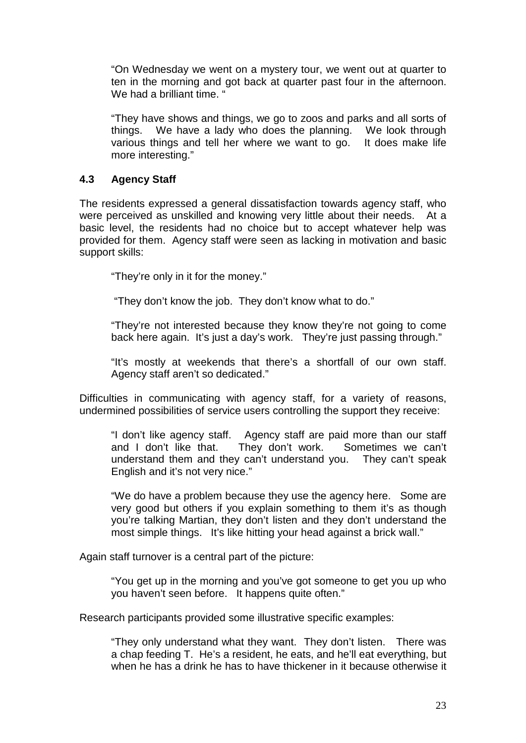"On Wednesday we went on a mystery tour, we went out at quarter to ten in the morning and got back at quarter past four in the afternoon. We had a brilliant time. "

"They have shows and things, we go to zoos and parks and all sorts of things. We have a lady who does the planning. We look through various things and tell her where we want to go. It does make life more interesting."

# **4.3 Agency Staff**

The residents expressed a general dissatisfaction towards agency staff, who were perceived as unskilled and knowing very little about their needs. At a basic level, the residents had no choice but to accept whatever help was provided for them. Agency staff were seen as lacking in motivation and basic support skills:

"They're only in it for the money."

"They don't know the job. They don't know what to do."

"They're not interested because they know they're not going to come back here again. It's just a day's work. They're just passing through."

"It's mostly at weekends that there's a shortfall of our own staff. Agency staff aren't so dedicated."

Difficulties in communicating with agency staff, for a variety of reasons, undermined possibilities of service users controlling the support they receive:

"I don't like agency staff. Agency staff are paid more than our staff and I don't like that. They don't work. Sometimes we can't understand them and they can't understand you. They can't speak English and it's not very nice."

"We do have a problem because they use the agency here. Some are very good but others if you explain something to them it's as though you're talking Martian, they don't listen and they don't understand the most simple things. It's like hitting your head against a brick wall."

Again staff turnover is a central part of the picture:

"You get up in the morning and you've got someone to get you up who you haven't seen before. It happens quite often."

Research participants provided some illustrative specific examples:

"They only understand what they want. They don't listen. There was a chap feeding T. He's a resident, he eats, and he'll eat everything, but when he has a drink he has to have thickener in it because otherwise it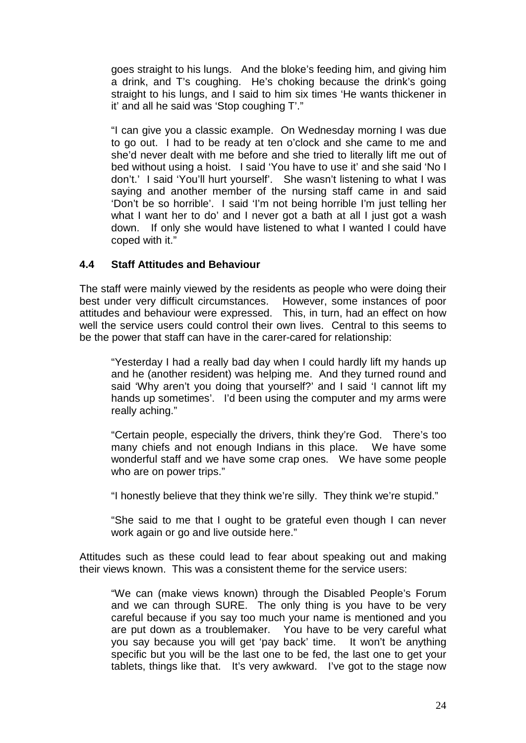goes straight to his lungs. And the bloke's feeding him, and giving him a drink, and T's coughing. He's choking because the drink's going straight to his lungs, and I said to him six times 'He wants thickener in it' and all he said was 'Stop coughing T'."

"I can give you a classic example. On Wednesday morning I was due to go out. I had to be ready at ten o'clock and she came to me and she'd never dealt with me before and she tried to literally lift me out of bed without using a hoist. I said 'You have to use it' and she said 'No I don't.' I said 'You'll hurt yourself'. She wasn't listening to what I was saying and another member of the nursing staff came in and said 'Don't be so horrible'. I said 'I'm not being horrible I'm just telling her what I want her to do' and I never got a bath at all I just got a wash down. If only she would have listened to what I wanted I could have coped with it."

## **4.4 Staff Attitudes and Behaviour**

The staff were mainly viewed by the residents as people who were doing their best under very difficult circumstances. However, some instances of poor attitudes and behaviour were expressed. This, in turn, had an effect on how well the service users could control their own lives. Central to this seems to be the power that staff can have in the carer-cared for relationship:

"Yesterday I had a really bad day when I could hardly lift my hands up and he (another resident) was helping me. And they turned round and said 'Why aren't you doing that yourself?' and I said 'I cannot lift my hands up sometimes'. I'd been using the computer and my arms were really aching."

"Certain people, especially the drivers, think they're God. There's too many chiefs and not enough Indians in this place. We have some wonderful staff and we have some crap ones. We have some people who are on power trips."

"I honestly believe that they think we're silly. They think we're stupid."

"She said to me that I ought to be grateful even though I can never work again or go and live outside here."

Attitudes such as these could lead to fear about speaking out and making their views known. This was a consistent theme for the service users:

"We can (make views known) through the Disabled People's Forum and we can through SURE. The only thing is you have to be very careful because if you say too much your name is mentioned and you are put down as a troublemaker. You have to be very careful what you say because you will get 'pay back' time. It won't be anything specific but you will be the last one to be fed, the last one to get your tablets, things like that. It's very awkward. I've got to the stage now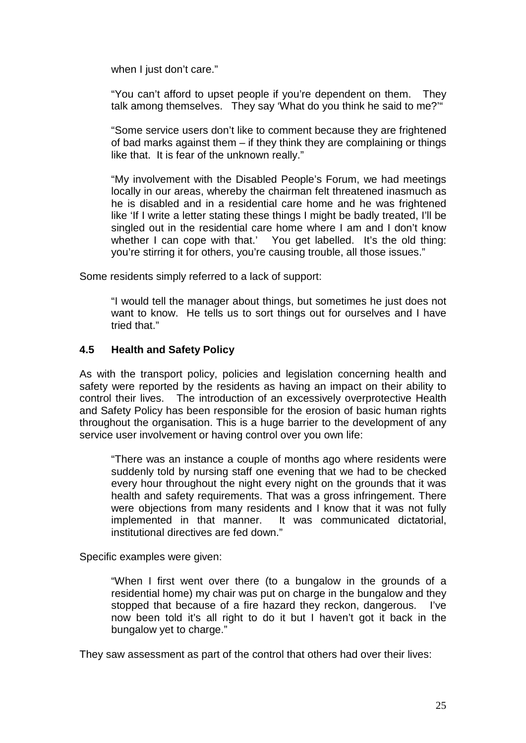when I just don't care."

"You can't afford to upset people if you're dependent on them. They talk among themselves. They say 'What do you think he said to me?'"

"Some service users don't like to comment because they are frightened of bad marks against them – if they think they are complaining or things like that. It is fear of the unknown really."

"My involvement with the Disabled People's Forum, we had meetings locally in our areas, whereby the chairman felt threatened inasmuch as he is disabled and in a residential care home and he was frightened like 'If I write a letter stating these things I might be badly treated, I'll be singled out in the residential care home where I am and I don't know whether I can cope with that.' You get labelled. It's the old thing: you're stirring it for others, you're causing trouble, all those issues."

Some residents simply referred to a lack of support:

"I would tell the manager about things, but sometimes he just does not want to know. He tells us to sort things out for ourselves and I have tried that."

## **4.5 Health and Safety Policy**

As with the transport policy, policies and legislation concerning health and safety were reported by the residents as having an impact on their ability to control their lives. The introduction of an excessively overprotective Health and Safety Policy has been responsible for the erosion of basic human rights throughout the organisation. This is a huge barrier to the development of any service user involvement or having control over you own life:

"There was an instance a couple of months ago where residents were suddenly told by nursing staff one evening that we had to be checked every hour throughout the night every night on the grounds that it was health and safety requirements. That was a gross infringement. There were objections from many residents and I know that it was not fully implemented in that manner. It was communicated dictatorial, institutional directives are fed down."

Specific examples were given:

"When I first went over there (to a bungalow in the grounds of a residential home) my chair was put on charge in the bungalow and they stopped that because of a fire hazard they reckon, dangerous. I've now been told it's all right to do it but I haven't got it back in the bungalow yet to charge."

They saw assessment as part of the control that others had over their lives: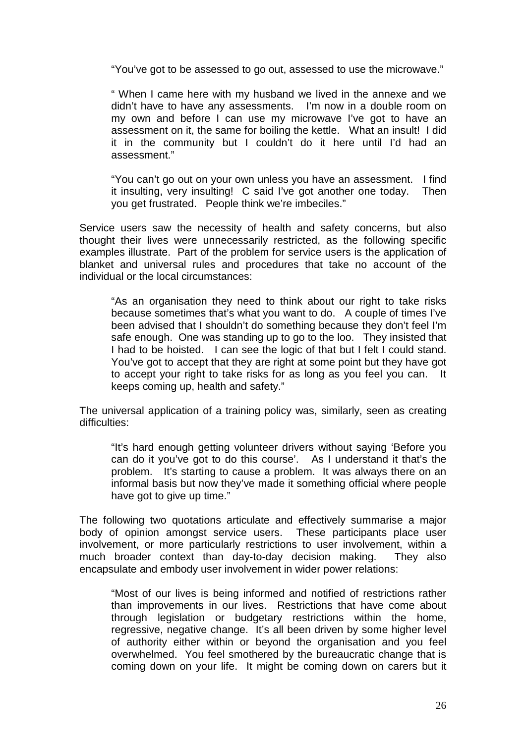"You've got to be assessed to go out, assessed to use the microwave."

" When I came here with my husband we lived in the annexe and we didn't have to have any assessments. I'm now in a double room on my own and before I can use my microwave I've got to have an assessment on it, the same for boiling the kettle. What an insult! I did it in the community but I couldn't do it here until I'd had an assessment."

"You can't go out on your own unless you have an assessment. I find it insulting, very insulting! C said I've got another one today. Then you get frustrated. People think we're imbeciles."

Service users saw the necessity of health and safety concerns, but also thought their lives were unnecessarily restricted, as the following specific examples illustrate. Part of the problem for service users is the application of blanket and universal rules and procedures that take no account of the individual or the local circumstances:

"As an organisation they need to think about our right to take risks because sometimes that's what you want to do. A couple of times I've been advised that I shouldn't do something because they don't feel I'm safe enough. One was standing up to go to the loo. They insisted that I had to be hoisted. I can see the logic of that but I felt I could stand. You've got to accept that they are right at some point but they have got to accept your right to take risks for as long as you feel you can. It keeps coming up, health and safety."

The universal application of a training policy was, similarly, seen as creating difficulties:

"It's hard enough getting volunteer drivers without saying 'Before you can do it you've got to do this course'. As I understand it that's the problem. It's starting to cause a problem. It was always there on an informal basis but now they've made it something official where people have got to give up time."

The following two quotations articulate and effectively summarise a major body of opinion amongst service users. These participants place user involvement, or more particularly restrictions to user involvement, within a much broader context than day-to-day decision making. They also encapsulate and embody user involvement in wider power relations:

"Most of our lives is being informed and notified of restrictions rather than improvements in our lives. Restrictions that have come about through legislation or budgetary restrictions within the home, regressive, negative change. It's all been driven by some higher level of authority either within or beyond the organisation and you feel overwhelmed. You feel smothered by the bureaucratic change that is coming down on your life. It might be coming down on carers but it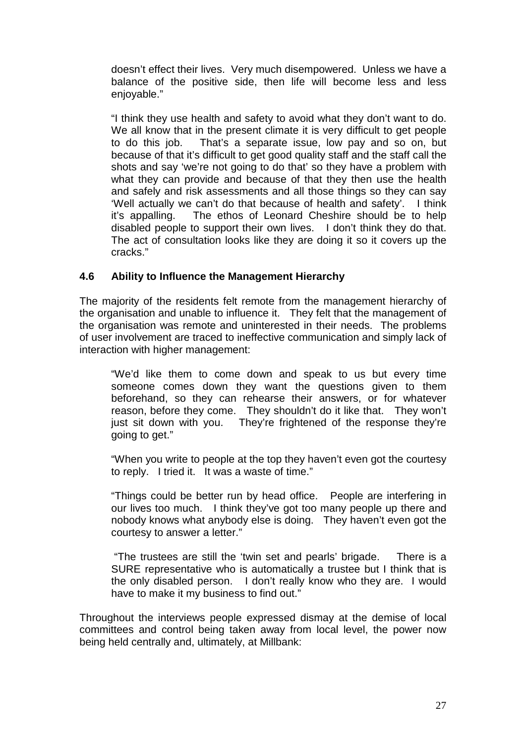doesn't effect their lives. Very much disempowered. Unless we have a balance of the positive side, then life will become less and less enjoyable."

"I think they use health and safety to avoid what they don't want to do. We all know that in the present climate it is very difficult to get people to do this job. That's a separate issue, low pay and so on, but because of that it's difficult to get good quality staff and the staff call the shots and say 'we're not going to do that' so they have a problem with what they can provide and because of that they then use the health and safely and risk assessments and all those things so they can say 'Well actually we can't do that because of health and safety'. I think it's appalling. The ethos of Leonard Cheshire should be to help disabled people to support their own lives. I don't think they do that. The act of consultation looks like they are doing it so it covers up the cracks."

# **4.6 Ability to Influence the Management Hierarchy**

The majority of the residents felt remote from the management hierarchy of the organisation and unable to influence it. They felt that the management of the organisation was remote and uninterested in their needs. The problems of user involvement are traced to ineffective communication and simply lack of interaction with higher management:

"We'd like them to come down and speak to us but every time someone comes down they want the questions given to them beforehand, so they can rehearse their answers, or for whatever reason, before they come. They shouldn't do it like that. They won't just sit down with you. They're frightened of the response they're going to get."

"When you write to people at the top they haven't even got the courtesy to reply. I tried it. It was a waste of time."

"Things could be better run by head office. People are interfering in our lives too much. I think they've got too many people up there and nobody knows what anybody else is doing. They haven't even got the courtesy to answer a letter."

"The trustees are still the 'twin set and pearls' brigade. There is a SURE representative who is automatically a trustee but I think that is the only disabled person. I don't really know who they are. I would have to make it my business to find out."

Throughout the interviews people expressed dismay at the demise of local committees and control being taken away from local level, the power now being held centrally and, ultimately, at Millbank: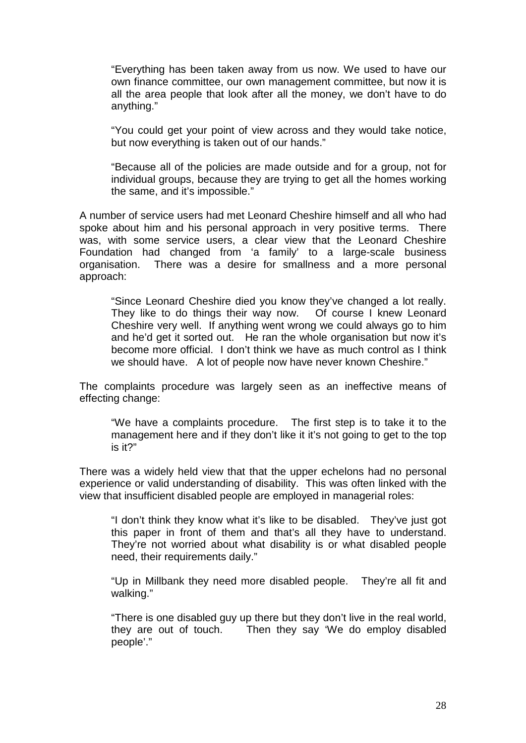"Everything has been taken away from us now. We used to have our own finance committee, our own management committee, but now it is all the area people that look after all the money, we don't have to do anything."

"You could get your point of view across and they would take notice, but now everything is taken out of our hands."

"Because all of the policies are made outside and for a group, not for individual groups, because they are trying to get all the homes working the same, and it's impossible."

A number of service users had met Leonard Cheshire himself and all who had spoke about him and his personal approach in very positive terms. There was, with some service users, a clear view that the Leonard Cheshire Foundation had changed from 'a family' to a large-scale business organisation. There was a desire for smallness and a more personal approach:

"Since Leonard Cheshire died you know they've changed a lot really. They like to do things their way now. Of course I knew Leonard Cheshire very well. If anything went wrong we could always go to him and he'd get it sorted out. He ran the whole organisation but now it's become more official. I don't think we have as much control as I think we should have. A lot of people now have never known Cheshire."

The complaints procedure was largely seen as an ineffective means of effecting change:

"We have a complaints procedure. The first step is to take it to the management here and if they don't like it it's not going to get to the top is it?"

There was a widely held view that that the upper echelons had no personal experience or valid understanding of disability. This was often linked with the view that insufficient disabled people are employed in managerial roles:

"I don't think they know what it's like to be disabled. They've just got this paper in front of them and that's all they have to understand. They're not worried about what disability is or what disabled people need, their requirements daily."

"Up in Millbank they need more disabled people. They're all fit and walking."

"There is one disabled guy up there but they don't live in the real world, they are out of touch. Then they say 'We do employ disabled people'."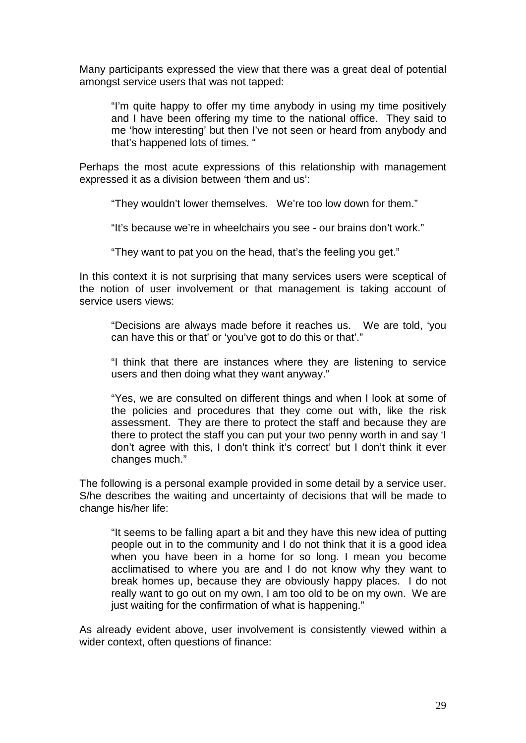Many participants expressed the view that there was a great deal of potential amongst service users that was not tapped:

"I'm quite happy to offer my time anybody in using my time positively and I have been offering my time to the national office. They said to me 'how interesting' but then I've not seen or heard from anybody and that's happened lots of times. "

Perhaps the most acute expressions of this relationship with management expressed it as a division between 'them and us':

"They wouldn't lower themselves. We're too low down for them."

"It's because we're in wheelchairs you see - our brains don't work."

"They want to pat you on the head, that's the feeling you get."

In this context it is not surprising that many services users were sceptical of the notion of user involvement or that management is taking account of service users views:

"Decisions are always made before it reaches us. We are told, 'you can have this or that' or 'you've got to do this or that'."

"I think that there are instances where they are listening to service users and then doing what they want anyway."

"Yes, we are consulted on different things and when I look at some of the policies and procedures that they come out with, like the risk assessment. They are there to protect the staff and because they are there to protect the staff you can put your two penny worth in and say 'I don't agree with this, I don't think it's correct' but I don't think it ever changes much."

The following is a personal example provided in some detail by a service user. S/he describes the waiting and uncertainty of decisions that will be made to change his/her life:

"It seems to be falling apart a bit and they have this new idea of putting people out in to the community and I do not think that it is a good idea when you have been in a home for so long. I mean you become acclimatised to where you are and I do not know why they want to break homes up, because they are obviously happy places. I do not really want to go out on my own, I am too old to be on my own. We are just waiting for the confirmation of what is happening."

As already evident above, user involvement is consistently viewed within a wider context, often questions of finance: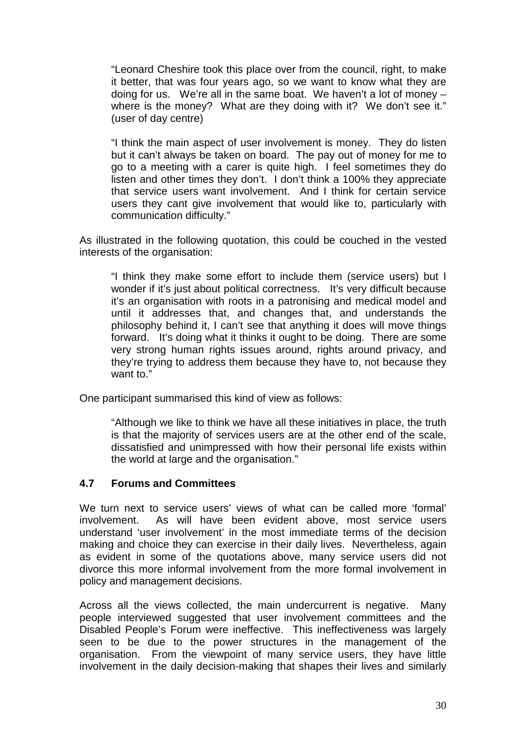"Leonard Cheshire took this place over from the council, right, to make it better, that was four years ago, so we want to know what they are doing for us. We're all in the same boat. We haven't a lot of money – where is the money? What are they doing with it? We don't see it." (user of day centre)

"I think the main aspect of user involvement is money. They do listen but it can't always be taken on board. The pay out of money for me to go to a meeting with a carer is quite high. I feel sometimes they do listen and other times they don't. I don't think a 100% they appreciate that service users want involvement. And I think for certain service users they cant give involvement that would like to, particularly with communication difficulty."

As illustrated in the following quotation, this could be couched in the vested interests of the organisation:

"I think they make some effort to include them (service users) but I wonder if it's just about political correctness. It's very difficult because it's an organisation with roots in a patronising and medical model and until it addresses that, and changes that, and understands the philosophy behind it, I can't see that anything it does will move things forward. It's doing what it thinks it ought to be doing. There are some very strong human rights issues around, rights around privacy, and they're trying to address them because they have to, not because they want to."

One participant summarised this kind of view as follows:

"Although we like to think we have all these initiatives in place, the truth is that the majority of services users are at the other end of the scale, dissatisfied and unimpressed with how their personal life exists within the world at large and the organisation."

# **4.7 Forums and Committees**

We turn next to service users' views of what can be called more 'formal' involvement. As will have been evident above, most service users understand 'user involvement' in the most immediate terms of the decision making and choice they can exercise in their daily lives. Nevertheless, again as evident in some of the quotations above, many service users did not divorce this more informal involvement from the more formal involvement in policy and management decisions.

Across all the views collected, the main undercurrent is negative. Many people interviewed suggested that user involvement committees and the Disabled People's Forum were ineffective. This ineffectiveness was largely seen to be due to the power structures in the management of the organisation. From the viewpoint of many service users, they have little involvement in the daily decision-making that shapes their lives and similarly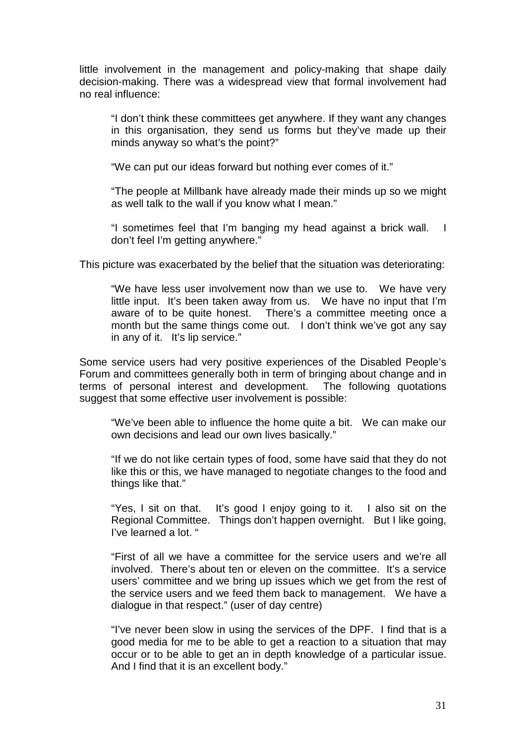little involvement in the management and policy-making that shape daily decision-making. There was a widespread view that formal involvement had no real influence:

"I don't think these committees get anywhere. If they want any changes in this organisation, they send us forms but they've made up their minds anyway so what's the point?"

"We can put our ideas forward but nothing ever comes of it."

"The people at Millbank have already made their minds up so we might as well talk to the wall if you know what I mean."

"I sometimes feel that I'm banging my head against a brick wall. I don't feel I'm getting anywhere."

This picture was exacerbated by the belief that the situation was deteriorating:

"We have less user involvement now than we use to. We have very little input. It's been taken away from us. We have no input that I'm aware of to be quite honest. There's a committee meeting once a month but the same things come out. I don't think we've got any say in any of it. It's lip service."

Some service users had very positive experiences of the Disabled People's Forum and committees generally both in term of bringing about change and in terms of personal interest and development. The following quotations suggest that some effective user involvement is possible:

"We've been able to influence the home quite a bit. We can make our own decisions and lead our own lives basically."

"If we do not like certain types of food, some have said that they do not like this or this, we have managed to negotiate changes to the food and things like that."

"Yes, I sit on that. It's good I enjoy going to it. I also sit on the Regional Committee. Things don't happen overnight. But I like going, I've learned a lot. "

"First of all we have a committee for the service users and we're all involved. There's about ten or eleven on the committee. It's a service users' committee and we bring up issues which we get from the rest of the service users and we feed them back to management. We have a dialogue in that respect." (user of day centre)

"I've never been slow in using the services of the DPF. I find that is a good media for me to be able to get a reaction to a situation that may occur or to be able to get an in depth knowledge of a particular issue. And I find that it is an excellent body."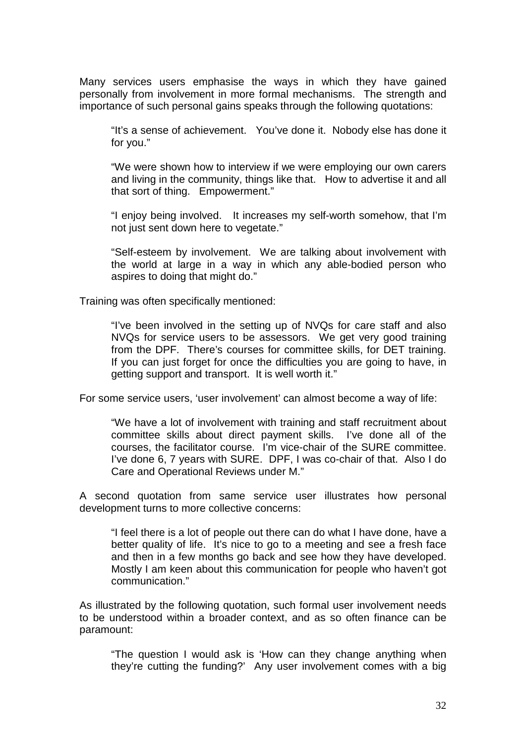Many services users emphasise the ways in which they have gained personally from involvement in more formal mechanisms. The strength and importance of such personal gains speaks through the following quotations:

"It's a sense of achievement. You've done it. Nobody else has done it for you."

"We were shown how to interview if we were employing our own carers and living in the community, things like that. How to advertise it and all that sort of thing. Empowerment."

"I enjoy being involved. It increases my self-worth somehow, that I'm not just sent down here to vegetate."

"Self-esteem by involvement. We are talking about involvement with the world at large in a way in which any able-bodied person who aspires to doing that might do."

Training was often specifically mentioned:

"I've been involved in the setting up of NVQs for care staff and also NVQs for service users to be assessors. We get very good training from the DPF. There's courses for committee skills, for DET training. If you can just forget for once the difficulties you are going to have, in getting support and transport. It is well worth it."

For some service users, 'user involvement' can almost become a way of life:

"We have a lot of involvement with training and staff recruitment about committee skills about direct payment skills. I've done all of the courses, the facilitator course. I'm vice-chair of the SURE committee. I've done 6, 7 years with SURE. DPF, I was co-chair of that. Also I do Care and Operational Reviews under M."

A second quotation from same service user illustrates how personal development turns to more collective concerns:

"I feel there is a lot of people out there can do what I have done, have a better quality of life. It's nice to go to a meeting and see a fresh face and then in a few months go back and see how they have developed. Mostly I am keen about this communication for people who haven't got communication."

As illustrated by the following quotation, such formal user involvement needs to be understood within a broader context, and as so often finance can be paramount:

"The question I would ask is 'How can they change anything when they're cutting the funding?' Any user involvement comes with a big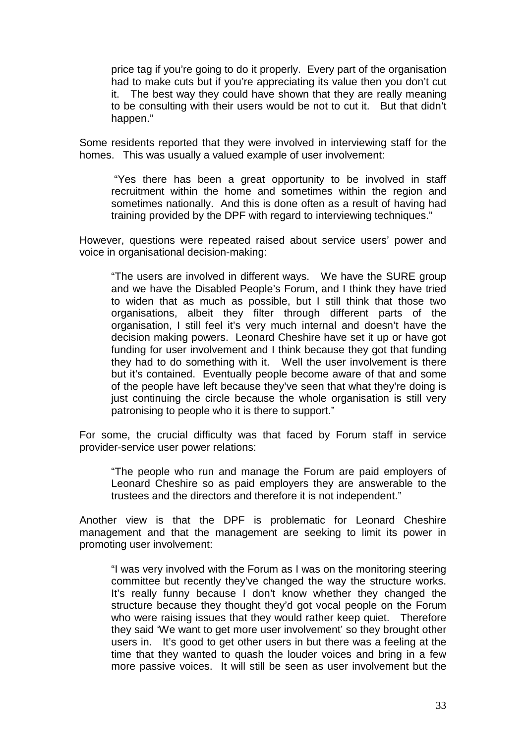price tag if you're going to do it properly. Every part of the organisation had to make cuts but if you're appreciating its value then you don't cut it. The best way they could have shown that they are really meaning to be consulting with their users would be not to cut it. But that didn't happen."

Some residents reported that they were involved in interviewing staff for the homes. This was usually a valued example of user involvement:

"Yes there has been a great opportunity to be involved in staff recruitment within the home and sometimes within the region and sometimes nationally. And this is done often as a result of having had training provided by the DPF with regard to interviewing techniques."

However, questions were repeated raised about service users' power and voice in organisational decision-making:

"The users are involved in different ways. We have the SURE group and we have the Disabled People's Forum, and I think they have tried to widen that as much as possible, but I still think that those two organisations, albeit they filter through different parts of the organisation, I still feel it's very much internal and doesn't have the decision making powers. Leonard Cheshire have set it up or have got funding for user involvement and I think because they got that funding they had to do something with it. Well the user involvement is there but it's contained. Eventually people become aware of that and some of the people have left because they've seen that what they're doing is just continuing the circle because the whole organisation is still very patronising to people who it is there to support."

For some, the crucial difficulty was that faced by Forum staff in service provider-service user power relations:

"The people who run and manage the Forum are paid employers of Leonard Cheshire so as paid employers they are answerable to the trustees and the directors and therefore it is not independent."

Another view is that the DPF is problematic for Leonard Cheshire management and that the management are seeking to limit its power in promoting user involvement:

"I was very involved with the Forum as I was on the monitoring steering committee but recently they've changed the way the structure works. It's really funny because I don't know whether they changed the structure because they thought they'd got vocal people on the Forum who were raising issues that they would rather keep quiet. Therefore they said 'We want to get more user involvement' so they brought other users in. It's good to get other users in but there was a feeling at the time that they wanted to quash the louder voices and bring in a few more passive voices. It will still be seen as user involvement but the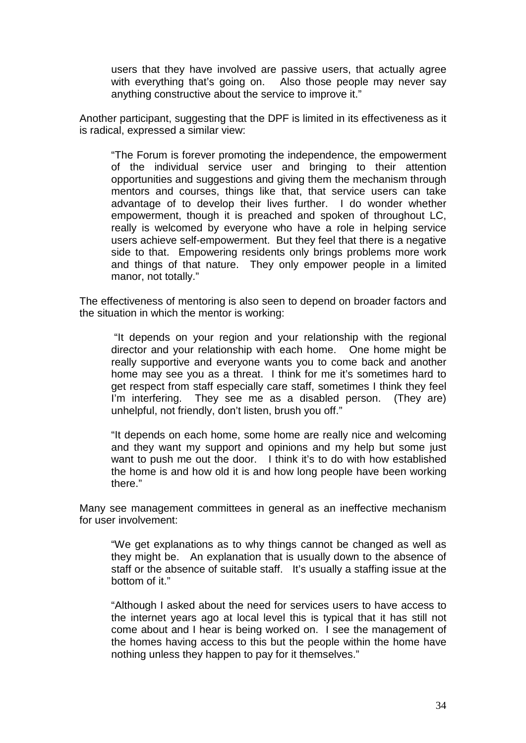users that they have involved are passive users, that actually agree with everything that's going on. Also those people may never say anything constructive about the service to improve it."

Another participant, suggesting that the DPF is limited in its effectiveness as it is radical, expressed a similar view:

"The Forum is forever promoting the independence, the empowerment of the individual service user and bringing to their attention opportunities and suggestions and giving them the mechanism through mentors and courses, things like that, that service users can take advantage of to develop their lives further. I do wonder whether empowerment, though it is preached and spoken of throughout LC, really is welcomed by everyone who have a role in helping service users achieve self-empowerment. But they feel that there is a negative side to that. Empowering residents only brings problems more work and things of that nature. They only empower people in a limited manor, not totally."

The effectiveness of mentoring is also seen to depend on broader factors and the situation in which the mentor is working:

"It depends on your region and your relationship with the regional director and your relationship with each home. One home might be really supportive and everyone wants you to come back and another home may see you as a threat. I think for me it's sometimes hard to get respect from staff especially care staff, sometimes I think they feel I'm interfering. They see me as a disabled person. (They are) unhelpful, not friendly, don't listen, brush you off."

"It depends on each home, some home are really nice and welcoming and they want my support and opinions and my help but some just want to push me out the door. I think it's to do with how established the home is and how old it is and how long people have been working there."

Many see management committees in general as an ineffective mechanism for user involvement:

"We get explanations as to why things cannot be changed as well as they might be. An explanation that is usually down to the absence of staff or the absence of suitable staff. It's usually a staffing issue at the bottom of it."

"Although I asked about the need for services users to have access to the internet years ago at local level this is typical that it has still not come about and I hear is being worked on. I see the management of the homes having access to this but the people within the home have nothing unless they happen to pay for it themselves."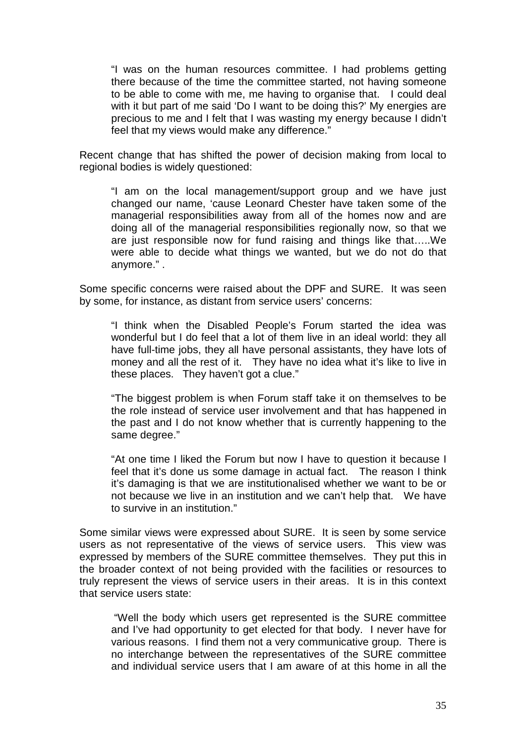"I was on the human resources committee. I had problems getting there because of the time the committee started, not having someone to be able to come with me, me having to organise that. I could deal with it but part of me said 'Do I want to be doing this?' My energies are precious to me and I felt that I was wasting my energy because I didn't feel that my views would make any difference."

Recent change that has shifted the power of decision making from local to regional bodies is widely questioned:

"I am on the local management/support group and we have just changed our name, 'cause Leonard Chester have taken some of the managerial responsibilities away from all of the homes now and are doing all of the managerial responsibilities regionally now, so that we are just responsible now for fund raising and things like that…..We were able to decide what things we wanted, but we do not do that anymore." .

Some specific concerns were raised about the DPF and SURE. It was seen by some, for instance, as distant from service users' concerns:

"I think when the Disabled People's Forum started the idea was wonderful but I do feel that a lot of them live in an ideal world: they all have full-time jobs, they all have personal assistants, they have lots of money and all the rest of it. They have no idea what it's like to live in these places. They haven't got a clue."

"The biggest problem is when Forum staff take it on themselves to be the role instead of service user involvement and that has happened in the past and I do not know whether that is currently happening to the same degree."

"At one time I liked the Forum but now I have to question it because I feel that it's done us some damage in actual fact. The reason I think it's damaging is that we are institutionalised whether we want to be or not because we live in an institution and we can't help that. We have to survive in an institution."

Some similar views were expressed about SURE. It is seen by some service users as not representative of the views of service users. This view was expressed by members of the SURE committee themselves. They put this in the broader context of not being provided with the facilities or resources to truly represent the views of service users in their areas. It is in this context that service users state:

"Well the body which users get represented is the SURE committee and I've had opportunity to get elected for that body. I never have for various reasons. I find them not a very communicative group. There is no interchange between the representatives of the SURE committee and individual service users that I am aware of at this home in all the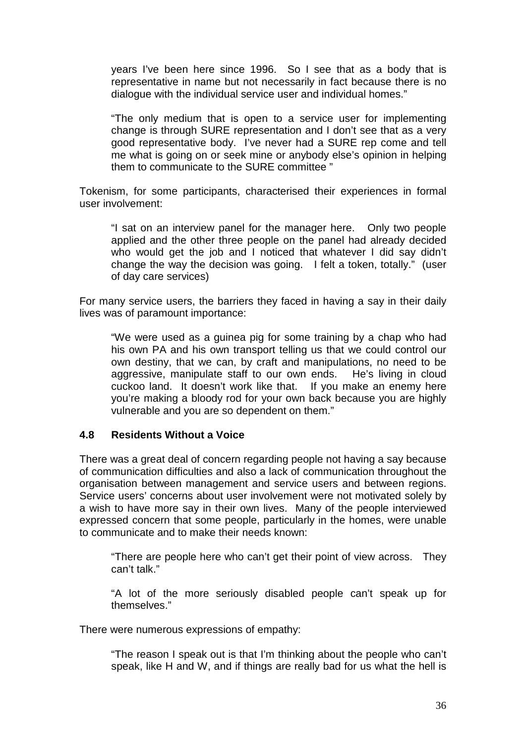years I've been here since 1996. So I see that as a body that is representative in name but not necessarily in fact because there is no dialogue with the individual service user and individual homes."

"The only medium that is open to a service user for implementing change is through SURE representation and I don't see that as a very good representative body. I've never had a SURE rep come and tell me what is going on or seek mine or anybody else's opinion in helping them to communicate to the SURE committee "

Tokenism, for some participants, characterised their experiences in formal user involvement:

"I sat on an interview panel for the manager here. Only two people applied and the other three people on the panel had already decided who would get the job and I noticed that whatever I did say didn't change the way the decision was going. I felt a token, totally." (user of day care services)

For many service users, the barriers they faced in having a say in their daily lives was of paramount importance:

"We were used as a guinea pig for some training by a chap who had his own PA and his own transport telling us that we could control our own destiny, that we can, by craft and manipulations, no need to be aggressive, manipulate staff to our own ends. He's living in cloud cuckoo land. It doesn't work like that. If you make an enemy here you're making a bloody rod for your own back because you are highly vulnerable and you are so dependent on them."

## **4.8 Residents Without a Voice**

There was a great deal of concern regarding people not having a say because of communication difficulties and also a lack of communication throughout the organisation between management and service users and between regions. Service users' concerns about user involvement were not motivated solely by a wish to have more say in their own lives. Many of the people interviewed expressed concern that some people, particularly in the homes, were unable to communicate and to make their needs known:

"There are people here who can't get their point of view across. They can't talk."

"A lot of the more seriously disabled people can't speak up for themselves."

There were numerous expressions of empathy:

"The reason I speak out is that I'm thinking about the people who can't speak, like H and W, and if things are really bad for us what the hell is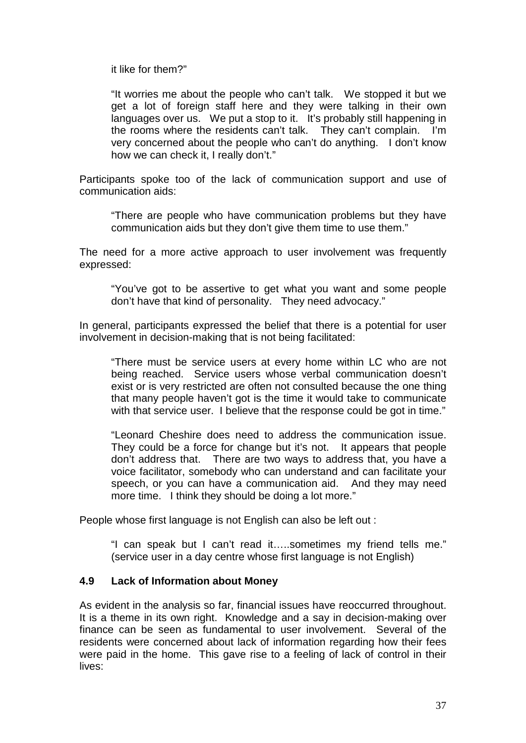it like for them?"

"It worries me about the people who can't talk. We stopped it but we get a lot of foreign staff here and they were talking in their own languages over us. We put a stop to it. It's probably still happening in the rooms where the residents can't talk. They can't complain. I'm very concerned about the people who can't do anything. I don't know how we can check it, I really don't."

Participants spoke too of the lack of communication support and use of communication aids:

"There are people who have communication problems but they have communication aids but they don't give them time to use them."

The need for a more active approach to user involvement was frequently expressed:

"You've got to be assertive to get what you want and some people don't have that kind of personality. They need advocacy."

In general, participants expressed the belief that there is a potential for user involvement in decision-making that is not being facilitated:

"There must be service users at every home within LC who are not being reached. Service users whose verbal communication doesn't exist or is very restricted are often not consulted because the one thing that many people haven't got is the time it would take to communicate with that service user. I believe that the response could be got in time."

"Leonard Cheshire does need to address the communication issue. They could be a force for change but it's not. It appears that people don't address that. There are two ways to address that, you have a voice facilitator, somebody who can understand and can facilitate your speech, or you can have a communication aid. And they may need more time. I think they should be doing a lot more."

People whose first language is not English can also be left out :

"I can speak but I can't read it…..sometimes my friend tells me." (service user in a day centre whose first language is not English)

#### **4.9 Lack of Information about Money**

As evident in the analysis so far, financial issues have reoccurred throughout. It is a theme in its own right. Knowledge and a say in decision-making over finance can be seen as fundamental to user involvement. Several of the residents were concerned about lack of information regarding how their fees were paid in the home. This gave rise to a feeling of lack of control in their lives: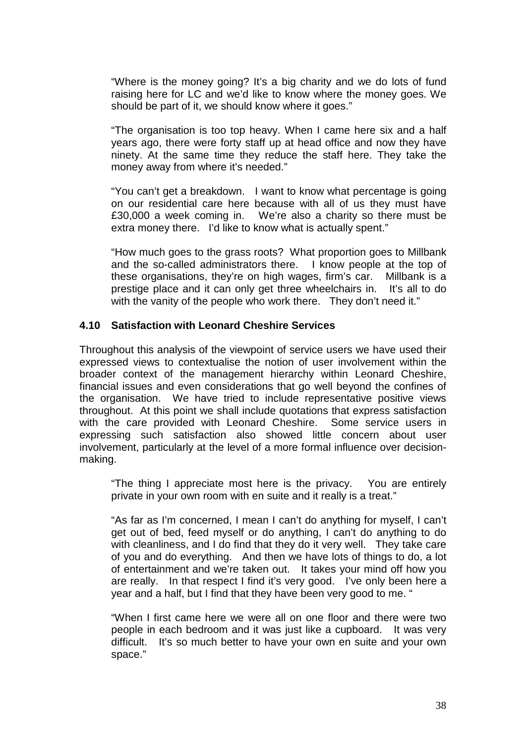"Where is the money going? It's a big charity and we do lots of fund raising here for LC and we'd like to know where the money goes. We should be part of it, we should know where it goes."

"The organisation is too top heavy. When I came here six and a half years ago, there were forty staff up at head office and now they have ninety. At the same time they reduce the staff here. They take the money away from where it's needed."

"You can't get a breakdown. I want to know what percentage is going on our residential care here because with all of us they must have £30,000 a week coming in. We're also a charity so there must be extra money there. I'd like to know what is actually spent."

"How much goes to the grass roots? What proportion goes to Millbank and the so-called administrators there. I know people at the top of these organisations, they're on high wages, firm's car. Millbank is a prestige place and it can only get three wheelchairs in. It's all to do with the vanity of the people who work there. They don't need it."

## **4.10 Satisfaction with Leonard Cheshire Services**

Throughout this analysis of the viewpoint of service users we have used their expressed views to contextualise the notion of user involvement within the broader context of the management hierarchy within Leonard Cheshire, financial issues and even considerations that go well beyond the confines of the organisation. We have tried to include representative positive views throughout. At this point we shall include quotations that express satisfaction with the care provided with Leonard Cheshire. Some service users in expressing such satisfaction also showed little concern about user involvement, particularly at the level of a more formal influence over decisionmaking.

"The thing I appreciate most here is the privacy. You are entirely private in your own room with en suite and it really is a treat."

"As far as I'm concerned, I mean I can't do anything for myself, I can't get out of bed, feed myself or do anything, I can't do anything to do with cleanliness, and I do find that they do it very well. They take care of you and do everything. And then we have lots of things to do, a lot of entertainment and we're taken out. It takes your mind off how you are really. In that respect I find it's very good. I've only been here a year and a half, but I find that they have been very good to me. "

"When I first came here we were all on one floor and there were two people in each bedroom and it was just like a cupboard. It was very difficult. It's so much better to have your own en suite and your own space."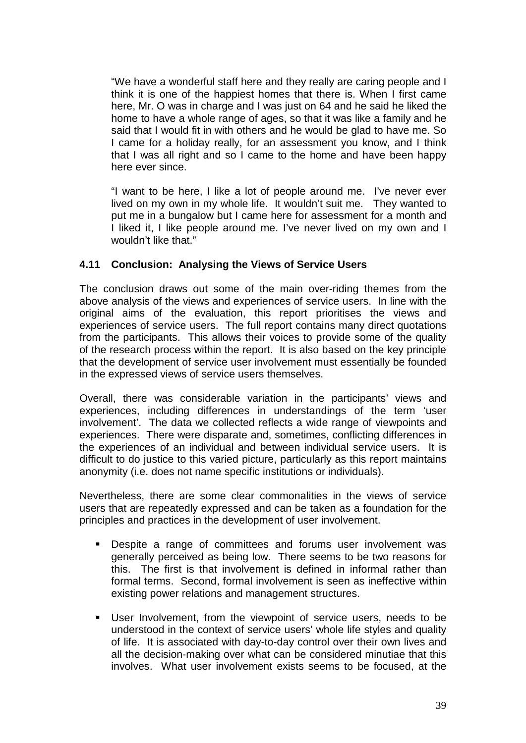"We have a wonderful staff here and they really are caring people and I think it is one of the happiest homes that there is. When I first came here, Mr. O was in charge and I was just on 64 and he said he liked the home to have a whole range of ages, so that it was like a family and he said that I would fit in with others and he would be glad to have me. So I came for a holiday really, for an assessment you know, and I think that I was all right and so I came to the home and have been happy here ever since.

"I want to be here, I like a lot of people around me. I've never ever lived on my own in my whole life. It wouldn't suit me. They wanted to put me in a bungalow but I came here for assessment for a month and I liked it, I like people around me. I've never lived on my own and I wouldn't like that."

## **4.11 Conclusion: Analysing the Views of Service Users**

The conclusion draws out some of the main over-riding themes from the above analysis of the views and experiences of service users. In line with the original aims of the evaluation, this report prioritises the views and experiences of service users. The full report contains many direct quotations from the participants. This allows their voices to provide some of the quality of the research process within the report. It is also based on the key principle that the development of service user involvement must essentially be founded in the expressed views of service users themselves.

Overall, there was considerable variation in the participants' views and experiences, including differences in understandings of the term 'user involvement'. The data we collected reflects a wide range of viewpoints and experiences. There were disparate and, sometimes, conflicting differences in the experiences of an individual and between individual service users. It is difficult to do justice to this varied picture, particularly as this report maintains anonymity (i.e. does not name specific institutions or individuals).

Nevertheless, there are some clear commonalities in the views of service users that are repeatedly expressed and can be taken as a foundation for the principles and practices in the development of user involvement.

- Despite a range of committees and forums user involvement was generally perceived as being low. There seems to be two reasons for this. The first is that involvement is defined in informal rather than formal terms. Second, formal involvement is seen as ineffective within existing power relations and management structures.
- User Involvement, from the viewpoint of service users, needs to be understood in the context of service users' whole life styles and quality of life. It is associated with day-to-day control over their own lives and all the decision-making over what can be considered minutiae that this involves. What user involvement exists seems to be focused, at the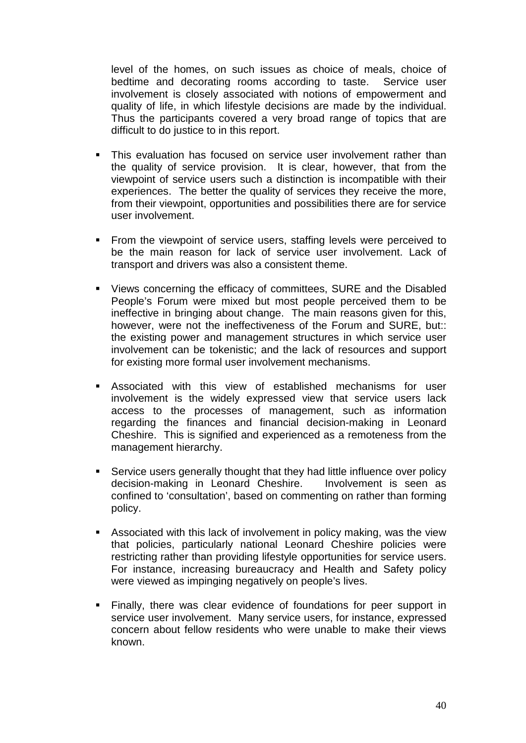level of the homes, on such issues as choice of meals, choice of bedtime and decorating rooms according to taste. Service user involvement is closely associated with notions of empowerment and quality of life, in which lifestyle decisions are made by the individual. Thus the participants covered a very broad range of topics that are difficult to do justice to in this report.

- This evaluation has focused on service user involvement rather than the quality of service provision. It is clear, however, that from the viewpoint of service users such a distinction is incompatible with their experiences. The better the quality of services they receive the more, from their viewpoint, opportunities and possibilities there are for service user involvement.
- From the viewpoint of service users, staffing levels were perceived to be the main reason for lack of service user involvement. Lack of transport and drivers was also a consistent theme.
- Views concerning the efficacy of committees, SURE and the Disabled People's Forum were mixed but most people perceived them to be ineffective in bringing about change. The main reasons given for this, however, were not the ineffectiveness of the Forum and SURE, but:: the existing power and management structures in which service user involvement can be tokenistic; and the lack of resources and support for existing more formal user involvement mechanisms.
- Associated with this view of established mechanisms for user involvement is the widely expressed view that service users lack access to the processes of management, such as information regarding the finances and financial decision-making in Leonard Cheshire. This is signified and experienced as a remoteness from the management hierarchy.
- Service users generally thought that they had little influence over policy decision-making in Leonard Cheshire. Involvement is seen as confined to 'consultation', based on commenting on rather than forming policy.
- Associated with this lack of involvement in policy making, was the view that policies, particularly national Leonard Cheshire policies were restricting rather than providing lifestyle opportunities for service users. For instance, increasing bureaucracy and Health and Safety policy were viewed as impinging negatively on people's lives.
- Finally, there was clear evidence of foundations for peer support in service user involvement. Many service users, for instance, expressed concern about fellow residents who were unable to make their views known.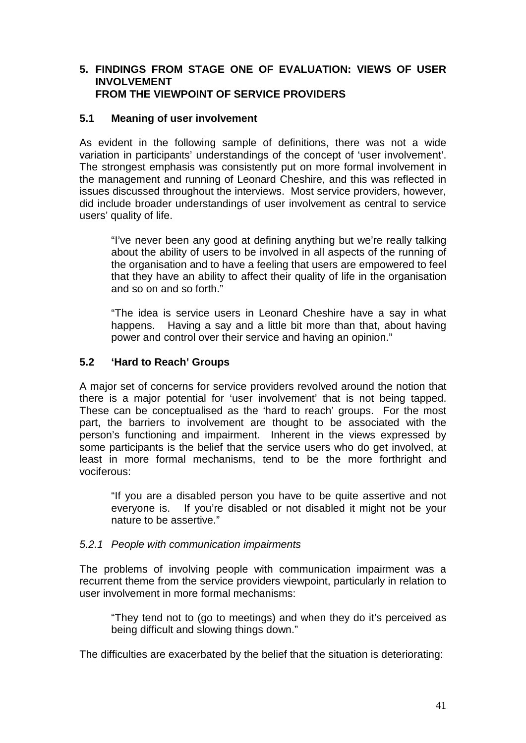#### **5. FINDINGS FROM STAGE ONE OF EVALUATION: VIEWS OF USER INVOLVEMENT FROM THE VIEWPOINT OF SERVICE PROVIDERS**

## **5.1 Meaning of user involvement**

As evident in the following sample of definitions, there was not a wide variation in participants' understandings of the concept of 'user involvement'. The strongest emphasis was consistently put on more formal involvement in the management and running of Leonard Cheshire, and this was reflected in issues discussed throughout the interviews. Most service providers, however, did include broader understandings of user involvement as central to service users' quality of life.

"I've never been any good at defining anything but we're really talking about the ability of users to be involved in all aspects of the running of the organisation and to have a feeling that users are empowered to feel that they have an ability to affect their quality of life in the organisation and so on and so forth."

"The idea is service users in Leonard Cheshire have a say in what happens. Having a say and a little bit more than that, about having power and control over their service and having an opinion."

## **5.2 'Hard to Reach' Groups**

A major set of concerns for service providers revolved around the notion that there is a major potential for 'user involvement' that is not being tapped. These can be conceptualised as the 'hard to reach' groups. For the most part, the barriers to involvement are thought to be associated with the person's functioning and impairment. Inherent in the views expressed by some participants is the belief that the service users who do get involved, at least in more formal mechanisms, tend to be the more forthright and vociferous:

"If you are a disabled person you have to be quite assertive and not everyone is. If you're disabled or not disabled it might not be your nature to be assertive."

## *5.2.1 People with communication impairments*

The problems of involving people with communication impairment was a recurrent theme from the service providers viewpoint, particularly in relation to user involvement in more formal mechanisms:

"They tend not to (go to meetings) and when they do it's perceived as being difficult and slowing things down."

The difficulties are exacerbated by the belief that the situation is deteriorating: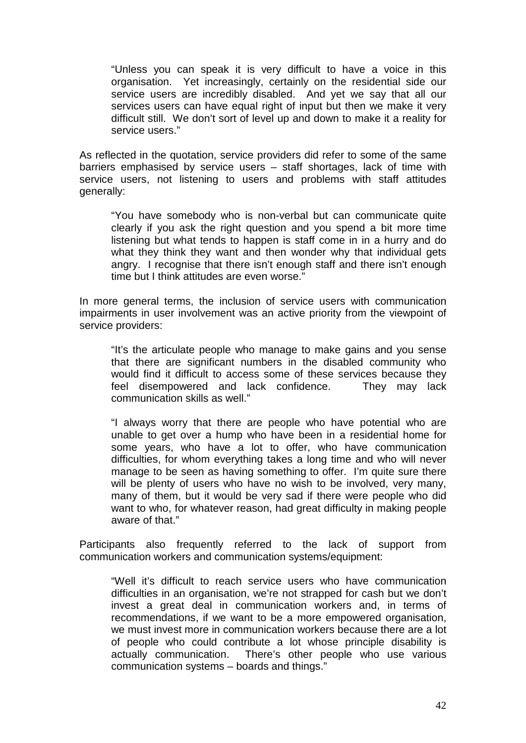"Unless you can speak it is very difficult to have a voice in this organisation. Yet increasingly, certainly on the residential side our service users are incredibly disabled. And yet we say that all our services users can have equal right of input but then we make it very difficult still. We don't sort of level up and down to make it a reality for service users."

As reflected in the quotation, service providers did refer to some of the same barriers emphasised by service users – staff shortages, lack of time with service users, not listening to users and problems with staff attitudes generally:

"You have somebody who is non-verbal but can communicate quite clearly if you ask the right question and you spend a bit more time listening but what tends to happen is staff come in in a hurry and do what they think they want and then wonder why that individual gets angry. I recognise that there isn't enough staff and there isn't enough time but I think attitudes are even worse."

In more general terms, the inclusion of service users with communication impairments in user involvement was an active priority from the viewpoint of service providers:

"It's the articulate people who manage to make gains and you sense that there are significant numbers in the disabled community who would find it difficult to access some of these services because they feel disempowered and lack confidence. They may lack communication skills as well."

"I always worry that there are people who have potential who are unable to get over a hump who have been in a residential home for some years, who have a lot to offer, who have communication difficulties, for whom everything takes a long time and who will never manage to be seen as having something to offer. I'm quite sure there will be plenty of users who have no wish to be involved, very many, many of them, but it would be very sad if there were people who did want to who, for whatever reason, had great difficulty in making people aware of that."

Participants also frequently referred to the lack of support from communication workers and communication systems/equipment:

"Well it's difficult to reach service users who have communication difficulties in an organisation, we're not strapped for cash but we don't invest a great deal in communication workers and, in terms of recommendations, if we want to be a more empowered organisation, we must invest more in communication workers because there are a lot of people who could contribute a lot whose principle disability is actually communication. There's other people who use various communication systems – boards and things."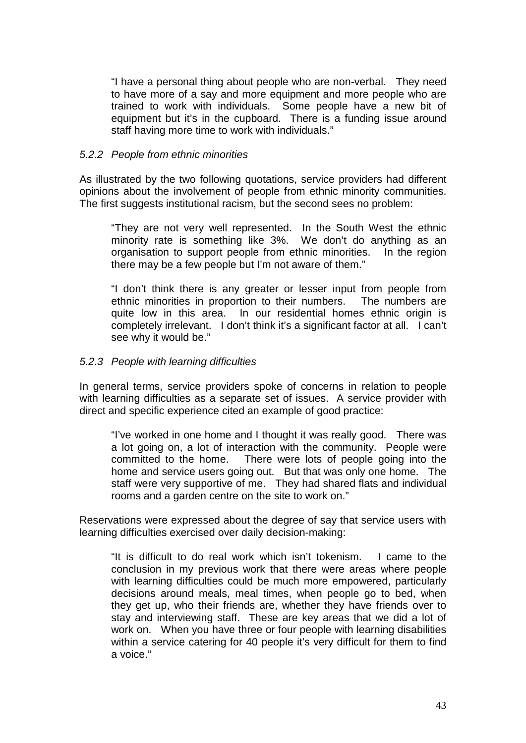"I have a personal thing about people who are non-verbal. They need to have more of a say and more equipment and more people who are trained to work with individuals. Some people have a new bit of equipment but it's in the cupboard. There is a funding issue around staff having more time to work with individuals."

#### *5.2.2 People from ethnic minorities*

As illustrated by the two following quotations, service providers had different opinions about the involvement of people from ethnic minority communities. The first suggests institutional racism, but the second sees no problem:

"They are not very well represented. In the South West the ethnic minority rate is something like 3%. We don't do anything as an organisation to support people from ethnic minorities. In the region there may be a few people but I'm not aware of them."

"I don't think there is any greater or lesser input from people from ethnic minorities in proportion to their numbers. The numbers are quite low in this area. In our residential homes ethnic origin is completely irrelevant. I don't think it's a significant factor at all. I can't see why it would be."

## *5.2.3 People with learning difficulties*

In general terms, service providers spoke of concerns in relation to people with learning difficulties as a separate set of issues. A service provider with direct and specific experience cited an example of good practice:

"I've worked in one home and I thought it was really good. There was a lot going on, a lot of interaction with the community. People were committed to the home. There were lots of people going into the home and service users going out. But that was only one home. The staff were very supportive of me. They had shared flats and individual rooms and a garden centre on the site to work on."

Reservations were expressed about the degree of say that service users with learning difficulties exercised over daily decision-making:

"It is difficult to do real work which isn't tokenism. I came to the conclusion in my previous work that there were areas where people with learning difficulties could be much more empowered, particularly decisions around meals, meal times, when people go to bed, when they get up, who their friends are, whether they have friends over to stay and interviewing staff. These are key areas that we did a lot of work on. When you have three or four people with learning disabilities within a service catering for 40 people it's very difficult for them to find a voice."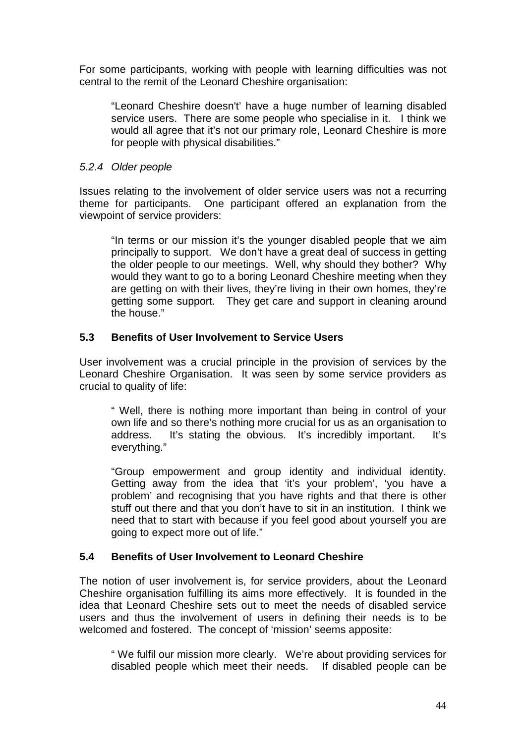For some participants, working with people with learning difficulties was not central to the remit of the Leonard Cheshire organisation:

"Leonard Cheshire doesn't' have a huge number of learning disabled service users. There are some people who specialise in it. I think we would all agree that it's not our primary role, Leonard Cheshire is more for people with physical disabilities."

## *5.2.4 Older people*

Issues relating to the involvement of older service users was not a recurring theme for participants. One participant offered an explanation from the viewpoint of service providers:

"In terms or our mission it's the younger disabled people that we aim principally to support. We don't have a great deal of success in getting the older people to our meetings. Well, why should they bother? Why would they want to go to a boring Leonard Cheshire meeting when they are getting on with their lives, they're living in their own homes, they're getting some support. They get care and support in cleaning around the house."

## **5.3 Benefits of User Involvement to Service Users**

User involvement was a crucial principle in the provision of services by the Leonard Cheshire Organisation. It was seen by some service providers as crucial to quality of life:

" Well, there is nothing more important than being in control of your own life and so there's nothing more crucial for us as an organisation to address. It's stating the obvious. It's incredibly important. It's everything."

"Group empowerment and group identity and individual identity. Getting away from the idea that 'it's your problem', 'you have a problem' and recognising that you have rights and that there is other stuff out there and that you don't have to sit in an institution. I think we need that to start with because if you feel good about yourself you are going to expect more out of life."

## **5.4 Benefits of User Involvement to Leonard Cheshire**

The notion of user involvement is, for service providers, about the Leonard Cheshire organisation fulfilling its aims more effectively. It is founded in the idea that Leonard Cheshire sets out to meet the needs of disabled service users and thus the involvement of users in defining their needs is to be welcomed and fostered. The concept of 'mission' seems apposite:

" We fulfil our mission more clearly. We're about providing services for disabled people which meet their needs. If disabled people can be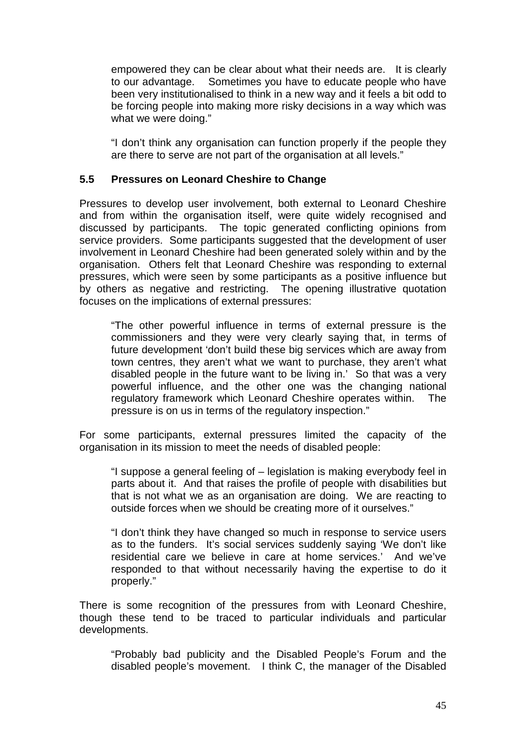empowered they can be clear about what their needs are. It is clearly to our advantage. Sometimes you have to educate people who have been very institutionalised to think in a new way and it feels a bit odd to be forcing people into making more risky decisions in a way which was what we were doing."

"I don't think any organisation can function properly if the people they are there to serve are not part of the organisation at all levels."

# **5.5 Pressures on Leonard Cheshire to Change**

Pressures to develop user involvement, both external to Leonard Cheshire and from within the organisation itself, were quite widely recognised and discussed by participants. The topic generated conflicting opinions from service providers. Some participants suggested that the development of user involvement in Leonard Cheshire had been generated solely within and by the organisation. Others felt that Leonard Cheshire was responding to external pressures, which were seen by some participants as a positive influence but by others as negative and restricting. The opening illustrative quotation focuses on the implications of external pressures:

"The other powerful influence in terms of external pressure is the commissioners and they were very clearly saying that, in terms of future development 'don't build these big services which are away from town centres, they aren't what we want to purchase, they aren't what disabled people in the future want to be living in.' So that was a very powerful influence, and the other one was the changing national regulatory framework which Leonard Cheshire operates within. The pressure is on us in terms of the regulatory inspection."

For some participants, external pressures limited the capacity of the organisation in its mission to meet the needs of disabled people:

"I suppose a general feeling of – legislation is making everybody feel in parts about it. And that raises the profile of people with disabilities but that is not what we as an organisation are doing. We are reacting to outside forces when we should be creating more of it ourselves."

"I don't think they have changed so much in response to service users as to the funders. It's social services suddenly saying 'We don't like residential care we believe in care at home services.' And we've responded to that without necessarily having the expertise to do it properly."

There is some recognition of the pressures from with Leonard Cheshire, though these tend to be traced to particular individuals and particular developments.

"Probably bad publicity and the Disabled People's Forum and the disabled people's movement. I think C, the manager of the Disabled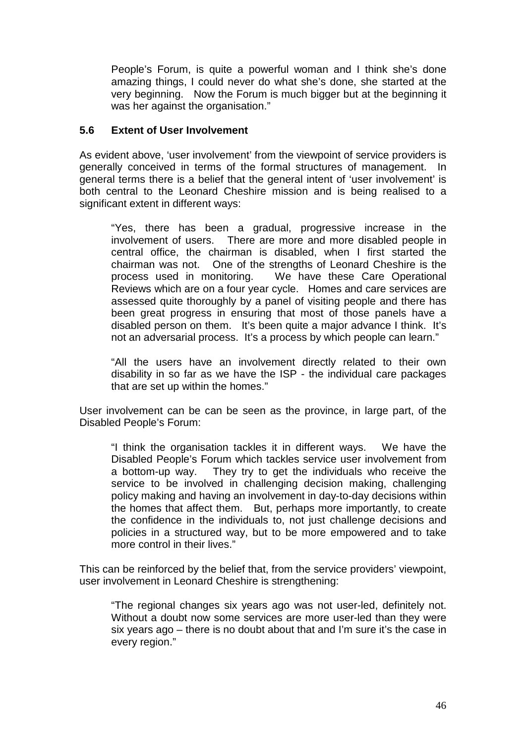People's Forum, is quite a powerful woman and I think she's done amazing things, I could never do what she's done, she started at the very beginning. Now the Forum is much bigger but at the beginning it was her against the organisation."

## **5.6 Extent of User Involvement**

As evident above, 'user involvement' from the viewpoint of service providers is generally conceived in terms of the formal structures of management. In general terms there is a belief that the general intent of 'user involvement' is both central to the Leonard Cheshire mission and is being realised to a significant extent in different ways:

"Yes, there has been a gradual, progressive increase in the involvement of users. There are more and more disabled people in central office, the chairman is disabled, when I first started the chairman was not. One of the strengths of Leonard Cheshire is the process used in monitoring. We have these Care Operational We have these Care Operational Reviews which are on a four year cycle. Homes and care services are assessed quite thoroughly by a panel of visiting people and there has been great progress in ensuring that most of those panels have a disabled person on them. It's been quite a major advance I think. It's not an adversarial process. It's a process by which people can learn."

"All the users have an involvement directly related to their own disability in so far as we have the ISP - the individual care packages that are set up within the homes."

User involvement can be can be seen as the province, in large part, of the Disabled People's Forum:

"I think the organisation tackles it in different ways. We have the Disabled People's Forum which tackles service user involvement from<br>a bottom-up way. They try to get the individuals who receive the They try to get the individuals who receive the service to be involved in challenging decision making, challenging policy making and having an involvement in day-to-day decisions within the homes that affect them. But, perhaps more importantly, to create the confidence in the individuals to, not just challenge decisions and policies in a structured way, but to be more empowered and to take more control in their lives."

This can be reinforced by the belief that, from the service providers' viewpoint, user involvement in Leonard Cheshire is strengthening:

"The regional changes six years ago was not user-led, definitely not. Without a doubt now some services are more user-led than they were six years ago – there is no doubt about that and I'm sure it's the case in every region."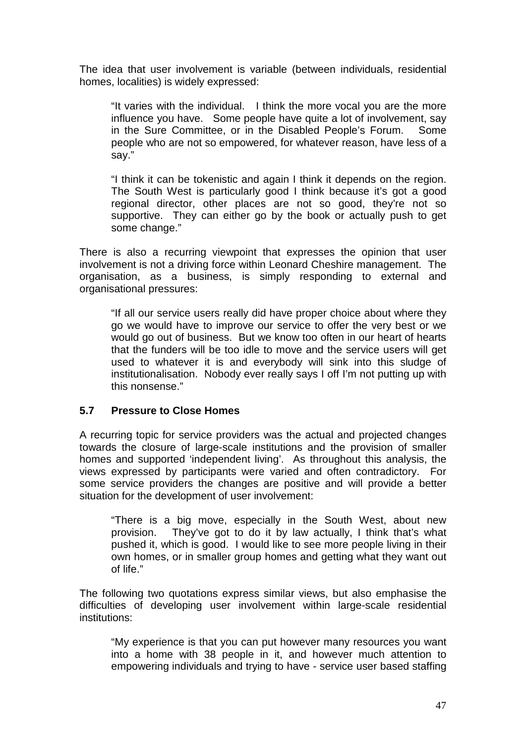The idea that user involvement is variable (between individuals, residential homes, localities) is widely expressed:

"It varies with the individual. I think the more vocal you are the more influence you have. Some people have quite a lot of involvement, say in the Sure Committee, or in the Disabled People's Forum. Some people who are not so empowered, for whatever reason, have less of a say."

"I think it can be tokenistic and again I think it depends on the region. The South West is particularly good I think because it's got a good regional director, other places are not so good, they're not so supportive. They can either go by the book or actually push to get some change."

There is also a recurring viewpoint that expresses the opinion that user involvement is not a driving force within Leonard Cheshire management. The organisation, as a business, is simply responding to external and organisational pressures:

"If all our service users really did have proper choice about where they go we would have to improve our service to offer the very best or we would go out of business. But we know too often in our heart of hearts that the funders will be too idle to move and the service users will get used to whatever it is and everybody will sink into this sludge of institutionalisation. Nobody ever really says I off I'm not putting up with this nonsense."

## **5.7 Pressure to Close Homes**

A recurring topic for service providers was the actual and projected changes towards the closure of large-scale institutions and the provision of smaller homes and supported 'independent living'. As throughout this analysis, the views expressed by participants were varied and often contradictory. For some service providers the changes are positive and will provide a better situation for the development of user involvement:

"There is a big move, especially in the South West, about new provision. They've got to do it by law actually, I think that's what pushed it, which is good. I would like to see more people living in their own homes, or in smaller group homes and getting what they want out of life."

The following two quotations express similar views, but also emphasise the difficulties of developing user involvement within large-scale residential institutions:

"My experience is that you can put however many resources you want into a home with 38 people in it, and however much attention to empowering individuals and trying to have - service user based staffing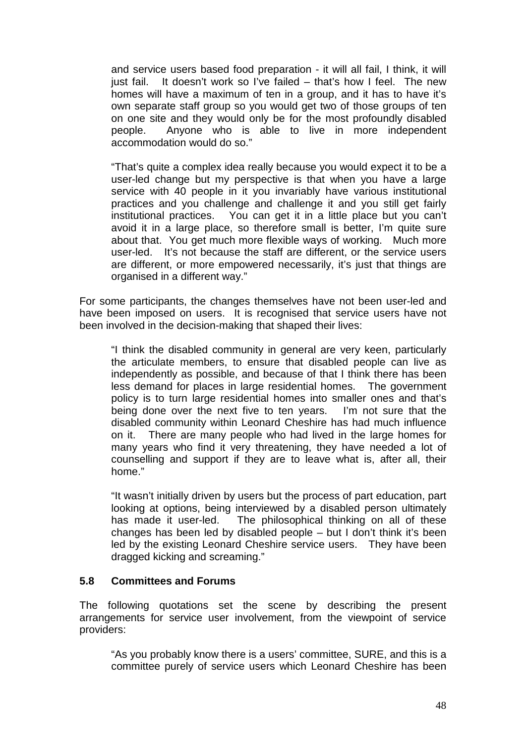and service users based food preparation - it will all fail, I think, it will just fail. It doesn't work so I've failed – that's how I feel. The new homes will have a maximum of ten in a group, and it has to have it's own separate staff group so you would get two of those groups of ten on one site and they would only be for the most profoundly disabled people. Anyone who is able to live in more independent accommodation would do so."

"That's quite a complex idea really because you would expect it to be a user-led change but my perspective is that when you have a large service with 40 people in it you invariably have various institutional practices and you challenge and challenge it and you still get fairly institutional practices. You can get it in a little place but you can't avoid it in a large place, so therefore small is better, I'm quite sure about that. You get much more flexible ways of working. Much more user-led. It's not because the staff are different, or the service users are different, or more empowered necessarily, it's just that things are organised in a different way."

For some participants, the changes themselves have not been user-led and have been imposed on users. It is recognised that service users have not been involved in the decision-making that shaped their lives:

"I think the disabled community in general are very keen, particularly the articulate members, to ensure that disabled people can live as independently as possible, and because of that I think there has been less demand for places in large residential homes. The government policy is to turn large residential homes into smaller ones and that's being done over the next five to ten years. I'm not sure that the disabled community within Leonard Cheshire has had much influence on it. There are many people who had lived in the large homes for many years who find it very threatening, they have needed a lot of counselling and support if they are to leave what is, after all, their home."

"It wasn't initially driven by users but the process of part education, part looking at options, being interviewed by a disabled person ultimately has made it user-led. The philosophical thinking on all of these changes has been led by disabled people – but I don't think it's been led by the existing Leonard Cheshire service users. They have been dragged kicking and screaming."

## **5.8 Committees and Forums**

The following quotations set the scene by describing the present arrangements for service user involvement, from the viewpoint of service providers:

"As you probably know there is a users' committee, SURE, and this is a committee purely of service users which Leonard Cheshire has been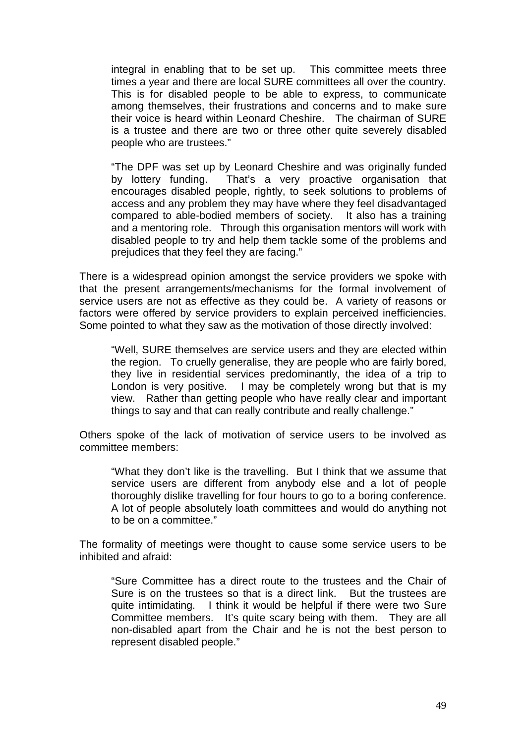integral in enabling that to be set up. This committee meets three times a year and there are local SURE committees all over the country. This is for disabled people to be able to express, to communicate among themselves, their frustrations and concerns and to make sure their voice is heard within Leonard Cheshire. The chairman of SURE is a trustee and there are two or three other quite severely disabled people who are trustees."

"The DPF was set up by Leonard Cheshire and was originally funded<br>by lottery funding. That's a very proactive organisation that That's a very proactive organisation that encourages disabled people, rightly, to seek solutions to problems of access and any problem they may have where they feel disadvantaged compared to able-bodied members of society. It also has a training and a mentoring role. Through this organisation mentors will work with disabled people to try and help them tackle some of the problems and prejudices that they feel they are facing."

There is a widespread opinion amongst the service providers we spoke with that the present arrangements/mechanisms for the formal involvement of service users are not as effective as they could be. A variety of reasons or factors were offered by service providers to explain perceived inefficiencies. Some pointed to what they saw as the motivation of those directly involved:

"Well, SURE themselves are service users and they are elected within the region. To cruelly generalise, they are people who are fairly bored, they live in residential services predominantly, the idea of a trip to London is very positive. I may be completely wrong but that is my view. Rather than getting people who have really clear and important things to say and that can really contribute and really challenge."

Others spoke of the lack of motivation of service users to be involved as committee members:

"What they don't like is the travelling. But I think that we assume that service users are different from anybody else and a lot of people thoroughly dislike travelling for four hours to go to a boring conference. A lot of people absolutely loath committees and would do anything not to be on a committee."

The formality of meetings were thought to cause some service users to be inhibited and afraid:

"Sure Committee has a direct route to the trustees and the Chair of Sure is on the trustees so that is a direct link. But the trustees are quite intimidating. I think it would be helpful if there were two Sure Committee members. It's quite scary being with them. They are all non-disabled apart from the Chair and he is not the best person to represent disabled people."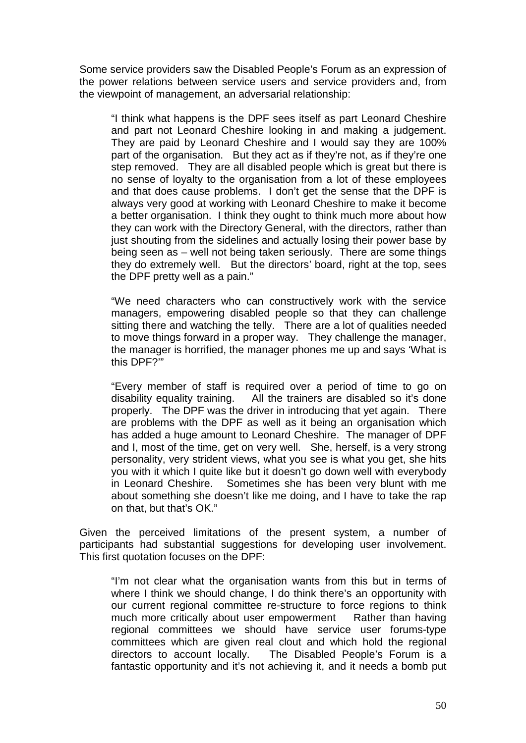Some service providers saw the Disabled People's Forum as an expression of the power relations between service users and service providers and, from the viewpoint of management, an adversarial relationship:

"I think what happens is the DPF sees itself as part Leonard Cheshire and part not Leonard Cheshire looking in and making a judgement. They are paid by Leonard Cheshire and I would say they are 100% part of the organisation. But they act as if they're not, as if they're one step removed. They are all disabled people which is great but there is no sense of loyalty to the organisation from a lot of these employees and that does cause problems. I don't get the sense that the DPF is always very good at working with Leonard Cheshire to make it become a better organisation. I think they ought to think much more about how they can work with the Directory General, with the directors, rather than just shouting from the sidelines and actually losing their power base by being seen as – well not being taken seriously. There are some things they do extremely well. But the directors' board, right at the top, sees the DPF pretty well as a pain."

"We need characters who can constructively work with the service managers, empowering disabled people so that they can challenge sitting there and watching the telly. There are a lot of qualities needed to move things forward in a proper way. They challenge the manager, the manager is horrified, the manager phones me up and says 'What is this DPF?'"

"Every member of staff is required over a period of time to go on disability equality training. All the trainers are disabled so it's done properly. The DPF was the driver in introducing that yet again. There are problems with the DPF as well as it being an organisation which has added a huge amount to Leonard Cheshire. The manager of DPF and I, most of the time, get on very well. She, herself, is a very strong personality, very strident views, what you see is what you get, she hits you with it which I quite like but it doesn't go down well with everybody in Leonard Cheshire. Sometimes she has been very blunt with me about something she doesn't like me doing, and I have to take the rap on that, but that's OK."

Given the perceived limitations of the present system, a number of participants had substantial suggestions for developing user involvement. This first quotation focuses on the DPF:

"I'm not clear what the organisation wants from this but in terms of where I think we should change, I do think there's an opportunity with our current regional committee re-structure to force regions to think much more critically about user empowerment Rather than having regional committees we should have service user forums-type committees which are given real clout and which hold the regional directors to account locally. The Disabled People's Forum is a fantastic opportunity and it's not achieving it, and it needs a bomb put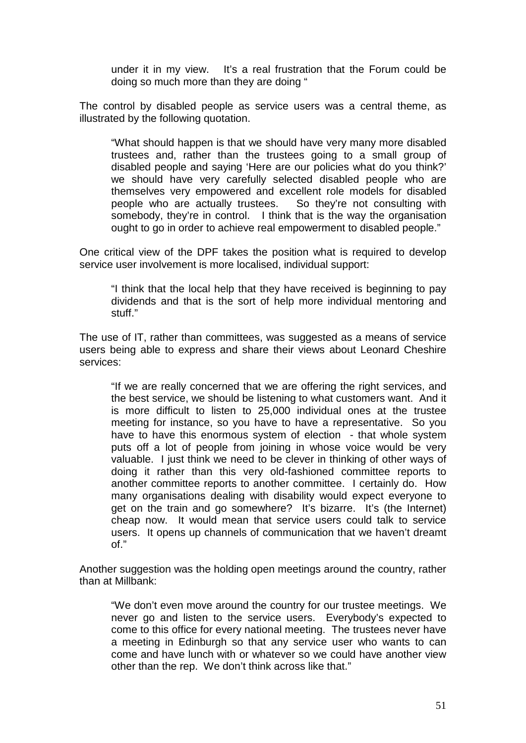under it in my view. It's a real frustration that the Forum could be doing so much more than they are doing "

The control by disabled people as service users was a central theme, as illustrated by the following quotation.

"What should happen is that we should have very many more disabled trustees and, rather than the trustees going to a small group of disabled people and saying 'Here are our policies what do you think?' we should have very carefully selected disabled people who are themselves very empowered and excellent role models for disabled people who are actually trustees. So they're not consulting with somebody, they're in control. I think that is the way the organisation ought to go in order to achieve real empowerment to disabled people."

One critical view of the DPF takes the position what is required to develop service user involvement is more localised, individual support:

"I think that the local help that they have received is beginning to pay dividends and that is the sort of help more individual mentoring and stuff."

The use of IT, rather than committees, was suggested as a means of service users being able to express and share their views about Leonard Cheshire services:

"If we are really concerned that we are offering the right services, and the best service, we should be listening to what customers want. And it is more difficult to listen to 25,000 individual ones at the trustee meeting for instance, so you have to have a representative. So you have to have this enormous system of election - that whole system puts off a lot of people from joining in whose voice would be very valuable. I just think we need to be clever in thinking of other ways of doing it rather than this very old-fashioned committee reports to another committee reports to another committee. I certainly do. How many organisations dealing with disability would expect everyone to get on the train and go somewhere? It's bizarre. It's (the Internet) cheap now. It would mean that service users could talk to service users. It opens up channels of communication that we haven't dreamt of."

Another suggestion was the holding open meetings around the country, rather than at Millbank:

"We don't even move around the country for our trustee meetings. We never go and listen to the service users. Everybody's expected to come to this office for every national meeting. The trustees never have a meeting in Edinburgh so that any service user who wants to can come and have lunch with or whatever so we could have another view other than the rep. We don't think across like that."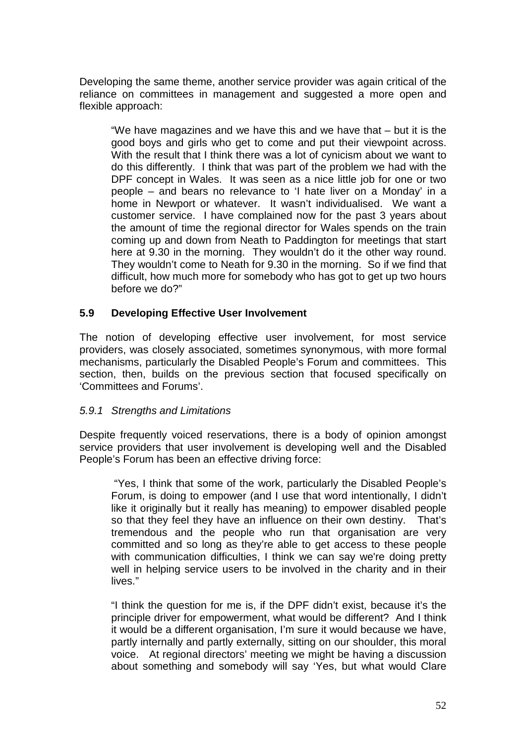Developing the same theme, another service provider was again critical of the reliance on committees in management and suggested a more open and flexible approach:

"We have magazines and we have this and we have that – but it is the good boys and girls who get to come and put their viewpoint across. With the result that I think there was a lot of cynicism about we want to do this differently. I think that was part of the problem we had with the DPF concept in Wales. It was seen as a nice little job for one or two people – and bears no relevance to 'I hate liver on a Monday' in a home in Newport or whatever. It wasn't individualised. We want a customer service. I have complained now for the past 3 years about the amount of time the regional director for Wales spends on the train coming up and down from Neath to Paddington for meetings that start here at 9.30 in the morning. They wouldn't do it the other way round. They wouldn't come to Neath for 9.30 in the morning. So if we find that difficult, how much more for somebody who has got to get up two hours before we do?"

## **5.9 Developing Effective User Involvement**

The notion of developing effective user involvement, for most service providers, was closely associated, sometimes synonymous, with more formal mechanisms, particularly the Disabled People's Forum and committees. This section, then, builds on the previous section that focused specifically on 'Committees and Forums'.

## *5.9.1 Strengths and Limitations*

Despite frequently voiced reservations, there is a body of opinion amongst service providers that user involvement is developing well and the Disabled People's Forum has been an effective driving force:

"Yes, I think that some of the work, particularly the Disabled People's Forum, is doing to empower (and I use that word intentionally, I didn't like it originally but it really has meaning) to empower disabled people so that they feel they have an influence on their own destiny. That's tremendous and the people who run that organisation are very committed and so long as they're able to get access to these people with communication difficulties, I think we can say we're doing pretty well in helping service users to be involved in the charity and in their lives."

"I think the question for me is, if the DPF didn't exist, because it's the principle driver for empowerment, what would be different? And I think it would be a different organisation, I'm sure it would because we have, partly internally and partly externally, sitting on our shoulder, this moral voice. At regional directors' meeting we might be having a discussion about something and somebody will say 'Yes, but what would Clare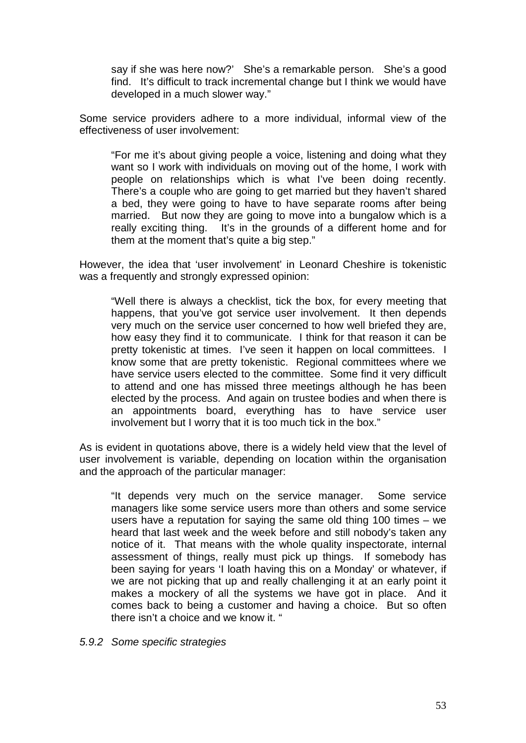say if she was here now?' She's a remarkable person. She's a good find. It's difficult to track incremental change but I think we would have developed in a much slower way."

Some service providers adhere to a more individual, informal view of the effectiveness of user involvement:

"For me it's about giving people a voice, listening and doing what they want so I work with individuals on moving out of the home, I work with people on relationships which is what I've been doing recently. There's a couple who are going to get married but they haven't shared a bed, they were going to have to have separate rooms after being married. But now they are going to move into a bungalow which is a really exciting thing. It's in the grounds of a different home and for them at the moment that's quite a big step."

However, the idea that 'user involvement' in Leonard Cheshire is tokenistic was a frequently and strongly expressed opinion:

"Well there is always a checklist, tick the box, for every meeting that happens, that you've got service user involvement. It then depends very much on the service user concerned to how well briefed they are, how easy they find it to communicate. I think for that reason it can be pretty tokenistic at times. I've seen it happen on local committees. I know some that are pretty tokenistic. Regional committees where we have service users elected to the committee. Some find it very difficult to attend and one has missed three meetings although he has been elected by the process. And again on trustee bodies and when there is an appointments board, everything has to have service user involvement but I worry that it is too much tick in the box."

As is evident in quotations above, there is a widely held view that the level of user involvement is variable, depending on location within the organisation and the approach of the particular manager:

"It depends very much on the service manager. Some service managers like some service users more than others and some service users have a reputation for saying the same old thing 100 times – we heard that last week and the week before and still nobody's taken any notice of it. That means with the whole quality inspectorate, internal assessment of things, really must pick up things. If somebody has been saying for years 'I loath having this on a Monday' or whatever, if we are not picking that up and really challenging it at an early point it makes a mockery of all the systems we have got in place. And it comes back to being a customer and having a choice. But so often there isn't a choice and we know it. "

*5.9.2 Some specific strategies*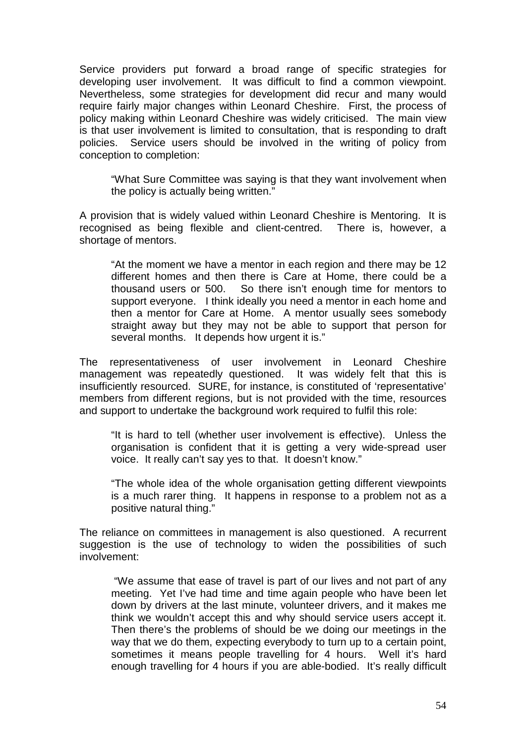Service providers put forward a broad range of specific strategies for developing user involvement. It was difficult to find a common viewpoint. Nevertheless, some strategies for development did recur and many would require fairly major changes within Leonard Cheshire. First, the process of policy making within Leonard Cheshire was widely criticised. The main view is that user involvement is limited to consultation, that is responding to draft policies. Service users should be involved in the writing of policy from conception to completion:

"What Sure Committee was saying is that they want involvement when the policy is actually being written."

A provision that is widely valued within Leonard Cheshire is Mentoring. It is recognised as being flexible and client-centred. There is, however, a shortage of mentors.

"At the moment we have a mentor in each region and there may be 12 different homes and then there is Care at Home, there could be a thousand users or 500. So there isn't enough time for mentors to support everyone. I think ideally you need a mentor in each home and then a mentor for Care at Home. A mentor usually sees somebody straight away but they may not be able to support that person for several months. It depends how urgent it is."

The representativeness of user involvement in Leonard Cheshire management was repeatedly questioned. It was widely felt that this is insufficiently resourced. SURE, for instance, is constituted of 'representative' members from different regions, but is not provided with the time, resources and support to undertake the background work required to fulfil this role:

"It is hard to tell (whether user involvement is effective). Unless the organisation is confident that it is getting a very wide-spread user voice. It really can't say yes to that. It doesn't know."

"The whole idea of the whole organisation getting different viewpoints is a much rarer thing. It happens in response to a problem not as a positive natural thing."

The reliance on committees in management is also questioned. A recurrent suggestion is the use of technology to widen the possibilities of such involvement:

"We assume that ease of travel is part of our lives and not part of any meeting. Yet I've had time and time again people who have been let down by drivers at the last minute, volunteer drivers, and it makes me think we wouldn't accept this and why should service users accept it. Then there's the problems of should be we doing our meetings in the way that we do them, expecting everybody to turn up to a certain point, sometimes it means people travelling for 4 hours. Well it's hard enough travelling for 4 hours if you are able-bodied. It's really difficult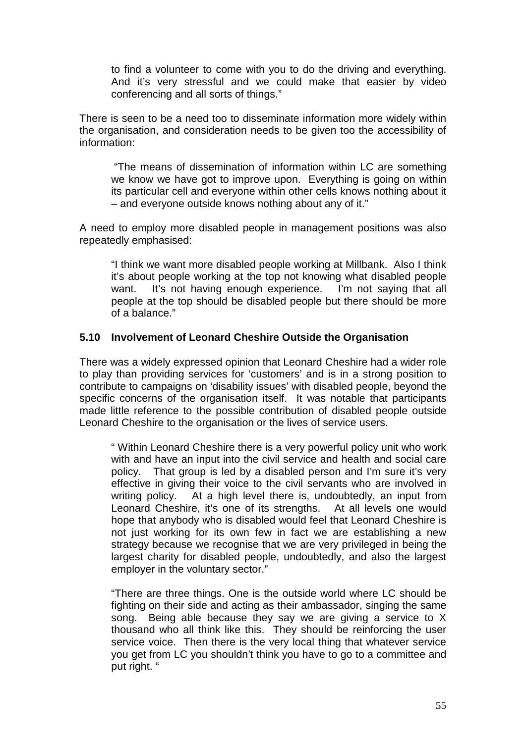to find a volunteer to come with you to do the driving and everything. And it's very stressful and we could make that easier by video conferencing and all sorts of things."

There is seen to be a need too to disseminate information more widely within the organisation, and consideration needs to be given too the accessibility of information:

"The means of dissemination of information within LC are something we know we have got to improve upon. Everything is going on within its particular cell and everyone within other cells knows nothing about it – and everyone outside knows nothing about any of it."

A need to employ more disabled people in management positions was also repeatedly emphasised:

"I think we want more disabled people working at Millbank. Also I think it's about people working at the top not knowing what disabled people want. It's not having enough experience. I'm not saying that all people at the top should be disabled people but there should be more of a balance."

## **5.10 Involvement of Leonard Cheshire Outside the Organisation**

There was a widely expressed opinion that Leonard Cheshire had a wider role to play than providing services for 'customers' and is in a strong position to contribute to campaigns on 'disability issues' with disabled people, beyond the specific concerns of the organisation itself. It was notable that participants made little reference to the possible contribution of disabled people outside Leonard Cheshire to the organisation or the lives of service users.

" Within Leonard Cheshire there is a very powerful policy unit who work with and have an input into the civil service and health and social care policy. That group is led by a disabled person and I'm sure it's very effective in giving their voice to the civil servants who are involved in writing policy. At a high level there is, undoubtedly, an input from Leonard Cheshire, it's one of its strengths. At all levels one would hope that anybody who is disabled would feel that Leonard Cheshire is not just working for its own few in fact we are establishing a new strategy because we recognise that we are very privileged in being the largest charity for disabled people, undoubtedly, and also the largest employer in the voluntary sector."

"There are three things. One is the outside world where LC should be fighting on their side and acting as their ambassador, singing the same song. Being able because they say we are giving a service to X thousand who all think like this. They should be reinforcing the user service voice. Then there is the very local thing that whatever service you get from LC you shouldn't think you have to go to a committee and put right. "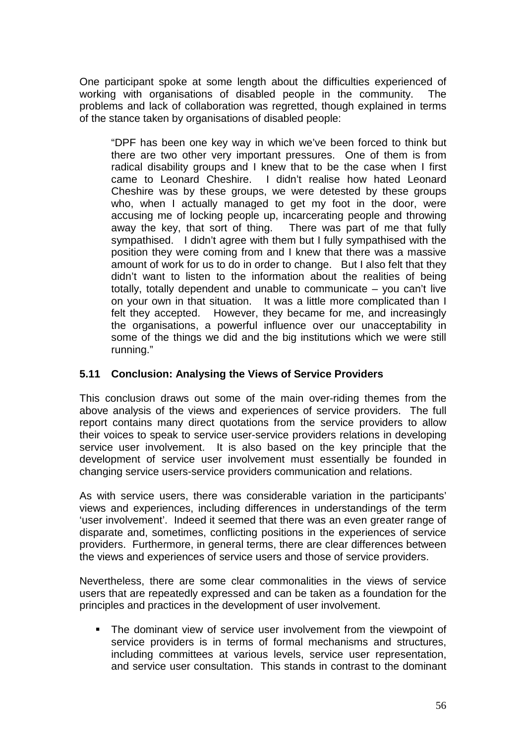One participant spoke at some length about the difficulties experienced of working with organisations of disabled people in the community. The problems and lack of collaboration was regretted, though explained in terms of the stance taken by organisations of disabled people:

"DPF has been one key way in which we've been forced to think but there are two other very important pressures. One of them is from radical disability groups and I knew that to be the case when I first came to Leonard Cheshire. I didn't realise how hated Leonard came to Leonard Cheshire. I didn't realise how hated Leonard Cheshire was by these groups, we were detested by these groups who, when I actually managed to get my foot in the door, were accusing me of locking people up, incarcerating people and throwing away the key, that sort of thing. There was part of me that fully sympathised. I didn't agree with them but I fully sympathised with the position they were coming from and I knew that there was a massive amount of work for us to do in order to change. But I also felt that they didn't want to listen to the information about the realities of being totally, totally dependent and unable to communicate – you can't live on your own in that situation. It was a little more complicated than I felt they accepted. However, they became for me, and increasingly the organisations, a powerful influence over our unacceptability in some of the things we did and the big institutions which we were still running."

# **5.11 Conclusion: Analysing the Views of Service Providers**

This conclusion draws out some of the main over-riding themes from the above analysis of the views and experiences of service providers. The full report contains many direct quotations from the service providers to allow their voices to speak to service user-service providers relations in developing service user involvement. It is also based on the key principle that the development of service user involvement must essentially be founded in changing service users-service providers communication and relations.

As with service users, there was considerable variation in the participants' views and experiences, including differences in understandings of the term 'user involvement'. Indeed it seemed that there was an even greater range of disparate and, sometimes, conflicting positions in the experiences of service providers. Furthermore, in general terms, there are clear differences between the views and experiences of service users and those of service providers.

Nevertheless, there are some clear commonalities in the views of service users that are repeatedly expressed and can be taken as a foundation for the principles and practices in the development of user involvement.

 The dominant view of service user involvement from the viewpoint of service providers is in terms of formal mechanisms and structures, including committees at various levels, service user representation, and service user consultation. This stands in contrast to the dominant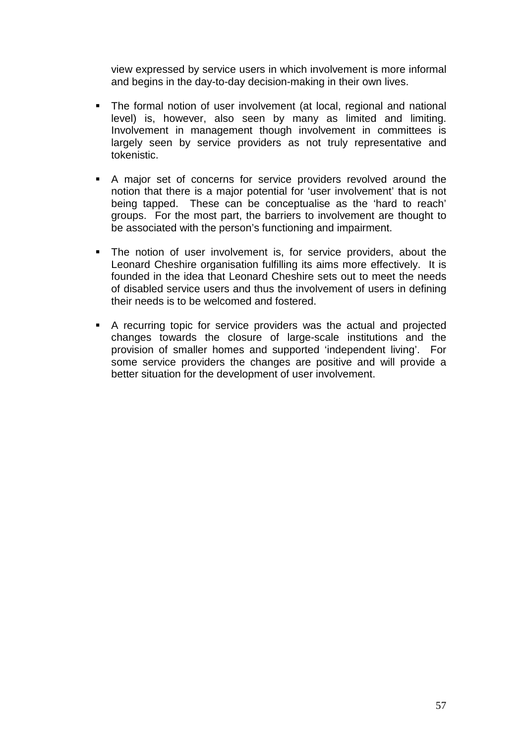view expressed by service users in which involvement is more informal and begins in the day-to-day decision-making in their own lives.

- The formal notion of user involvement (at local, regional and national level) is, however, also seen by many as limited and limiting. Involvement in management though involvement in committees is largely seen by service providers as not truly representative and tokenistic.
- A major set of concerns for service providers revolved around the notion that there is a major potential for 'user involvement' that is not being tapped. These can be conceptualise as the 'hard to reach' groups. For the most part, the barriers to involvement are thought to be associated with the person's functioning and impairment.
- The notion of user involvement is, for service providers, about the Leonard Cheshire organisation fulfilling its aims more effectively. It is founded in the idea that Leonard Cheshire sets out to meet the needs of disabled service users and thus the involvement of users in defining their needs is to be welcomed and fostered.
- A recurring topic for service providers was the actual and projected changes towards the closure of large-scale institutions and the provision of smaller homes and supported 'independent living'. For some service providers the changes are positive and will provide a better situation for the development of user involvement.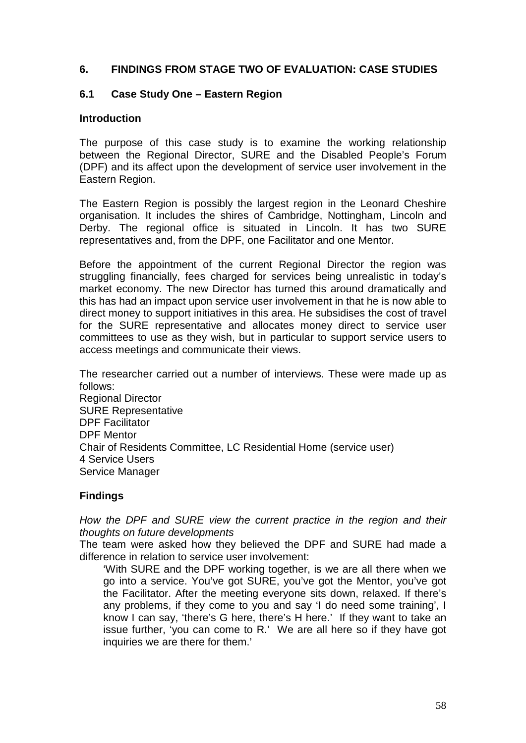# **6. FINDINGS FROM STAGE TWO OF EVALUATION: CASE STUDIES**

## **6.1 Case Study One – Eastern Region**

#### **Introduction**

The purpose of this case study is to examine the working relationship between the Regional Director, SURE and the Disabled People's Forum (DPF) and its affect upon the development of service user involvement in the Eastern Region.

The Eastern Region is possibly the largest region in the Leonard Cheshire organisation. It includes the shires of Cambridge, Nottingham, Lincoln and Derby. The regional office is situated in Lincoln. It has two SURE representatives and, from the DPF, one Facilitator and one Mentor.

Before the appointment of the current Regional Director the region was struggling financially, fees charged for services being unrealistic in today's market economy. The new Director has turned this around dramatically and this has had an impact upon service user involvement in that he is now able to direct money to support initiatives in this area. He subsidises the cost of travel for the SURE representative and allocates money direct to service user committees to use as they wish, but in particular to support service users to access meetings and communicate their views.

The researcher carried out a number of interviews. These were made up as follows: Regional Director SURE Representative DPF Facilitator DPF Mentor Chair of Residents Committee, LC Residential Home (service user) 4 Service Users Service Manager

## **Findings**

*How the DPF and SURE view the current practice in the region and their thoughts on future developments*

The team were asked how they believed the DPF and SURE had made a difference in relation to service user involvement:

'With SURE and the DPF working together, is we are all there when we go into a service. You've got SURE, you've got the Mentor, you've got the Facilitator. After the meeting everyone sits down, relaxed. If there's any problems, if they come to you and say 'I do need some training', I know I can say, 'there's G here, there's H here.' If they want to take an issue further, 'you can come to R.' We are all here so if they have got inquiries we are there for them.'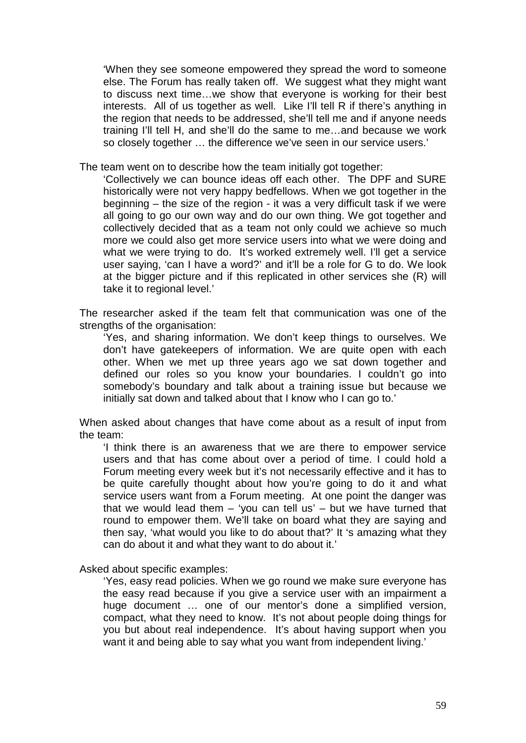'When they see someone empowered they spread the word to someone else. The Forum has really taken off. We suggest what they might want to discuss next time…we show that everyone is working for their best interests. All of us together as well. Like I'll tell R if there's anything in the region that needs to be addressed, she'll tell me and if anyone needs training I'll tell H, and she'll do the same to me…and because we work so closely together … the difference we've seen in our service users.'

The team went on to describe how the team initially got together:

'Collectively we can bounce ideas off each other. The DPF and SURE historically were not very happy bedfellows. When we got together in the beginning – the size of the region - it was a very difficult task if we were all going to go our own way and do our own thing. We got together and collectively decided that as a team not only could we achieve so much more we could also get more service users into what we were doing and what we were trying to do. It's worked extremely well. I'll get a service user saying, 'can I have a word?' and it'll be a role for G to do. We look at the bigger picture and if this replicated in other services she (R) will take it to regional level.'

The researcher asked if the team felt that communication was one of the strengths of the organisation:

'Yes, and sharing information. We don't keep things to ourselves. We don't have gatekeepers of information. We are quite open with each other. When we met up three years ago we sat down together and defined our roles so you know your boundaries. I couldn't go into somebody's boundary and talk about a training issue but because we initially sat down and talked about that I know who I can go to.'

When asked about changes that have come about as a result of input from the team:

'I think there is an awareness that we are there to empower service users and that has come about over a period of time. I could hold a Forum meeting every week but it's not necessarily effective and it has to be quite carefully thought about how you're going to do it and what service users want from a Forum meeting. At one point the danger was that we would lead them  $-$  'you can tell us'  $-$  but we have turned that round to empower them. We'll take on board what they are saying and then say, 'what would you like to do about that?' It 's amazing what they can do about it and what they want to do about it.'

Asked about specific examples:

'Yes, easy read policies. When we go round we make sure everyone has the easy read because if you give a service user with an impairment a huge document … one of our mentor's done a simplified version, compact, what they need to know. It's not about people doing things for you but about real independence. It's about having support when you want it and being able to say what you want from independent living.'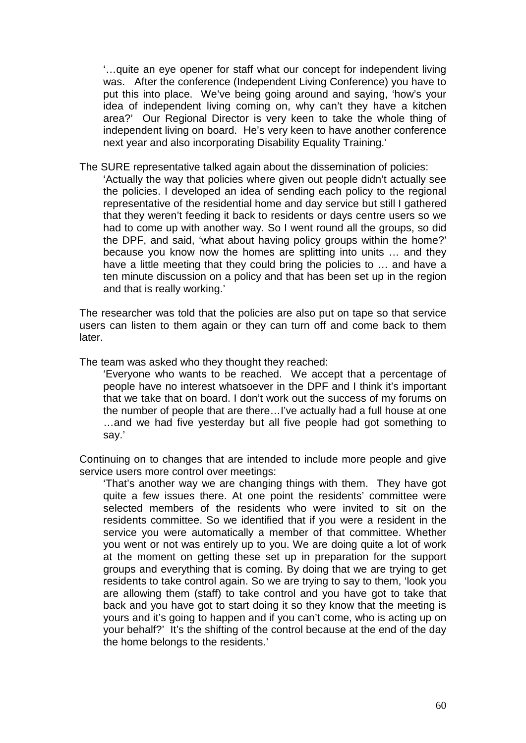'…quite an eye opener for staff what our concept for independent living was. After the conference (Independent Living Conference) you have to put this into place. We've being going around and saying, 'how's your idea of independent living coming on, why can't they have a kitchen area?' Our Regional Director is very keen to take the whole thing of independent living on board. He's very keen to have another conference next year and also incorporating Disability Equality Training.'

The SURE representative talked again about the dissemination of policies: 'Actually the way that policies where given out people didn't actually see the policies. I developed an idea of sending each policy to the regional representative of the residential home and day service but still I gathered that they weren't feeding it back to residents or days centre users so we had to come up with another way. So I went round all the groups, so did the DPF, and said, 'what about having policy groups within the home?' because you know now the homes are splitting into units … and they have a little meeting that they could bring the policies to ... and have a ten minute discussion on a policy and that has been set up in the region and that is really working.'

The researcher was told that the policies are also put on tape so that service users can listen to them again or they can turn off and come back to them later.

The team was asked who they thought they reached:

'Everyone who wants to be reached. We accept that a percentage of people have no interest whatsoever in the DPF and I think it's important that we take that on board. I don't work out the success of my forums on the number of people that are there…I've actually had a full house at one …and we had five yesterday but all five people had got something to say.'

Continuing on to changes that are intended to include more people and give service users more control over meetings:

'That's another way we are changing things with them. They have got quite a few issues there. At one point the residents' committee were selected members of the residents who were invited to sit on the residents committee. So we identified that if you were a resident in the service you were automatically a member of that committee. Whether you went or not was entirely up to you. We are doing quite a lot of work at the moment on getting these set up in preparation for the support groups and everything that is coming. By doing that we are trying to get residents to take control again. So we are trying to say to them, 'look you are allowing them (staff) to take control and you have got to take that back and you have got to start doing it so they know that the meeting is yours and it's going to happen and if you can't come, who is acting up on your behalf?' It's the shifting of the control because at the end of the day the home belongs to the residents.'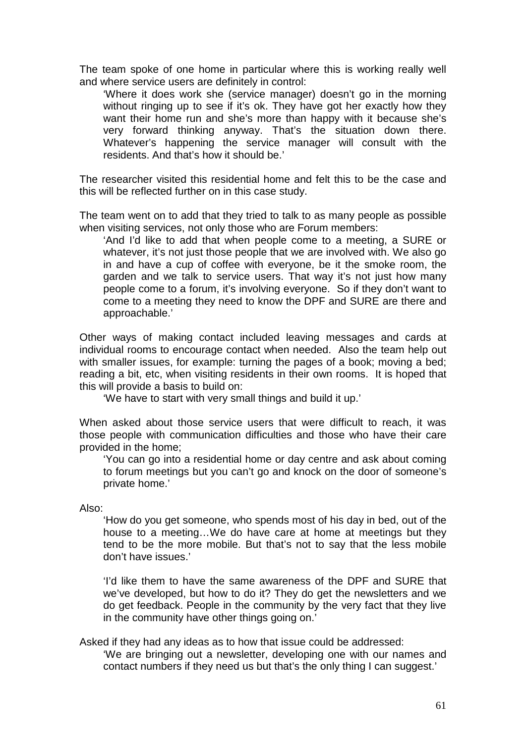The team spoke of one home in particular where this is working really well and where service users are definitely in control:

'Where it does work she (service manager) doesn't go in the morning without ringing up to see if it's ok. They have got her exactly how they want their home run and she's more than happy with it because she's very forward thinking anyway. That's the situation down there. Whatever's happening the service manager will consult with the residents. And that's how it should be.'

The researcher visited this residential home and felt this to be the case and this will be reflected further on in this case study.

The team went on to add that they tried to talk to as many people as possible when visiting services, not only those who are Forum members:

'And I'd like to add that when people come to a meeting, a SURE or whatever, it's not just those people that we are involved with. We also go in and have a cup of coffee with everyone, be it the smoke room, the garden and we talk to service users. That way it's not just how many people come to a forum, it's involving everyone. So if they don't want to come to a meeting they need to know the DPF and SURE are there and approachable.'

Other ways of making contact included leaving messages and cards at individual rooms to encourage contact when needed. Also the team help out with smaller issues, for example: turning the pages of a book; moving a bed; reading a bit, etc, when visiting residents in their own rooms. It is hoped that this will provide a basis to build on:

'We have to start with very small things and build it up.'

When asked about those service users that were difficult to reach, it was those people with communication difficulties and those who have their care provided in the home;

'You can go into a residential home or day centre and ask about coming to forum meetings but you can't go and knock on the door of someone's private home.'

Also:

'How do you get someone, who spends most of his day in bed, out of the house to a meeting…We do have care at home at meetings but they tend to be the more mobile. But that's not to say that the less mobile don't have issues.'

'I'd like them to have the same awareness of the DPF and SURE that we've developed, but how to do it? They do get the newsletters and we do get feedback. People in the community by the very fact that they live in the community have other things going on.'

Asked if they had any ideas as to how that issue could be addressed:

'We are bringing out a newsletter, developing one with our names and contact numbers if they need us but that's the only thing I can suggest.'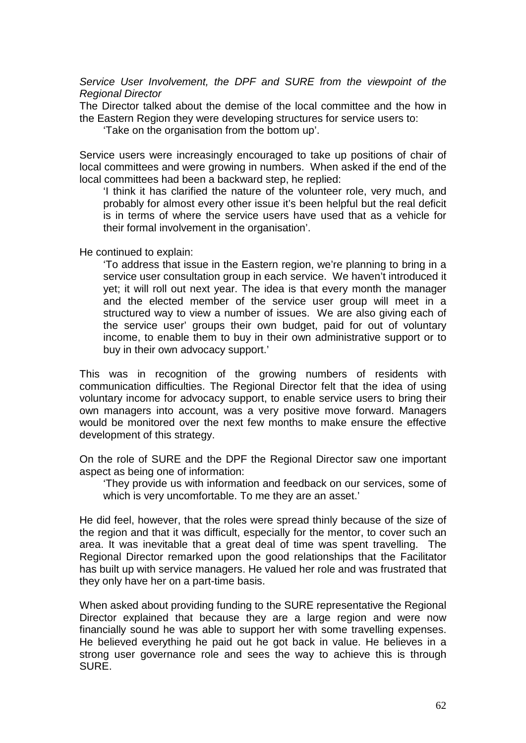*Service User Involvement, the DPF and SURE from the viewpoint of the Regional Director*

The Director talked about the demise of the local committee and the how in the Eastern Region they were developing structures for service users to:

'Take on the organisation from the bottom up'.

Service users were increasingly encouraged to take up positions of chair of local committees and were growing in numbers. When asked if the end of the local committees had been a backward step, he replied:

'I think it has clarified the nature of the volunteer role, very much, and probably for almost every other issue it's been helpful but the real deficit is in terms of where the service users have used that as a vehicle for their formal involvement in the organisation'.

He continued to explain:

'To address that issue in the Eastern region, we're planning to bring in a service user consultation group in each service. We haven't introduced it yet; it will roll out next year. The idea is that every month the manager and the elected member of the service user group will meet in a structured way to view a number of issues. We are also giving each of the service user' groups their own budget, paid for out of voluntary income, to enable them to buy in their own administrative support or to buy in their own advocacy support.'

This was in recognition of the growing numbers of residents with communication difficulties. The Regional Director felt that the idea of using voluntary income for advocacy support, to enable service users to bring their own managers into account, was a very positive move forward. Managers would be monitored over the next few months to make ensure the effective development of this strategy.

On the role of SURE and the DPF the Regional Director saw one important aspect as being one of information:

'They provide us with information and feedback on our services, some of which is very uncomfortable. To me they are an asset.'

He did feel, however, that the roles were spread thinly because of the size of the region and that it was difficult, especially for the mentor, to cover such an area. It was inevitable that a great deal of time was spent travelling. The Regional Director remarked upon the good relationships that the Facilitator has built up with service managers. He valued her role and was frustrated that they only have her on a part-time basis.

When asked about providing funding to the SURE representative the Regional Director explained that because they are a large region and were now financially sound he was able to support her with some travelling expenses. He believed everything he paid out he got back in value. He believes in a strong user governance role and sees the way to achieve this is through SURE.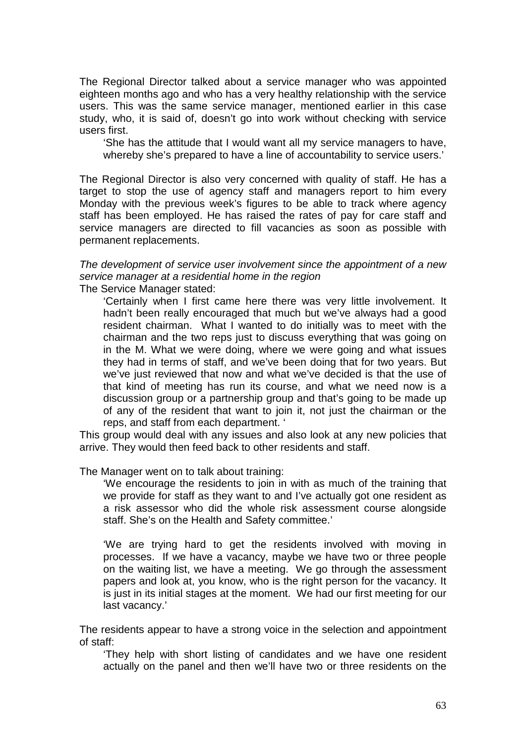The Regional Director talked about a service manager who was appointed eighteen months ago and who has a very healthy relationship with the service users. This was the same service manager, mentioned earlier in this case study, who, it is said of, doesn't go into work without checking with service users first.

'She has the attitude that I would want all my service managers to have, whereby she's prepared to have a line of accountability to service users.'

The Regional Director is also very concerned with quality of staff. He has a target to stop the use of agency staff and managers report to him every Monday with the previous week's figures to be able to track where agency staff has been employed. He has raised the rates of pay for care staff and service managers are directed to fill vacancies as soon as possible with permanent replacements.

*The development of service user involvement since the appointment of a new service manager at a residential home in the region*

The Service Manager stated:

'Certainly when I first came here there was very little involvement. It hadn't been really encouraged that much but we've always had a good resident chairman. What I wanted to do initially was to meet with the chairman and the two reps just to discuss everything that was going on in the M. What we were doing, where we were going and what issues they had in terms of staff, and we've been doing that for two years. But we've just reviewed that now and what we've decided is that the use of that kind of meeting has run its course, and what we need now is a discussion group or a partnership group and that's going to be made up of any of the resident that want to join it, not just the chairman or the reps, and staff from each department. '

This group would deal with any issues and also look at any new policies that arrive. They would then feed back to other residents and staff.

The Manager went on to talk about training:

'We encourage the residents to join in with as much of the training that we provide for staff as they want to and I've actually got one resident as a risk assessor who did the whole risk assessment course alongside staff. She's on the Health and Safety committee.'

'We are trying hard to get the residents involved with moving in processes. If we have a vacancy, maybe we have two or three people on the waiting list, we have a meeting. We go through the assessment papers and look at, you know, who is the right person for the vacancy. It is just in its initial stages at the moment. We had our first meeting for our last vacancy.'

The residents appear to have a strong voice in the selection and appointment of staff:

'They help with short listing of candidates and we have one resident actually on the panel and then we'll have two or three residents on the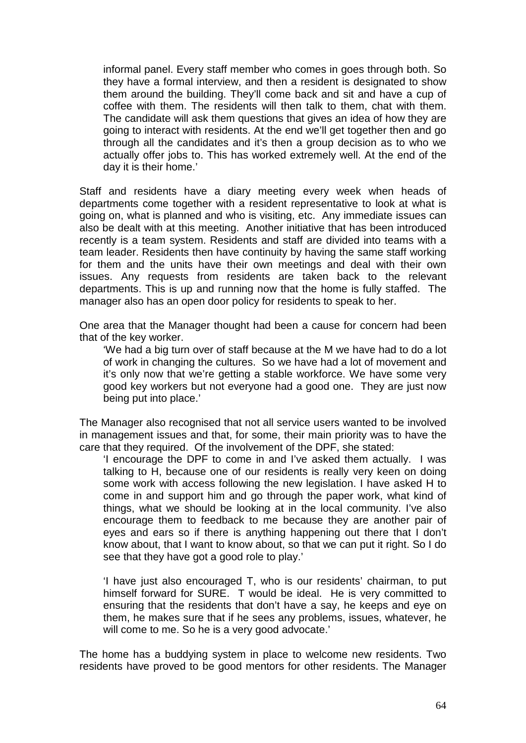informal panel. Every staff member who comes in goes through both. So they have a formal interview, and then a resident is designated to show them around the building. They'll come back and sit and have a cup of coffee with them. The residents will then talk to them, chat with them. The candidate will ask them questions that gives an idea of how they are going to interact with residents. At the end we'll get together then and go through all the candidates and it's then a group decision as to who we actually offer jobs to. This has worked extremely well. At the end of the day it is their home.'

Staff and residents have a diary meeting every week when heads of departments come together with a resident representative to look at what is going on, what is planned and who is visiting, etc. Any immediate issues can also be dealt with at this meeting. Another initiative that has been introduced recently is a team system. Residents and staff are divided into teams with a team leader. Residents then have continuity by having the same staff working for them and the units have their own meetings and deal with their own issues. Any requests from residents are taken back to the relevant departments. This is up and running now that the home is fully staffed. The manager also has an open door policy for residents to speak to her.

One area that the Manager thought had been a cause for concern had been that of the key worker.

'We had a big turn over of staff because at the M we have had to do a lot of work in changing the cultures. So we have had a lot of movement and it's only now that we're getting a stable workforce. We have some very good key workers but not everyone had a good one. They are just now being put into place.'

The Manager also recognised that not all service users wanted to be involved in management issues and that, for some, their main priority was to have the care that they required. Of the involvement of the DPF, she stated:

'I encourage the DPF to come in and I've asked them actually. I was talking to H, because one of our residents is really very keen on doing some work with access following the new legislation. I have asked H to come in and support him and go through the paper work, what kind of things, what we should be looking at in the local community. I've also encourage them to feedback to me because they are another pair of eyes and ears so if there is anything happening out there that I don't know about, that I want to know about, so that we can put it right. So I do see that they have got a good role to play.'

'I have just also encouraged T, who is our residents' chairman, to put himself forward for SURE. T would be ideal. He is very committed to ensuring that the residents that don't have a say, he keeps and eye on them, he makes sure that if he sees any problems, issues, whatever, he will come to me. So he is a very good advocate.'

The home has a buddying system in place to welcome new residents. Two residents have proved to be good mentors for other residents. The Manager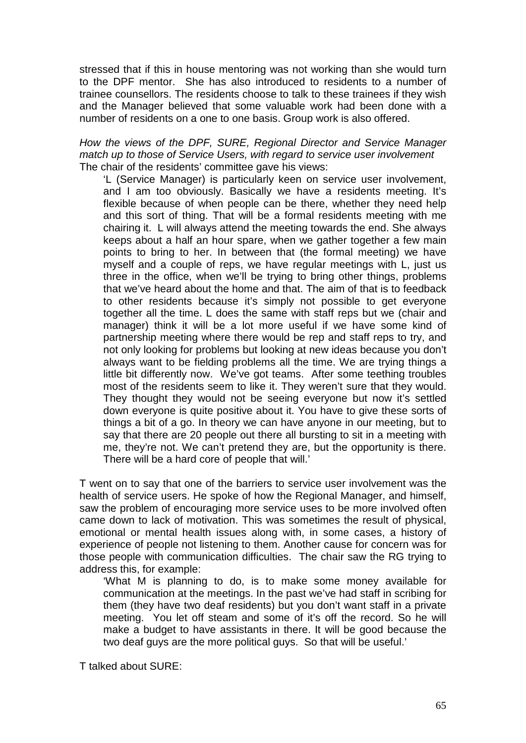stressed that if this in house mentoring was not working than she would turn to the DPF mentor. She has also introduced to residents to a number of trainee counsellors. The residents choose to talk to these trainees if they wish and the Manager believed that some valuable work had been done with a number of residents on a one to one basis. Group work is also offered.

*How the views of the DPF, SURE, Regional Director and Service Manager match up to those of Service Users, with regard to service user involvement* The chair of the residents' committee gave his views:

'L (Service Manager) is particularly keen on service user involvement, and I am too obviously. Basically we have a residents meeting. It's flexible because of when people can be there, whether they need help and this sort of thing. That will be a formal residents meeting with me chairing it. L will always attend the meeting towards the end. She always keeps about a half an hour spare, when we gather together a few main points to bring to her. In between that (the formal meeting) we have myself and a couple of reps, we have regular meetings with L, just us three in the office, when we'll be trying to bring other things, problems that we've heard about the home and that. The aim of that is to feedback to other residents because it's simply not possible to get everyone together all the time. L does the same with staff reps but we (chair and manager) think it will be a lot more useful if we have some kind of partnership meeting where there would be rep and staff reps to try, and not only looking for problems but looking at new ideas because you don't always want to be fielding problems all the time. We are trying things a little bit differently now. We've got teams. After some teething troubles most of the residents seem to like it. They weren't sure that they would. They thought they would not be seeing everyone but now it's settled down everyone is quite positive about it. You have to give these sorts of things a bit of a go. In theory we can have anyone in our meeting, but to say that there are 20 people out there all bursting to sit in a meeting with me, they're not. We can't pretend they are, but the opportunity is there. There will be a hard core of people that will.'

T went on to say that one of the barriers to service user involvement was the health of service users. He spoke of how the Regional Manager, and himself, saw the problem of encouraging more service uses to be more involved often came down to lack of motivation. This was sometimes the result of physical, emotional or mental health issues along with, in some cases, a history of experience of people not listening to them. Another cause for concern was for those people with communication difficulties. The chair saw the RG trying to address this, for example:

'What M is planning to do, is to make some money available for communication at the meetings. In the past we've had staff in scribing for them (they have two deaf residents) but you don't want staff in a private meeting. You let off steam and some of it's off the record. So he will make a budget to have assistants in there. It will be good because the two deaf guys are the more political guys. So that will be useful.'

T talked about SURE: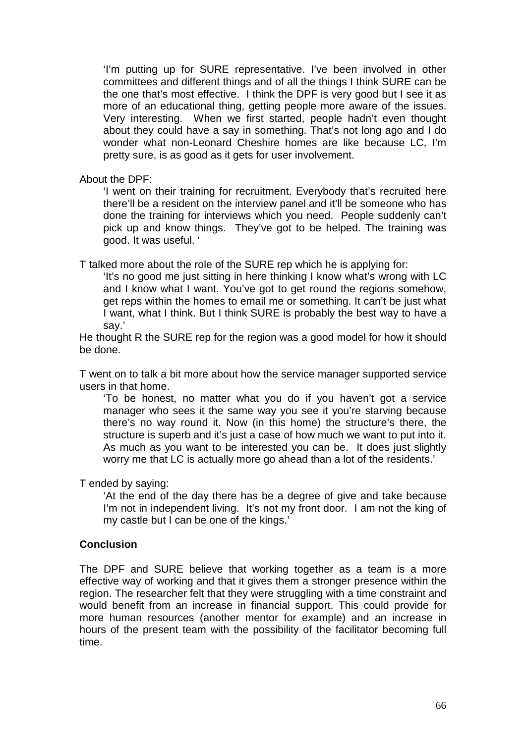'I'm putting up for SURE representative. I've been involved in other committees and different things and of all the things I think SURE can be the one that's most effective. I think the DPF is very good but I see it as more of an educational thing, getting people more aware of the issues. Very interesting. When we first started, people hadn't even thought about they could have a say in something. That's not long ago and I do wonder what non-Leonard Cheshire homes are like because LC, I'm pretty sure, is as good as it gets for user involvement.

About the DPF:

'I went on their training for recruitment. Everybody that's recruited here there'll be a resident on the interview panel and it'll be someone who has done the training for interviews which you need. People suddenly can't pick up and know things. They've got to be helped. The training was good. It was useful. '

T talked more about the role of the SURE rep which he is applying for:

'It's no good me just sitting in here thinking I know what's wrong with LC and I know what I want. You've got to get round the regions somehow, get reps within the homes to email me or something. It can't be just what I want, what I think. But I think SURE is probably the best way to have a say.'

He thought R the SURE rep for the region was a good model for how it should be done.

T went on to talk a bit more about how the service manager supported service users in that home.

'To be honest, no matter what you do if you haven't got a service manager who sees it the same way you see it you're starving because there's no way round it. Now (in this home) the structure's there, the structure is superb and it's just a case of how much we want to put into it. As much as you want to be interested you can be. It does just slightly worry me that LC is actually more go ahead than a lot of the residents.'

T ended by saying:

'At the end of the day there has be a degree of give and take because I'm not in independent living. It's not my front door. I am not the king of my castle but I can be one of the kings.'

## **Conclusion**

The DPF and SURE believe that working together as a team is a more effective way of working and that it gives them a stronger presence within the region. The researcher felt that they were struggling with a time constraint and would benefit from an increase in financial support. This could provide for more human resources (another mentor for example) and an increase in hours of the present team with the possibility of the facilitator becoming full time.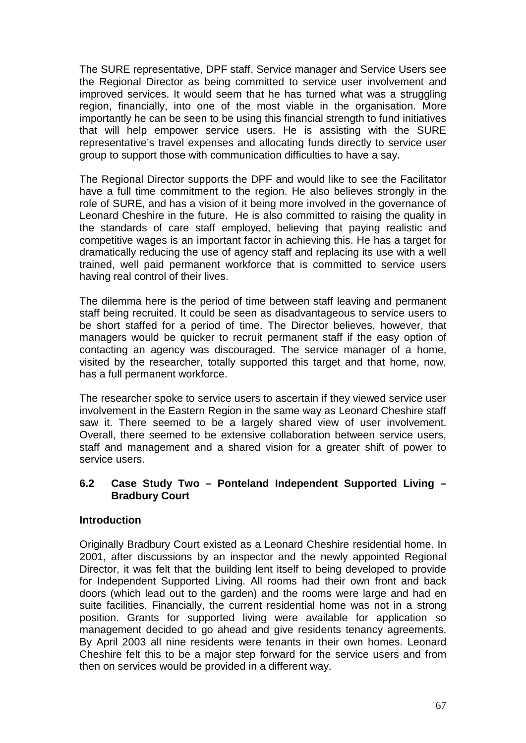The SURE representative, DPF staff, Service manager and Service Users see the Regional Director as being committed to service user involvement and improved services. It would seem that he has turned what was a struggling region, financially, into one of the most viable in the organisation. More importantly he can be seen to be using this financial strength to fund initiatives that will help empower service users. He is assisting with the SURE representative's travel expenses and allocating funds directly to service user group to support those with communication difficulties to have a say.

The Regional Director supports the DPF and would like to see the Facilitator have a full time commitment to the region. He also believes strongly in the role of SURE, and has a vision of it being more involved in the governance of Leonard Cheshire in the future. He is also committed to raising the quality in the standards of care staff employed, believing that paying realistic and competitive wages is an important factor in achieving this. He has a target for dramatically reducing the use of agency staff and replacing its use with a well trained, well paid permanent workforce that is committed to service users having real control of their lives.

The dilemma here is the period of time between staff leaving and permanent staff being recruited. It could be seen as disadvantageous to service users to be short staffed for a period of time. The Director believes, however, that managers would be quicker to recruit permanent staff if the easy option of contacting an agency was discouraged. The service manager of a home, visited by the researcher, totally supported this target and that home, now, has a full permanent workforce.

The researcher spoke to service users to ascertain if they viewed service user involvement in the Eastern Region in the same way as Leonard Cheshire staff saw it. There seemed to be a largely shared view of user involvement. Overall, there seemed to be extensive collaboration between service users, staff and management and a shared vision for a greater shift of power to service users.

## **6.2 Case Study Two – Ponteland Independent Supported Living – Bradbury Court**

## **Introduction**

Originally Bradbury Court existed as a Leonard Cheshire residential home. In 2001, after discussions by an inspector and the newly appointed Regional Director, it was felt that the building lent itself to being developed to provide for Independent Supported Living. All rooms had their own front and back doors (which lead out to the garden) and the rooms were large and had en suite facilities. Financially, the current residential home was not in a strong position. Grants for supported living were available for application so management decided to go ahead and give residents tenancy agreements. By April 2003 all nine residents were tenants in their own homes. Leonard Cheshire felt this to be a major step forward for the service users and from then on services would be provided in a different way.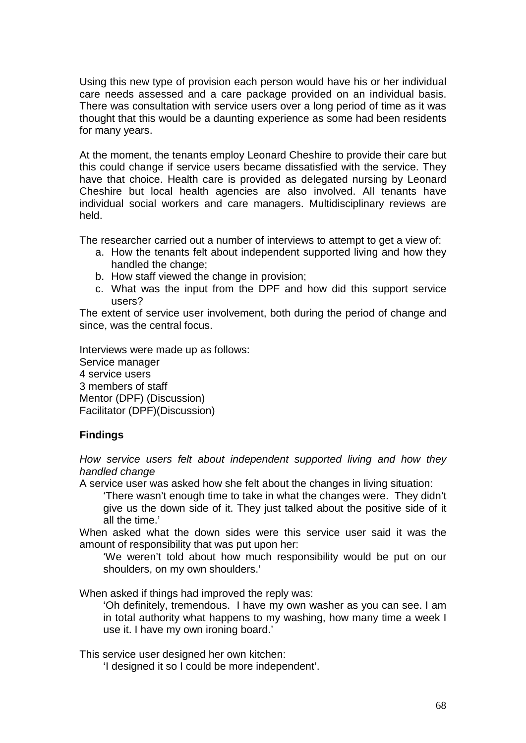Using this new type of provision each person would have his or her individual care needs assessed and a care package provided on an individual basis. There was consultation with service users over a long period of time as it was thought that this would be a daunting experience as some had been residents for many years.

At the moment, the tenants employ Leonard Cheshire to provide their care but this could change if service users became dissatisfied with the service. They have that choice. Health care is provided as delegated nursing by Leonard Cheshire but local health agencies are also involved. All tenants have individual social workers and care managers. Multidisciplinary reviews are held.

The researcher carried out a number of interviews to attempt to get a view of:

- a. How the tenants felt about independent supported living and how they handled the change:
- b. How staff viewed the change in provision;
- c. What was the input from the DPF and how did this support service users?

The extent of service user involvement, both during the period of change and since, was the central focus.

Interviews were made up as follows: Service manager 4 service users 3 members of staff Mentor (DPF) (Discussion) Facilitator (DPF)(Discussion)

# **Findings**

*How service users felt about independent supported living and how they handled change*

A service user was asked how she felt about the changes in living situation:

'There wasn't enough time to take in what the changes were. They didn't give us the down side of it. They just talked about the positive side of it all the time.'

When asked what the down sides were this service user said it was the amount of responsibility that was put upon her:

'We weren't told about how much responsibility would be put on our shoulders, on my own shoulders.'

When asked if things had improved the reply was:

'Oh definitely, tremendous. I have my own washer as you can see. I am in total authority what happens to my washing, how many time a week I use it. I have my own ironing board.'

This service user designed her own kitchen:

'I designed it so I could be more independent'.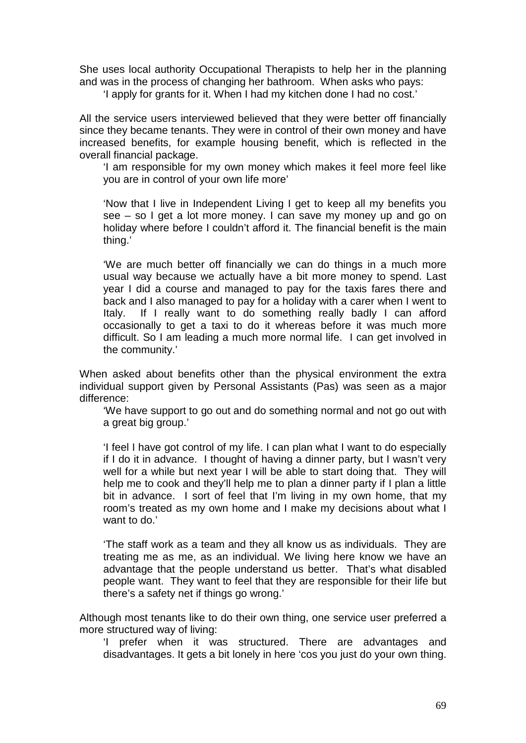She uses local authority Occupational Therapists to help her in the planning and was in the process of changing her bathroom. When asks who pays:

'I apply for grants for it. When I had my kitchen done I had no cost.'

All the service users interviewed believed that they were better off financially since they became tenants. They were in control of their own money and have increased benefits, for example housing benefit, which is reflected in the overall financial package.

'I am responsible for my own money which makes it feel more feel like you are in control of your own life more'

'Now that I live in Independent Living I get to keep all my benefits you see – so I get a lot more money. I can save my money up and go on holiday where before I couldn't afford it. The financial benefit is the main thing.'

'We are much better off financially we can do things in a much more usual way because we actually have a bit more money to spend. Last year I did a course and managed to pay for the taxis fares there and back and I also managed to pay for a holiday with a carer when I went to Italy. If I really want to do something really badly I can afford occasionally to get a taxi to do it whereas before it was much more difficult. So I am leading a much more normal life. I can get involved in the community.'

When asked about benefits other than the physical environment the extra individual support given by Personal Assistants (Pas) was seen as a major difference:

'We have support to go out and do something normal and not go out with a great big group.'

'I feel I have got control of my life. I can plan what I want to do especially if I do it in advance. I thought of having a dinner party, but I wasn't very well for a while but next year I will be able to start doing that. They will help me to cook and they'll help me to plan a dinner party if I plan a little bit in advance. I sort of feel that I'm living in my own home, that my room's treated as my own home and I make my decisions about what I want to do.'

'The staff work as a team and they all know us as individuals. They are treating me as me, as an individual. We living here know we have an advantage that the people understand us better. That's what disabled people want. They want to feel that they are responsible for their life but there's a safety net if things go wrong.'

Although most tenants like to do their own thing, one service user preferred a more structured way of living:

'I prefer when it was structured. There are advantages and disadvantages. It gets a bit lonely in here 'cos you just do your own thing.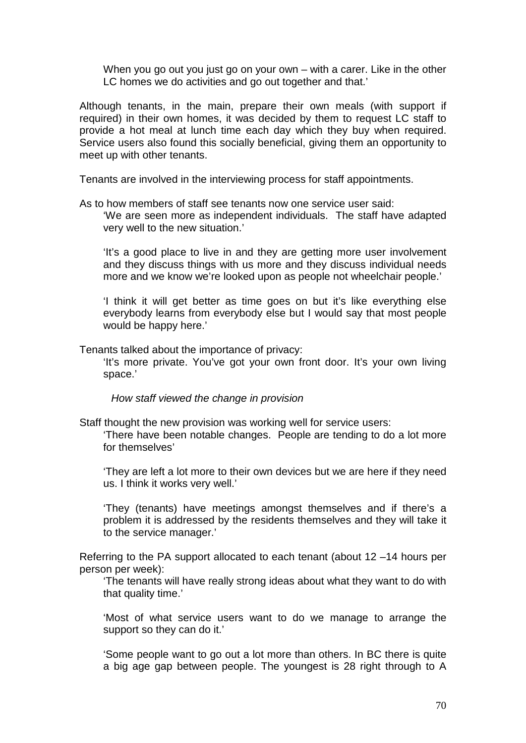When you go out you just go on your own – with a carer. Like in the other LC homes we do activities and go out together and that.'

Although tenants, in the main, prepare their own meals (with support if required) in their own homes, it was decided by them to request LC staff to provide a hot meal at lunch time each day which they buy when required. Service users also found this socially beneficial, giving them an opportunity to meet up with other tenants.

Tenants are involved in the interviewing process for staff appointments.

As to how members of staff see tenants now one service user said:

'We are seen more as independent individuals. The staff have adapted very well to the new situation.'

'It's a good place to live in and they are getting more user involvement and they discuss things with us more and they discuss individual needs more and we know we're looked upon as people not wheelchair people.'

'I think it will get better as time goes on but it's like everything else everybody learns from everybody else but I would say that most people would be happy here.'

Tenants talked about the importance of privacy:

'It's more private. You've got your own front door. It's your own living space.'

*How staff viewed the change in provision*

Staff thought the new provision was working well for service users:

'There have been notable changes. People are tending to do a lot more for themselves'

'They are left a lot more to their own devices but we are here if they need us. I think it works very well.'

'They (tenants) have meetings amongst themselves and if there's a problem it is addressed by the residents themselves and they will take it to the service manager.'

Referring to the PA support allocated to each tenant (about 12 –14 hours per person per week):

'The tenants will have really strong ideas about what they want to do with that quality time.'

'Most of what service users want to do we manage to arrange the support so they can do it.'

'Some people want to go out a lot more than others. In BC there is quite a big age gap between people. The youngest is 28 right through to A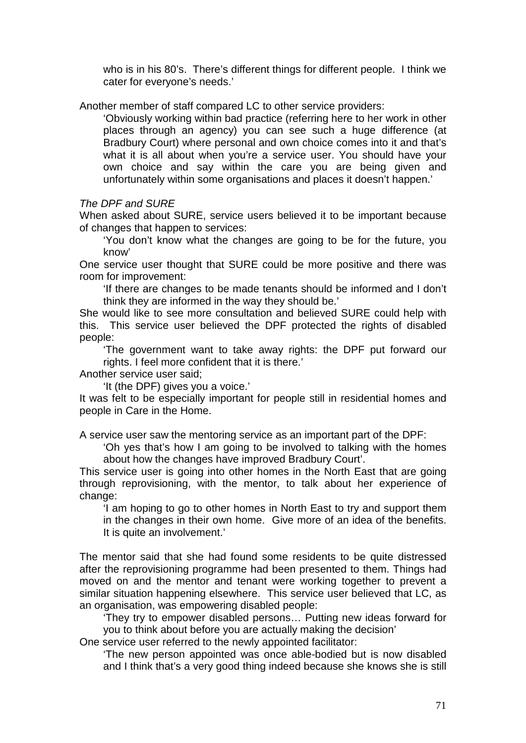who is in his 80's. There's different things for different people. I think we cater for everyone's needs.'

Another member of staff compared LC to other service providers:

'Obviously working within bad practice (referring here to her work in other places through an agency) you can see such a huge difference (at Bradbury Court) where personal and own choice comes into it and that's what it is all about when you're a service user. You should have your own choice and say within the care you are being given and unfortunately within some organisations and places it doesn't happen.'

#### *The DPF and SURE*

When asked about SURE, service users believed it to be important because of changes that happen to services:

'You don't know what the changes are going to be for the future, you know'

One service user thought that SURE could be more positive and there was room for improvement:

'If there are changes to be made tenants should be informed and I don't think they are informed in the way they should be.'

She would like to see more consultation and believed SURE could help with this. This service user believed the DPF protected the rights of disabled people:

'The government want to take away rights: the DPF put forward our rights. I feel more confident that it is there.'

Another service user said;

'It (the DPF) gives you a voice.'

It was felt to be especially important for people still in residential homes and people in Care in the Home.

A service user saw the mentoring service as an important part of the DPF:

'Oh yes that's how I am going to be involved to talking with the homes about how the changes have improved Bradbury Court'.

This service user is going into other homes in the North East that are going through reprovisioning, with the mentor, to talk about her experience of change:

'I am hoping to go to other homes in North East to try and support them in the changes in their own home. Give more of an idea of the benefits. It is quite an involvement.'

The mentor said that she had found some residents to be quite distressed after the reprovisioning programme had been presented to them. Things had moved on and the mentor and tenant were working together to prevent a similar situation happening elsewhere. This service user believed that LC, as an organisation, was empowering disabled people:

'They try to empower disabled persons… Putting new ideas forward for you to think about before you are actually making the decision'

One service user referred to the newly appointed facilitator:

'The new person appointed was once able-bodied but is now disabled and I think that's a very good thing indeed because she knows she is still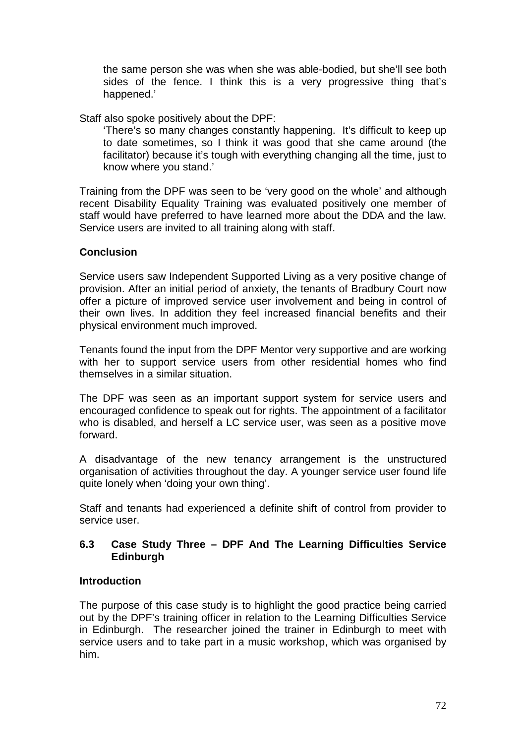the same person she was when she was able-bodied, but she'll see both sides of the fence. I think this is a very progressive thing that's happened.'

Staff also spoke positively about the DPF:

'There's so many changes constantly happening. It's difficult to keep up to date sometimes, so I think it was good that she came around (the facilitator) because it's tough with everything changing all the time, just to know where you stand.'

Training from the DPF was seen to be 'very good on the whole' and although recent Disability Equality Training was evaluated positively one member of staff would have preferred to have learned more about the DDA and the law. Service users are invited to all training along with staff.

## **Conclusion**

Service users saw Independent Supported Living as a very positive change of provision. After an initial period of anxiety, the tenants of Bradbury Court now offer a picture of improved service user involvement and being in control of their own lives. In addition they feel increased financial benefits and their physical environment much improved.

Tenants found the input from the DPF Mentor very supportive and are working with her to support service users from other residential homes who find themselves in a similar situation.

The DPF was seen as an important support system for service users and encouraged confidence to speak out for rights. The appointment of a facilitator who is disabled, and herself a LC service user, was seen as a positive move forward.

A disadvantage of the new tenancy arrangement is the unstructured organisation of activities throughout the day. A younger service user found life quite lonely when 'doing your own thing'.

Staff and tenants had experienced a definite shift of control from provider to service user.

## **6.3 Case Study Three – DPF And The Learning Difficulties Service Edinburgh**

## **Introduction**

The purpose of this case study is to highlight the good practice being carried out by the DPF's training officer in relation to the Learning Difficulties Service in Edinburgh. The researcher joined the trainer in Edinburgh to meet with service users and to take part in a music workshop, which was organised by him.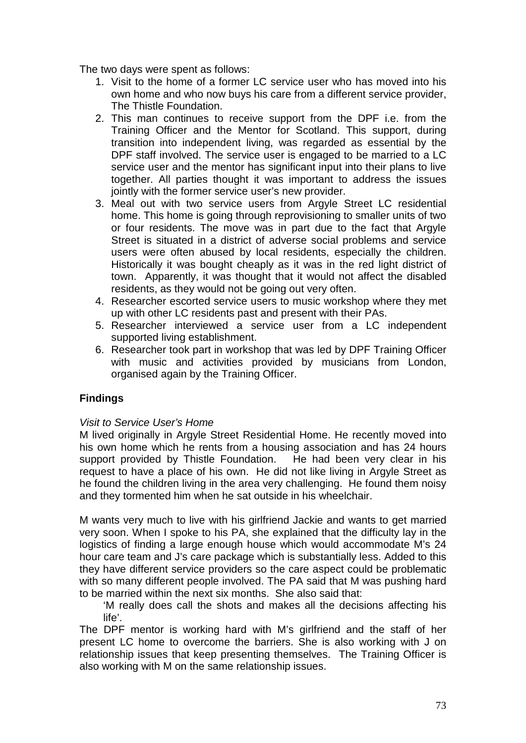The two days were spent as follows:

- 1. Visit to the home of a former LC service user who has moved into his own home and who now buys his care from a different service provider, The Thistle Foundation.
- 2. This man continues to receive support from the DPF i.e. from the Training Officer and the Mentor for Scotland. This support, during transition into independent living, was regarded as essential by the DPF staff involved. The service user is engaged to be married to a LC service user and the mentor has significant input into their plans to live together. All parties thought it was important to address the issues jointly with the former service user's new provider.
- 3. Meal out with two service users from Argyle Street LC residential home. This home is going through reprovisioning to smaller units of two or four residents. The move was in part due to the fact that Argyle Street is situated in a district of adverse social problems and service users were often abused by local residents, especially the children. Historically it was bought cheaply as it was in the red light district of town. Apparently, it was thought that it would not affect the disabled residents, as they would not be going out very often.
- 4. Researcher escorted service users to music workshop where they met up with other LC residents past and present with their PAs.
- 5. Researcher interviewed a service user from a LC independent supported living establishment.
- 6. Researcher took part in workshop that was led by DPF Training Officer with music and activities provided by musicians from London, organised again by the Training Officer.

# **Findings**

# *Visit to Service User's Home*

M lived originally in Argyle Street Residential Home. He recently moved into his own home which he rents from a housing association and has 24 hours support provided by Thistle Foundation. He had been very clear in his request to have a place of his own. He did not like living in Argyle Street as he found the children living in the area very challenging. He found them noisy and they tormented him when he sat outside in his wheelchair.

M wants very much to live with his girlfriend Jackie and wants to get married very soon. When I spoke to his PA, she explained that the difficulty lay in the logistics of finding a large enough house which would accommodate M's 24 hour care team and J's care package which is substantially less. Added to this they have different service providers so the care aspect could be problematic with so many different people involved. The PA said that M was pushing hard to be married within the next six months. She also said that:

'M really does call the shots and makes all the decisions affecting his life'.

The DPF mentor is working hard with M's girlfriend and the staff of her present LC home to overcome the barriers. She is also working with J on relationship issues that keep presenting themselves. The Training Officer is also working with M on the same relationship issues.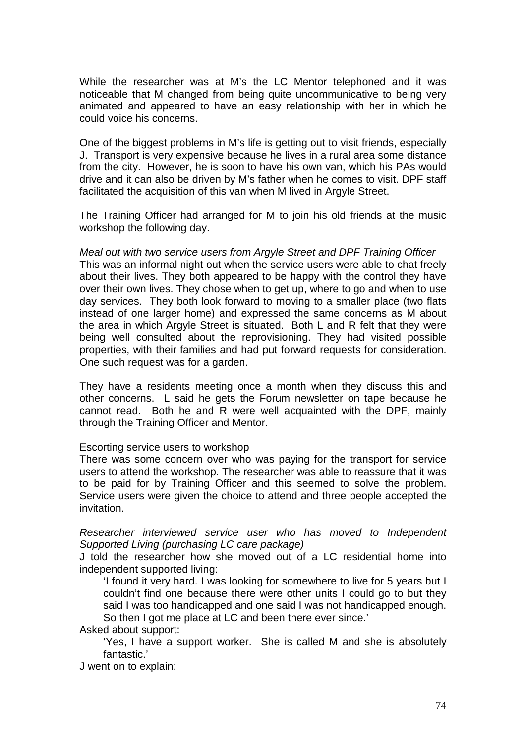While the researcher was at M's the LC Mentor telephoned and it was noticeable that M changed from being quite uncommunicative to being very animated and appeared to have an easy relationship with her in which he could voice his concerns.

One of the biggest problems in M's life is getting out to visit friends, especially J. Transport is very expensive because he lives in a rural area some distance from the city. However, he is soon to have his own van, which his PAs would drive and it can also be driven by M's father when he comes to visit. DPF staff facilitated the acquisition of this van when M lived in Argyle Street.

The Training Officer had arranged for M to join his old friends at the music workshop the following day.

*Meal out with two service users from Argyle Street and DPF Training Officer* This was an informal night out when the service users were able to chat freely about their lives. They both appeared to be happy with the control they have over their own lives. They chose when to get up, where to go and when to use day services. They both look forward to moving to a smaller place (two flats instead of one larger home) and expressed the same concerns as M about the area in which Argyle Street is situated. Both L and R felt that they were being well consulted about the reprovisioning. They had visited possible properties, with their families and had put forward requests for consideration. One such request was for a garden.

They have a residents meeting once a month when they discuss this and other concerns. L said he gets the Forum newsletter on tape because he cannot read. Both he and R were well acquainted with the DPF, mainly through the Training Officer and Mentor.

#### Escorting service users to workshop

There was some concern over who was paying for the transport for service users to attend the workshop. The researcher was able to reassure that it was to be paid for by Training Officer and this seemed to solve the problem. Service users were given the choice to attend and three people accepted the invitation.

*Researcher interviewed service user who has moved to Independent Supported Living (purchasing LC care package)*

J told the researcher how she moved out of a LC residential home into independent supported living:

'I found it very hard. I was looking for somewhere to live for 5 years but I couldn't find one because there were other units I could go to but they said I was too handicapped and one said I was not handicapped enough. So then I got me place at LC and been there ever since.'

Asked about support:

'Yes, I have a support worker. She is called M and she is absolutely fantastic.'

J went on to explain: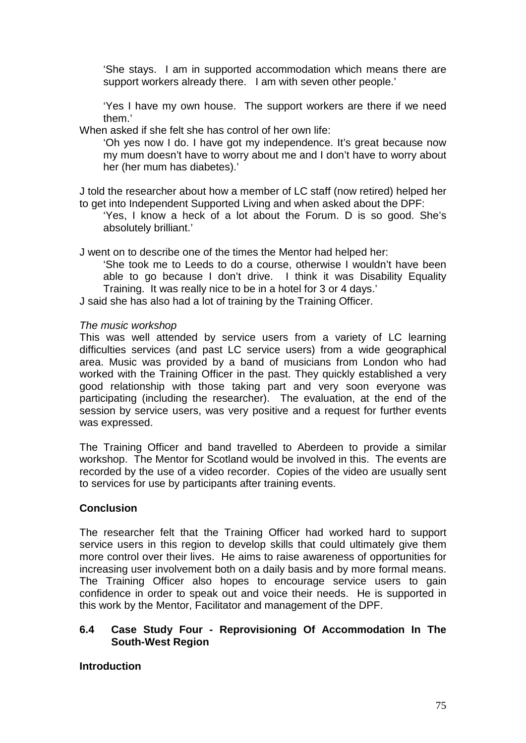'She stays. I am in supported accommodation which means there are support workers already there. I am with seven other people.'

'Yes I have my own house. The support workers are there if we need them.'

When asked if she felt she has control of her own life:

'Oh yes now I do. I have got my independence. It's great because now my mum doesn't have to worry about me and I don't have to worry about her (her mum has diabetes).'

J told the researcher about how a member of LC staff (now retired) helped her to get into Independent Supported Living and when asked about the DPF:

'Yes, I know a heck of a lot about the Forum. D is so good. She's absolutely brilliant.'

J went on to describe one of the times the Mentor had helped her:

'She took me to Leeds to do a course, otherwise I wouldn't have been able to go because I don't drive. I think it was Disability Equality Training. It was really nice to be in a hotel for 3 or 4 days.'

J said she has also had a lot of training by the Training Officer.

#### *The music workshop*

This was well attended by service users from a variety of LC learning difficulties services (and past LC service users) from a wide geographical area. Music was provided by a band of musicians from London who had worked with the Training Officer in the past. They quickly established a very good relationship with those taking part and very soon everyone was participating (including the researcher). The evaluation, at the end of the session by service users, was very positive and a request for further events was expressed.

The Training Officer and band travelled to Aberdeen to provide a similar workshop. The Mentor for Scotland would be involved in this. The events are recorded by the use of a video recorder. Copies of the video are usually sent to services for use by participants after training events.

# **Conclusion**

The researcher felt that the Training Officer had worked hard to support service users in this region to develop skills that could ultimately give them more control over their lives. He aims to raise awareness of opportunities for increasing user involvement both on a daily basis and by more formal means. The Training Officer also hopes to encourage service users to gain confidence in order to speak out and voice their needs. He is supported in this work by the Mentor, Facilitator and management of the DPF.

# **6.4 Case Study Four - Reprovisioning Of Accommodation In The South-West Region**

# **Introduction**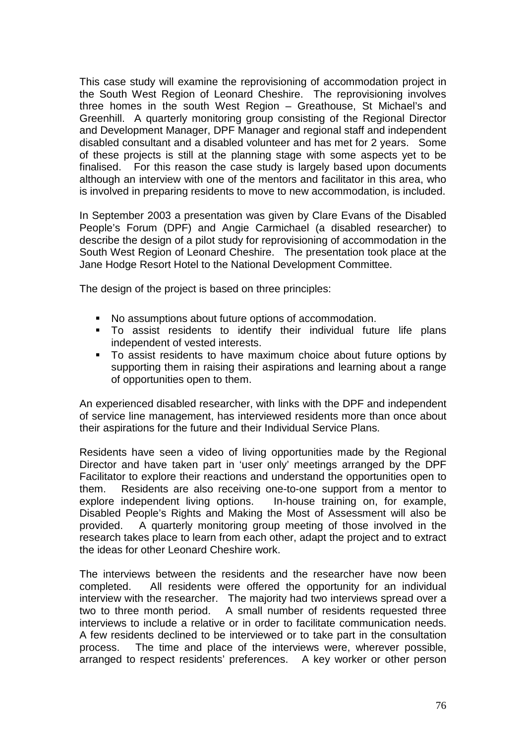This case study will examine the reprovisioning of accommodation project in the South West Region of Leonard Cheshire. The reprovisioning involves three homes in the south West Region – Greathouse, St Michael's and Greenhill. A quarterly monitoring group consisting of the Regional Director and Development Manager, DPF Manager and regional staff and independent disabled consultant and a disabled volunteer and has met for 2 years. Some of these projects is still at the planning stage with some aspects yet to be finalised. For this reason the case study is largely based upon documents although an interview with one of the mentors and facilitator in this area, who is involved in preparing residents to move to new accommodation, is included.

In September 2003 a presentation was given by Clare Evans of the Disabled People's Forum (DPF) and Angie Carmichael (a disabled researcher) to describe the design of a pilot study for reprovisioning of accommodation in the South West Region of Leonard Cheshire. The presentation took place at the Jane Hodge Resort Hotel to the National Development Committee.

The design of the project is based on three principles:

- No assumptions about future options of accommodation.
- To assist residents to identify their individual future life plans independent of vested interests.
- To assist residents to have maximum choice about future options by supporting them in raising their aspirations and learning about a range of opportunities open to them.

An experienced disabled researcher, with links with the DPF and independent of service line management, has interviewed residents more than once about their aspirations for the future and their Individual Service Plans.

Residents have seen a video of living opportunities made by the Regional Director and have taken part in 'user only' meetings arranged by the DPF Facilitator to explore their reactions and understand the opportunities open to them. Residents are also receiving one-to-one support from a mentor to explore independent living options. In-house training on, for example, Disabled People's Rights and Making the Most of Assessment will also be provided. A quarterly monitoring group meeting of those involved in the research takes place to learn from each other, adapt the project and to extract the ideas for other Leonard Cheshire work.

The interviews between the residents and the researcher have now been completed. All residents were offered the opportunity for an individual interview with the researcher. The majority had two interviews spread over a two to three month period. A small number of residents requested three interviews to include a relative or in order to facilitate communication needs. A few residents declined to be interviewed or to take part in the consultation process. The time and place of the interviews were, wherever possible, arranged to respect residents' preferences. A key worker or other person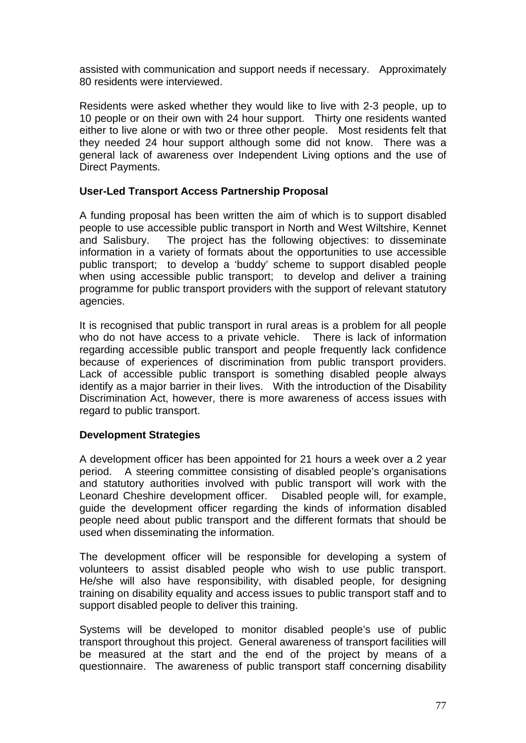assisted with communication and support needs if necessary. Approximately 80 residents were interviewed.

Residents were asked whether they would like to live with 2-3 people, up to 10 people or on their own with 24 hour support. Thirty one residents wanted either to live alone or with two or three other people. Most residents felt that they needed 24 hour support although some did not know. There was a general lack of awareness over Independent Living options and the use of Direct Payments.

# **User-Led Transport Access Partnership Proposal**

A funding proposal has been written the aim of which is to support disabled people to use accessible public transport in North and West Wiltshire, Kennet and Salisbury. The project has the following objectives: to disseminate information in a variety of formats about the opportunities to use accessible public transport; to develop a 'buddy' scheme to support disabled people when using accessible public transport; to develop and deliver a training programme for public transport providers with the support of relevant statutory agencies.

It is recognised that public transport in rural areas is a problem for all people who do not have access to a private vehicle. There is lack of information regarding accessible public transport and people frequently lack confidence because of experiences of discrimination from public transport providers. Lack of accessible public transport is something disabled people always identify as a major barrier in their lives. With the introduction of the Disability Discrimination Act, however, there is more awareness of access issues with regard to public transport.

# **Development Strategies**

A development officer has been appointed for 21 hours a week over a 2 year period. A steering committee consisting of disabled people's organisations and statutory authorities involved with public transport will work with the Leonard Cheshire development officer. Disabled people will, for example, guide the development officer regarding the kinds of information disabled people need about public transport and the different formats that should be used when disseminating the information.

The development officer will be responsible for developing a system of volunteers to assist disabled people who wish to use public transport. He/she will also have responsibility, with disabled people, for designing training on disability equality and access issues to public transport staff and to support disabled people to deliver this training.

Systems will be developed to monitor disabled people's use of public transport throughout this project. General awareness of transport facilities will be measured at the start and the end of the project by means of a questionnaire. The awareness of public transport staff concerning disability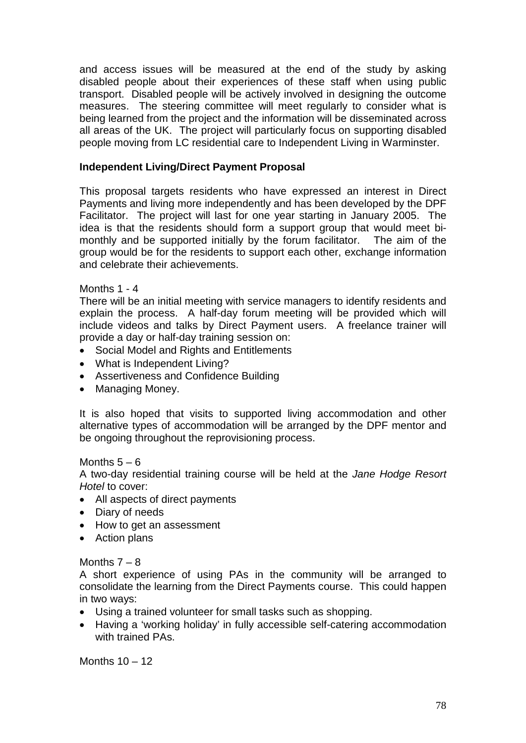and access issues will be measured at the end of the study by asking disabled people about their experiences of these staff when using public transport. Disabled people will be actively involved in designing the outcome measures. The steering committee will meet regularly to consider what is being learned from the project and the information will be disseminated across all areas of the UK. The project will particularly focus on supporting disabled people moving from LC residential care to Independent Living in Warminster.

# **Independent Living/Direct Payment Proposal**

This proposal targets residents who have expressed an interest in Direct Payments and living more independently and has been developed by the DPF Facilitator.The project will last for one year starting in January 2005. The idea is that the residents should form a support group that would meet bimonthly and be supported initially by the forum facilitator. The aim of the group would be for the residents to support each other, exchange information and celebrate their achievements.

# Months 1 - 4

There will be an initial meeting with service managers to identify residents and explain the process. A half-day forum meeting will be provided which will include videos and talks by Direct Payment users. A freelance trainer will provide a day or half-day training session on:

- Social Model and Rights and Entitlements
- What is Independent Living?
- Assertiveness and Confidence Building
- Managing Money.

It is also hoped that visits to supported living accommodation and other alternative types of accommodation will be arranged by the DPF mentor and be ongoing throughout the reprovisioning process.

# Months  $5 - 6$

A two-day residential training course will be held at the *Jane Hodge Resort Hotel* to cover:

- All aspects of direct payments
- Diary of needs
- How to get an assessment
- Action plans

# Months  $7 - 8$

A short experience of using PAs in the community will be arranged to consolidate the learning from the Direct Payments course. This could happen in two ways:

- Using a trained volunteer for small tasks such as shopping.
- Having a 'working holiday' in fully accessible self-catering accommodation with trained PAs.

Months 10 – 12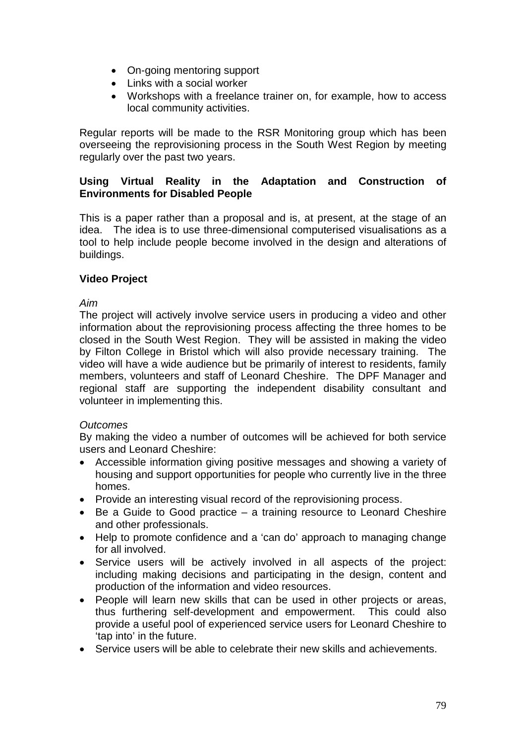- On-going mentoring support
- Links with a social worker
- Workshops with a freelance trainer on, for example, how to access local community activities.

Regular reports will be made to the RSR Monitoring group which has been overseeing the reprovisioning process in the South West Region by meeting regularly over the past two years.

# **Using Virtual Reality in the Adaptation and Construction of Environments for Disabled People**

This is a paper rather than a proposal and is, at present, at the stage of an idea. The idea is to use three-dimensional computerised visualisations as a tool to help include people become involved in the design and alterations of buildings.

# **Video Project**

# *Aim*

The project will actively involve service users in producing a video and other information about the reprovisioning process affecting the three homes to be closed in the South West Region. They will be assisted in making the video by Filton College in Bristol which will also provide necessary training. The video will have a wide audience but be primarily of interest to residents, family members, volunteers and staff of Leonard Cheshire. The DPF Manager and regional staff are supporting the independent disability consultant and volunteer in implementing this.

# *Outcomes*

By making the video a number of outcomes will be achieved for both service users and Leonard Cheshire:

- Accessible information giving positive messages and showing a variety of housing and support opportunities for people who currently live in the three homes.
- Provide an interesting visual record of the reprovisioning process.
- Be a Guide to Good practice a training resource to Leonard Cheshire and other professionals.
- Help to promote confidence and a 'can do' approach to managing change for all involved.
- Service users will be actively involved in all aspects of the project: including making decisions and participating in the design, content and production of the information and video resources.
- People will learn new skills that can be used in other projects or areas, thus furthering self-development and empowerment. This could also provide a useful pool of experienced service users for Leonard Cheshire to 'tap into' in the future.
- Service users will be able to celebrate their new skills and achievements.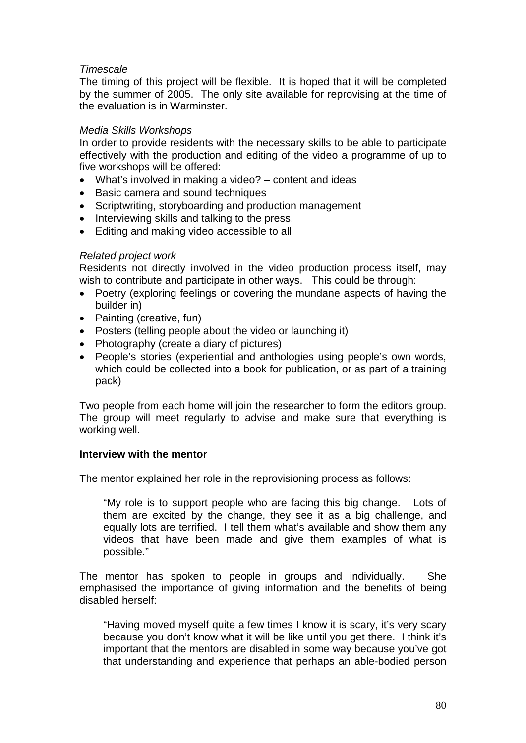# *Timescale*

The timing of this project will be flexible. It is hoped that it will be completed by the summer of 2005. The only site available for reprovising at the time of the evaluation is in Warminster.

# *Media Skills Workshops*

In order to provide residents with the necessary skills to be able to participate effectively with the production and editing of the video a programme of up to five workshops will be offered:

- What's involved in making a video? content and ideas
- Basic camera and sound techniques
- Scriptwriting, storyboarding and production management
- Interviewing skills and talking to the press.
- Editing and making video accessible to all

#### *Related project work*

Residents not directly involved in the video production process itself, may wish to contribute and participate in other ways. This could be through:

- Poetry (exploring feelings or covering the mundane aspects of having the builder in)
- Painting (creative, fun)
- Posters (telling people about the video or launching it)
- Photography (create a diary of pictures)<br>• People's stories (experiential and antho
- People's stories (experiential and anthologies using people's own words, which could be collected into a book for publication, or as part of a training pack)

Two people from each home will join the researcher to form the editors group. The group will meet regularly to advise and make sure that everything is working well.

# **Interview with the mentor**

The mentor explained her role in the reprovisioning process as follows:

"My role is to support people who are facing this big change. Lots of them are excited by the change, they see it as a big challenge, and equally lots are terrified. I tell them what's available and show them any videos that have been made and give them examples of what is possible."

The mentor has spoken to people in groups and individually. She emphasised the importance of giving information and the benefits of being disabled herself:

"Having moved myself quite a few times I know it is scary, it's very scary because you don't know what it will be like until you get there. I think it's important that the mentors are disabled in some way because you've got that understanding and experience that perhaps an able-bodied person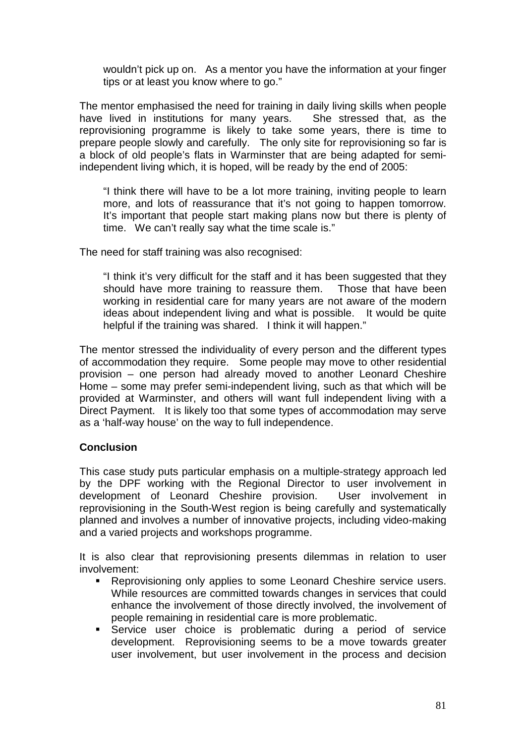wouldn't pick up on. As a mentor you have the information at your finger tips or at least you know where to go."

The mentor emphasised the need for training in daily living skills when people have lived in institutions for many years. She stressed that, as the reprovisioning programme is likely to take some years, there is time to prepare people slowly and carefully. The only site for reprovisioning so far is a block of old people's flats in Warminster that are being adapted for semiindependent living which, it is hoped, will be ready by the end of 2005:

"I think there will have to be a lot more training, inviting people to learn more, and lots of reassurance that it's not going to happen tomorrow. It's important that people start making plans now but there is plenty of time. We can't really say what the time scale is."

The need for staff training was also recognised:

"I think it's very difficult for the staff and it has been suggested that they should have more training to reassure them. Those that have been working in residential care for many years are not aware of the modern ideas about independent living and what is possible. It would be quite helpful if the training was shared. I think it will happen."

The mentor stressed the individuality of every person and the different types of accommodation they require. Some people may move to other residential provision – one person had already moved to another Leonard Cheshire Home – some may prefer semi-independent living, such as that which will be provided at Warminster, and others will want full independent living with a Direct Payment. It is likely too that some types of accommodation may serve as a 'half-way house' on the way to full independence.

# **Conclusion**

This case study puts particular emphasis on a multiple-strategy approach led by the DPF working with the Regional Director to user involvement in development of Leonard Cheshire provision. User involvement in reprovisioning in the South-West region is being carefully and systematically planned and involves a number of innovative projects, including video-making and a varied projects and workshops programme.

It is also clear that reprovisioning presents dilemmas in relation to user involvement:

- **Reprovisioning only applies to some Leonard Cheshire service users.** While resources are committed towards changes in services that could enhance the involvement of those directly involved, the involvement of people remaining in residential care is more problematic.
- Service user choice is problematic during a period of service development. Reprovisioning seems to be a move towards greater user involvement, but user involvement in the process and decision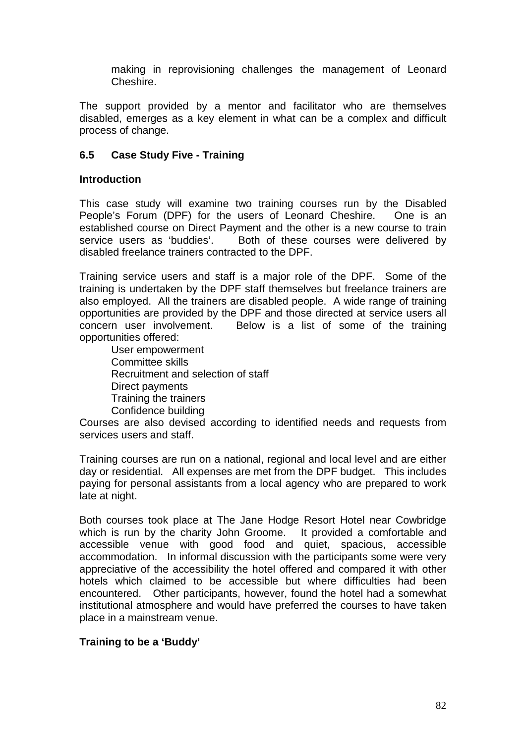making in reprovisioning challenges the management of Leonard Cheshire.

The support provided by a mentor and facilitator who are themselves disabled, emerges as a key element in what can be a complex and difficult process of change.

# **6.5 Case Study Five - Training**

# **Introduction**

This case study will examine two training courses run by the Disabled People's Forum (DPF) for the users of Leonard Cheshire. One is an established course on Direct Payment and the other is a new course to train service users as 'buddies'. Both of these courses were delivered by Both of these courses were delivered by disabled freelance trainers contracted to the DPF.

Training service users and staff is a major role of the DPF. Some of the training is undertaken by the DPF staff themselves but freelance trainers are also employed. All the trainers are disabled people. A wide range of training opportunities are provided by the DPF and those directed at service users all concern user involvement. Below is a list of some of the training opportunities offered:

User empowerment Committee skills Recruitment and selection of staff Direct payments Training the trainers Confidence building

Courses are also devised according to identified needs and requests from services users and staff.

Training courses are run on a national, regional and local level and are either day or residential. All expenses are met from the DPF budget. This includes paying for personal assistants from a local agency who are prepared to work late at night.

Both courses took place at The Jane Hodge Resort Hotel near Cowbridge which is run by the charity John Groome. It provided a comfortable and accessible venue with good food and quiet, spacious, accessible accommodation. In informal discussion with the participants some were very appreciative of the accessibility the hotel offered and compared it with other hotels which claimed to be accessible but where difficulties had been encountered. Other participants, however, found the hotel had a somewhat institutional atmosphere and would have preferred the courses to have taken place in a mainstream venue.

# **Training to be a 'Buddy'**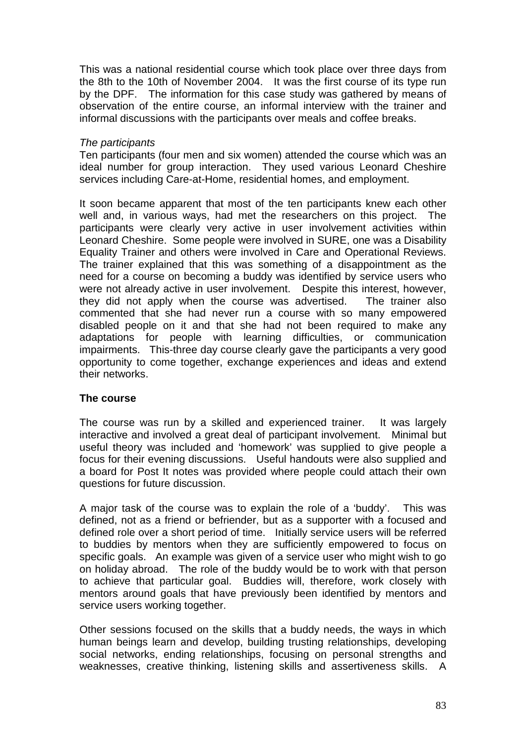This was a national residential course which took place over three days from the 8th to the 10th of November 2004. It was the first course of its type run by the DPF. The information for this case study was gathered by means of observation of the entire course, an informal interview with the trainer and informal discussions with the participants over meals and coffee breaks.

# *The participants*

Ten participants (four men and six women) attended the course which was an ideal number for group interaction. They used various Leonard Cheshire services including Care-at-Home, residential homes, and employment.

It soon became apparent that most of the ten participants knew each other well and, in various ways, had met the researchers on this project. The participants were clearly very active in user involvement activities within Leonard Cheshire. Some people were involved in SURE, one was a Disability Equality Trainer and others were involved in Care and Operational Reviews. The trainer explained that this was something of a disappointment as the need for a course on becoming a buddy was identified by service users who were not already active in user involvement. Despite this interest, however, they did not apply when the course was advertised. The trainer also commented that she had never run a course with so many empowered disabled people on it and that she had not been required to make any adaptations for people with learning difficulties, or communication impairments. This-three day course clearly gave the participants a very good opportunity to come together, exchange experiences and ideas and extend their networks.

# **The course**

The course was run by a skilled and experienced trainer. It was largely interactive and involved a great deal of participant involvement. Minimal but useful theory was included and 'homework' was supplied to give people a focus for their evening discussions. Useful handouts were also supplied and a board for Post It notes was provided where people could attach their own questions for future discussion.

A major task of the course was to explain the role of a 'buddy'. This was defined, not as a friend or befriender, but as a supporter with a focused and defined role over a short period of time. Initially service users will be referred to buddies by mentors when they are sufficiently empowered to focus on specific goals. An example was given of a service user who might wish to go on holiday abroad. The role of the buddy would be to work with that person to achieve that particular goal. Buddies will, therefore, work closely with mentors around goals that have previously been identified by mentors and service users working together.

Other sessions focused on the skills that a buddy needs, the ways in which human beings learn and develop, building trusting relationships, developing social networks, ending relationships, focusing on personal strengths and weaknesses, creative thinking, listening skills and assertiveness skills. A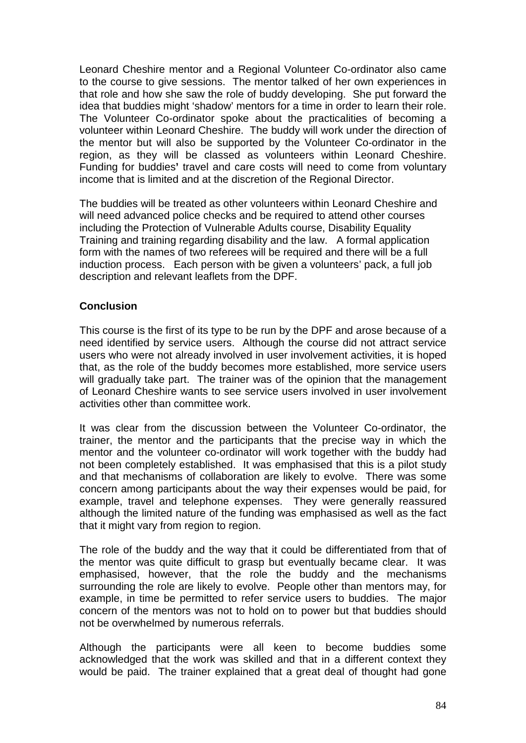Leonard Cheshire mentor and a Regional Volunteer Co-ordinator also came to the course to give sessions. The mentor talked of her own experiences in that role and how she saw the role of buddy developing. She put forward the idea that buddies might 'shadow' mentors for a time in order to learn their role. The Volunteer Co-ordinator spoke about the practicalities of becoming a volunteer within Leonard Cheshire. The buddy will work under the direction of the mentor but will also be supported by the Volunteer Co-ordinator in the region, as they will be classed as volunteers within Leonard Cheshire. Funding for buddies**'** travel and care costs will need to come from voluntary income that is limited and at the discretion of the Regional Director.

The buddies will be treated as other volunteers within Leonard Cheshire and will need advanced police checks and be required to attend other courses including the Protection of Vulnerable Adults course, Disability Equality Training and training regarding disability and the law. A formal application form with the names of two referees will be required and there will be a full induction process. Each person with be given a volunteers' pack, a full job description and relevant leaflets from the DPF.

# **Conclusion**

This course is the first of its type to be run by the DPF and arose because of a need identified by service users. Although the course did not attract service users who were not already involved in user involvement activities, it is hoped that, as the role of the buddy becomes more established, more service users will gradually take part. The trainer was of the opinion that the management of Leonard Cheshire wants to see service users involved in user involvement activities other than committee work.

It was clear from the discussion between the Volunteer Co-ordinator, the trainer, the mentor and the participants that the precise way in which the mentor and the volunteer co-ordinator will work together with the buddy had not been completely established. It was emphasised that this is a pilot study and that mechanisms of collaboration are likely to evolve. There was some concern among participants about the way their expenses would be paid, for example, travel and telephone expenses. They were generally reassured although the limited nature of the funding was emphasised as well as the fact that it might vary from region to region.

The role of the buddy and the way that it could be differentiated from that of the mentor was quite difficult to grasp but eventually became clear. It was emphasised, however, that the role the buddy and the mechanisms surrounding the role are likely to evolve. People other than mentors may, for example, in time be permitted to refer service users to buddies. The major concern of the mentors was not to hold on to power but that buddies should not be overwhelmed by numerous referrals.

Although the participants were all keen to become buddies some acknowledged that the work was skilled and that in a different context they would be paid. The trainer explained that a great deal of thought had gone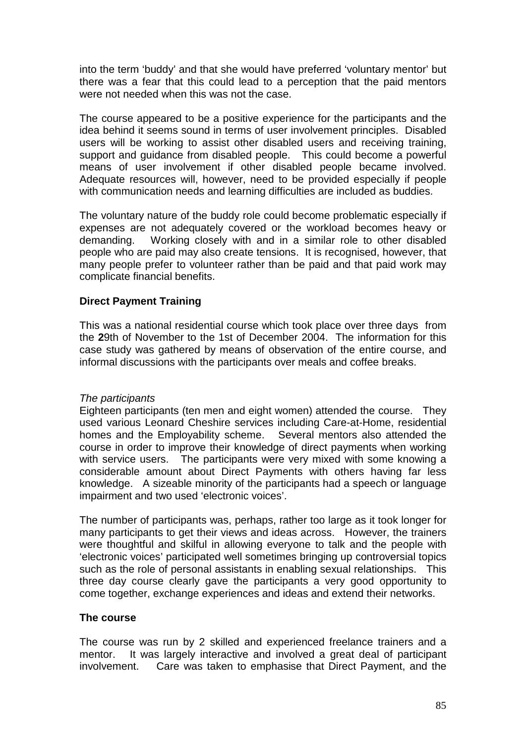into the term 'buddy' and that she would have preferred 'voluntary mentor' but there was a fear that this could lead to a perception that the paid mentors were not needed when this was not the case.

The course appeared to be a positive experience for the participants and the idea behind it seems sound in terms of user involvement principles. Disabled users will be working to assist other disabled users and receiving training, support and guidance from disabled people. This could become a powerful means of user involvement if other disabled people became involved. Adequate resources will, however, need to be provided especially if people with communication needs and learning difficulties are included as buddies.

The voluntary nature of the buddy role could become problematic especially if expenses are not adequately covered or the workload becomes heavy or demanding. Working closely with and in a similar role to other disabled Working closely with and in a similar role to other disabled people who are paid may also create tensions. It is recognised, however, that many people prefer to volunteer rather than be paid and that paid work may complicate financial benefits.

# **Direct Payment Training**

This was a national residential course which took place over three days from the **2**9th of November to the 1st of December 2004. The information for this case study was gathered by means of observation of the entire course, and informal discussions with the participants over meals and coffee breaks.

# *The participants*

Eighteen participants (ten men and eight women) attended the course. They used various Leonard Cheshire services including Care-at-Home, residential homes and the Employability scheme. Several mentors also attended the course in order to improve their knowledge of direct payments when working with service users. The participants were very mixed with some knowing a considerable amount about Direct Payments with others having far less knowledge. A sizeable minority of the participants had a speech or language impairment and two used 'electronic voices'.

The number of participants was, perhaps, rather too large as it took longer for many participants to get their views and ideas across. However, the trainers were thoughtful and skilful in allowing everyone to talk and the people with 'electronic voices' participated well sometimes bringing up controversial topics such as the role of personal assistants in enabling sexual relationships. This three day course clearly gave the participants a very good opportunity to come together, exchange experiences and ideas and extend their networks.

# **The course**

The course was run by 2 skilled and experienced freelance trainers and a mentor. It was largely interactive and involved a great deal of participant involvement. Care was taken to emphasise that Direct Payment, and the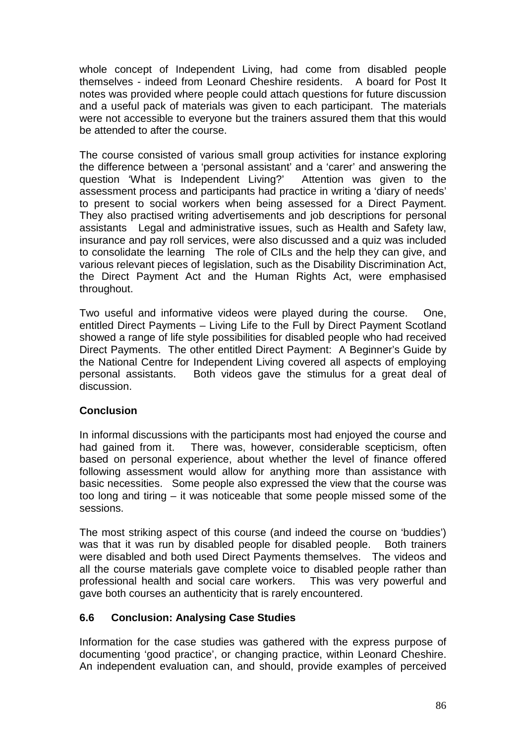whole concept of Independent Living, had come from disabled people themselves - indeed from Leonard Cheshire residents. A board for Post It notes was provided where people could attach questions for future discussion and a useful pack of materials was given to each participant. The materials were not accessible to everyone but the trainers assured them that this would be attended to after the course.

The course consisted of various small group activities for instance exploring the difference between a 'personal assistant' and a 'carer' and answering the question 'What is Independent Living?' assessment process and participants had practice in writing a 'diary of needs' to present to social workers when being assessed for a Direct Payment. They also practised writing advertisements and job descriptions for personal assistants Legal and administrative issues, such as Health and Safety law, insurance and pay roll services, were also discussed and a quiz was included to consolidate the learning The role of CILs and the help they can give, and various relevant pieces of legislation, such as the Disability Discrimination Act, the Direct Payment Act and the Human Rights Act, were emphasised throughout.

Two useful and informative videos were played during the course. One, entitled Direct Payments – Living Life to the Full by Direct Payment Scotland showed a range of life style possibilities for disabled people who had received Direct Payments. The other entitled Direct Payment: A Beginner's Guide by the National Centre for Independent Living covered all aspects of employing personal assistants. Both videos gave the stimulus for a great deal of discussion.

# **Conclusion**

In informal discussions with the participants most had enjoyed the course and had gained from it. There was, however, considerable scepticism, often based on personal experience, about whether the level of finance offered following assessment would allow for anything more than assistance with basic necessities. Some people also expressed the view that the course was too long and tiring – it was noticeable that some people missed some of the sessions.

The most striking aspect of this course (and indeed the course on 'buddies') was that it was run by disabled people for disabled people. Both trainers were disabled and both used Direct Payments themselves. The videos and all the course materials gave complete voice to disabled people rather than professional health and social care workers. This was very powerful and gave both courses an authenticity that is rarely encountered.

# **6.6 Conclusion: Analysing Case Studies**

Information for the case studies was gathered with the express purpose of documenting 'good practice', or changing practice, within Leonard Cheshire. An independent evaluation can, and should, provide examples of perceived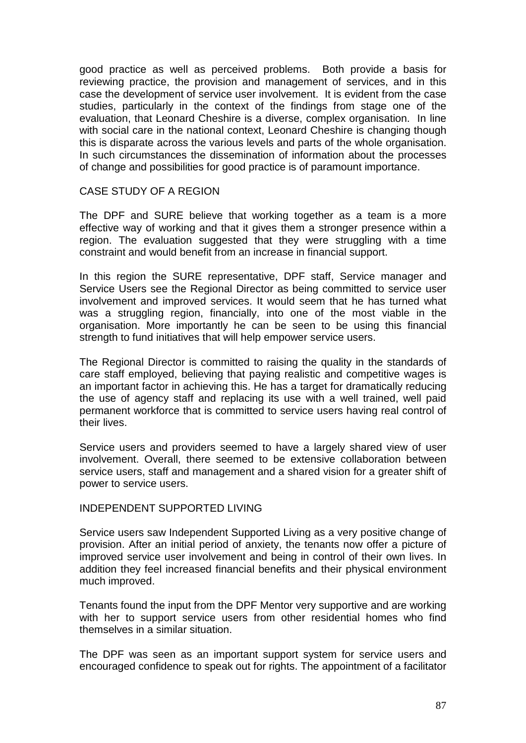good practice as well as perceived problems. Both provide a basis for reviewing practice, the provision and management of services, and in this case the development of service user involvement. It is evident from the case studies, particularly in the context of the findings from stage one of the evaluation, that Leonard Cheshire is a diverse, complex organisation. In line with social care in the national context, Leonard Cheshire is changing though this is disparate across the various levels and parts of the whole organisation. In such circumstances the dissemination of information about the processes of change and possibilities for good practice is of paramount importance.

# CASE STUDY OF A REGION

The DPF and SURE believe that working together as a team is a more effective way of working and that it gives them a stronger presence within a region. The evaluation suggested that they were struggling with a time constraint and would benefit from an increase in financial support.

In this region the SURE representative, DPF staff, Service manager and Service Users see the Regional Director as being committed to service user involvement and improved services. It would seem that he has turned what was a struggling region, financially, into one of the most viable in the organisation. More importantly he can be seen to be using this financial strength to fund initiatives that will help empower service users.

The Regional Director is committed to raising the quality in the standards of care staff employed, believing that paying realistic and competitive wages is an important factor in achieving this. He has a target for dramatically reducing the use of agency staff and replacing its use with a well trained, well paid permanent workforce that is committed to service users having real control of their lives.

Service users and providers seemed to have a largely shared view of user involvement. Overall, there seemed to be extensive collaboration between service users, staff and management and a shared vision for a greater shift of power to service users.

# INDEPENDENT SUPPORTED LIVING

Service users saw Independent Supported Living as a very positive change of provision. After an initial period of anxiety, the tenants now offer a picture of improved service user involvement and being in control of their own lives. In addition they feel increased financial benefits and their physical environment much improved.

Tenants found the input from the DPF Mentor very supportive and are working with her to support service users from other residential homes who find themselves in a similar situation.

The DPF was seen as an important support system for service users and encouraged confidence to speak out for rights. The appointment of a facilitator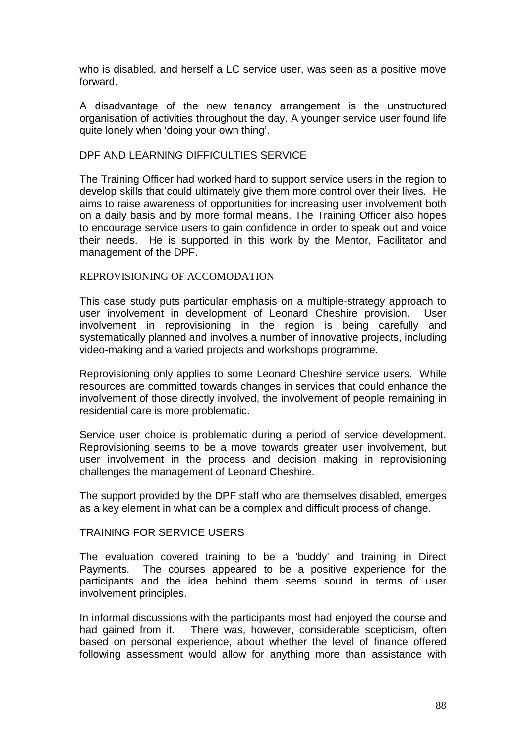who is disabled, and herself a LC service user, was seen as a positive move forward.

A disadvantage of the new tenancy arrangement is the unstructured organisation of activities throughout the day. A younger service user found life quite lonely when 'doing your own thing'.

#### DPF AND LEARNING DIFFICULTIES SERVICE

The Training Officer had worked hard to support service users in the region to develop skills that could ultimately give them more control over their lives. He aims to raise awareness of opportunities for increasing user involvement both on a daily basis and by more formal means. The Training Officer also hopes to encourage service users to gain confidence in order to speak out and voice their needs. He is supported in this work by the Mentor, Facilitator and management of the DPF.

#### REPROVISIONING OF ACCOMODATION

This case study puts particular emphasis on a multiple-strategy approach to user involvement in development of Leonard Cheshire provision. User involvement in reprovisioning in the region is being carefully and systematically planned and involves a number of innovative projects, including video-making and a varied projects and workshops programme.

Reprovisioning only applies to some Leonard Cheshire service users. While resources are committed towards changes in services that could enhance the involvement of those directly involved, the involvement of people remaining in residential care is more problematic.

Service user choice is problematic during a period of service development. Reprovisioning seems to be a move towards greater user involvement, but user involvement in the process and decision making in reprovisioning challenges the management of Leonard Cheshire.

The support provided by the DPF staff who are themselves disabled, emerges as a key element in what can be a complex and difficult process of change.

#### TRAINING FOR SERVICE USERS

The evaluation covered training to be a 'buddy' and training in Direct Payments. The courses appeared to be a positive experience for the participants and the idea behind them seems sound in terms of user involvement principles.

In informal discussions with the participants most had enjoyed the course and had gained from it. There was, however, considerable scepticism, often based on personal experience, about whether the level of finance offered following assessment would allow for anything more than assistance with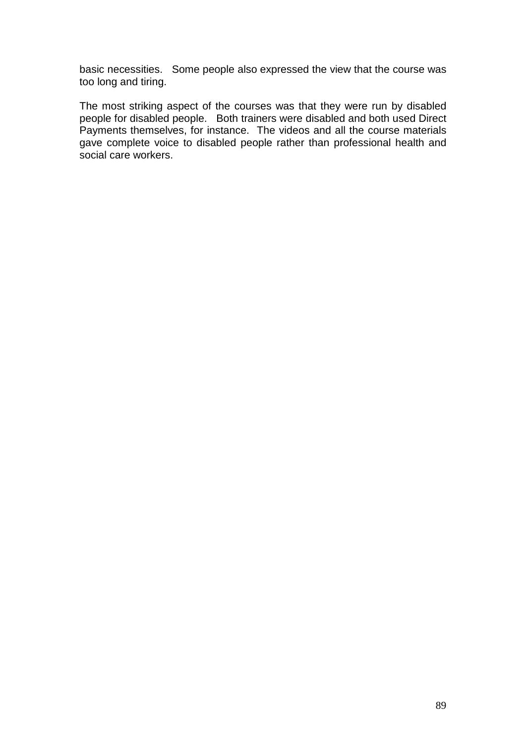basic necessities. Some people also expressed the view that the course was too long and tiring.

The most striking aspect of the courses was that they were run by disabled people for disabled people. Both trainers were disabled and both used Direct Payments themselves, for instance. The videos and all the course materials gave complete voice to disabled people rather than professional health and social care workers.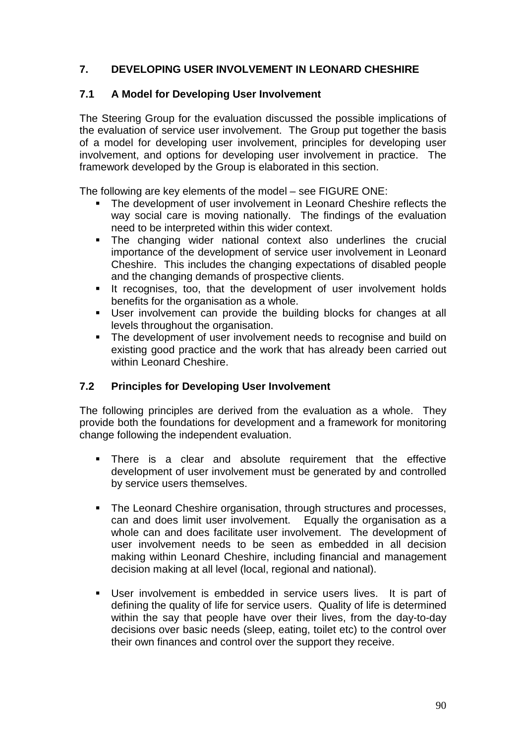# **7. DEVELOPING USER INVOLVEMENT IN LEONARD CHESHIRE**

# **7.1 A Model for Developing User Involvement**

The Steering Group for the evaluation discussed the possible implications of the evaluation of service user involvement. The Group put together the basis of a model for developing user involvement, principles for developing user involvement, and options for developing user involvement in practice. The framework developed by the Group is elaborated in this section.

The following are key elements of the model – see FIGURE ONE:

- The development of user involvement in Leonard Cheshire reflects the way social care is moving nationally. The findings of the evaluation need to be interpreted within this wider context.
- The changing wider national context also underlines the crucial importance of the development of service user involvement in Leonard Cheshire. This includes the changing expectations of disabled people and the changing demands of prospective clients.
- If recognises, too, that the development of user involvement holds benefits for the organisation as a whole.
- User involvement can provide the building blocks for changes at all levels throughout the organisation.
- The development of user involvement needs to recognise and build on existing good practice and the work that has already been carried out within Leonard Cheshire.

# **7.2 Principles for Developing User Involvement**

The following principles are derived from the evaluation as a whole. They provide both the foundations for development and a framework for monitoring change following the independent evaluation.

- There is a clear and absolute requirement that the effective development of user involvement must be generated by and controlled by service users themselves.
- The Leonard Cheshire organisation, through structures and processes, can and does limit user involvement. Equally the organisation as a whole can and does facilitate user involvement. The development of user involvement needs to be seen as embedded in all decision making within Leonard Cheshire, including financial and management decision making at all level (local, regional and national).
- User involvement is embedded in service users lives. It is part of defining the quality of life for service users. Quality of life is determined within the say that people have over their lives, from the day-to-day decisions over basic needs (sleep, eating, toilet etc) to the control over their own finances and control over the support they receive.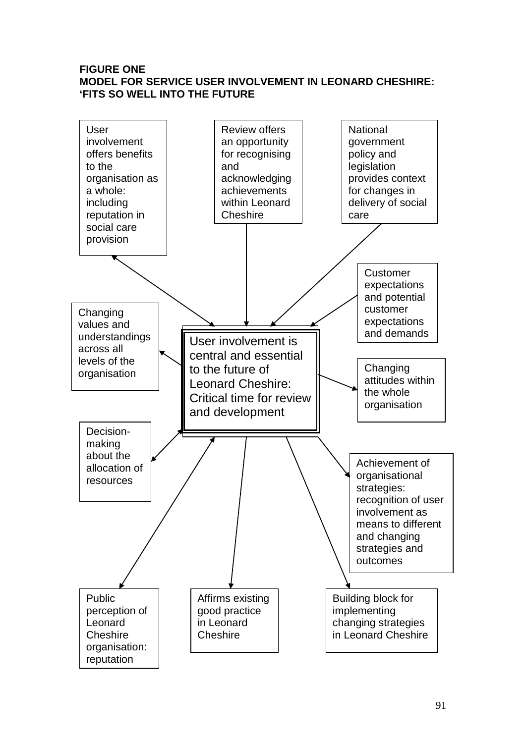# **FIGURE ONE MODEL FOR SERVICE USER INVOLVEMENT IN LEONARD CHESHIRE: 'FITS SO WELL INTO THE FUTURE**

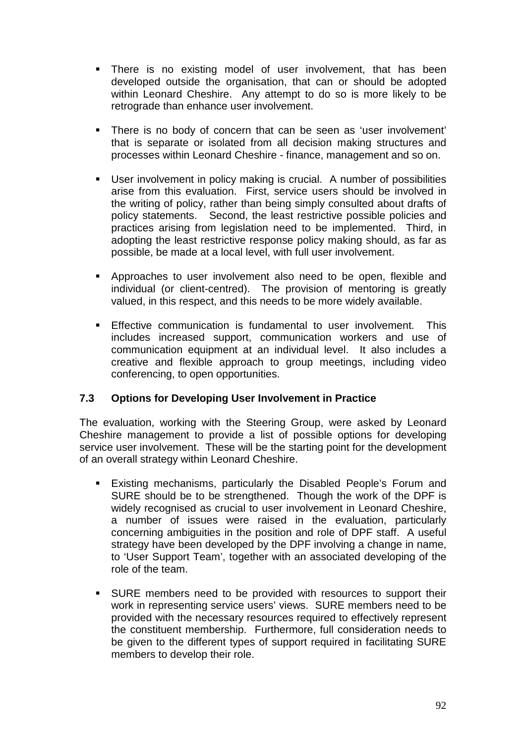- **There is no existing model of user involvement, that has been** developed outside the organisation, that can or should be adopted within Leonard Cheshire. Any attempt to do so is more likely to be retrograde than enhance user involvement.
- There is no body of concern that can be seen as 'user involvement' that is separate or isolated from all decision making structures and processes within Leonard Cheshire - finance, management and so on.
- User involvement in policy making is crucial. A number of possibilities arise from this evaluation. First, service users should be involved in the writing of policy, rather than being simply consulted about drafts of policy statements. Second, the least restrictive possible policies and practices arising from legislation need to be implemented. Third, in adopting the least restrictive response policy making should, as far as possible, be made at a local level, with full user involvement.
- Approaches to user involvement also need to be open, flexible and individual (or client-centred). The provision of mentoring is greatly valued, in this respect, and this needs to be more widely available.
- Effective communication is fundamental to user involvement. This includes increased support, communication workers and use of communication equipment at an individual level. It also includes a creative and flexible approach to group meetings, including video conferencing, to open opportunities.

# **7.3 Options for Developing User Involvement in Practice**

The evaluation, working with the Steering Group, were asked by Leonard Cheshire management to provide a list of possible options for developing service user involvement. These will be the starting point for the development of an overall strategy within Leonard Cheshire.

- Existing mechanisms, particularly the Disabled People's Forum and SURE should be to be strengthened. Though the work of the DPF is widely recognised as crucial to user involvement in Leonard Cheshire, a number of issues were raised in the evaluation, particularly concerning ambiguities in the position and role of DPF staff. A useful strategy have been developed by the DPF involving a change in name, to 'User Support Team', together with an associated developing of the role of the team.
- SURE members need to be provided with resources to support their work in representing service users' views. SURE members need to be provided with the necessary resources required to effectively represent the constituent membership. Furthermore, full consideration needs to be given to the different types of support required in facilitating SURE members to develop their role.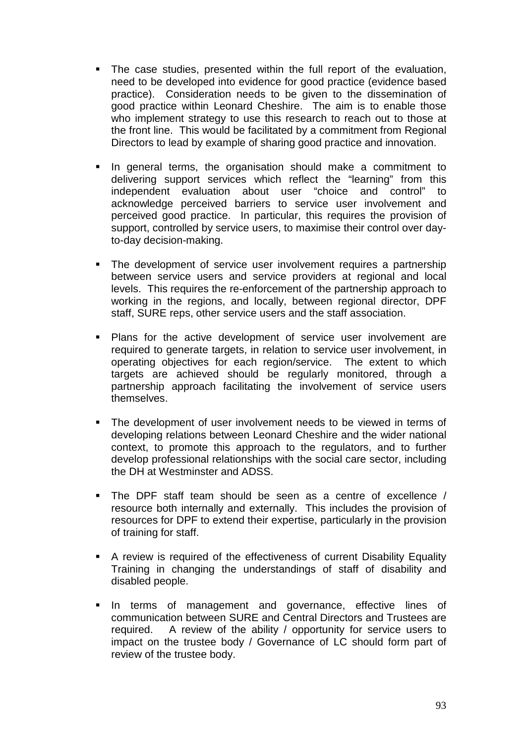- The case studies, presented within the full report of the evaluation, need to be developed into evidence for good practice (evidence based practice). Consideration needs to be given to the dissemination of good practice within Leonard Cheshire. The aim is to enable those who implement strategy to use this research to reach out to those at the front line. This would be facilitated by a commitment from Regional Directors to lead by example of sharing good practice and innovation.
- **In general terms, the organisation should make a commitment to** delivering support services which reflect the "learning" from this independent evaluation about user "choice and control" to acknowledge perceived barriers to service user involvement and perceived good practice. In particular, this requires the provision of support, controlled by service users, to maximise their control over dayto-day decision-making.
- The development of service user involvement requires a partnership between service users and service providers at regional and local levels. This requires the re-enforcement of the partnership approach to working in the regions, and locally, between regional director, DPF staff, SURE reps, other service users and the staff association.
- **Plans for the active development of service user involvement are** required to generate targets, in relation to service user involvement, in operating objectives for each region/service. The extent to which targets are achieved should be regularly monitored, through a partnership approach facilitating the involvement of service users themselves.
- The development of user involvement needs to be viewed in terms of developing relations between Leonard Cheshire and the wider national context, to promote this approach to the regulators, and to further develop professional relationships with the social care sector, including the DH at Westminster and ADSS.
- The DPF staff team should be seen as a centre of excellence / resource both internally and externally. This includes the provision of resources for DPF to extend their expertise, particularly in the provision of training for staff.
- A review is required of the effectiveness of current Disability Equality Training in changing the understandings of staff of disability and disabled people.
- In terms of management and governance, effective lines of communication between SURE and Central Directors and Trustees are required. A review of the ability / opportunity for service users to impact on the trustee body / Governance of LC should form part of review of the trustee body.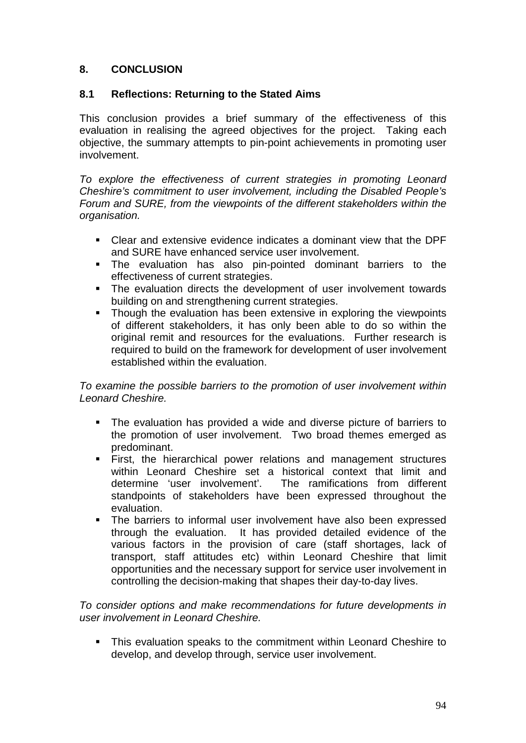# **8. CONCLUSION**

# **8.1 Reflections: Returning to the Stated Aims**

This conclusion provides a brief summary of the effectiveness of this evaluation in realising the agreed objectives for the project. Taking each objective, the summary attempts to pin-point achievements in promoting user involvement.

*To explore the effectiveness of current strategies in promoting Leonard Cheshire's commitment to user involvement, including the Disabled People's Forum and SURE, from the viewpoints of the different stakeholders within the organisation.*

- Clear and extensive evidence indicates a dominant view that the DPF and SURE have enhanced service user involvement.
- The evaluation has also pin-pointed dominant barriers to the effectiveness of current strategies.
- The evaluation directs the development of user involvement towards building on and strengthening current strategies.
- Though the evaluation has been extensive in exploring the viewpoints of different stakeholders, it has only been able to do so within the original remit and resources for the evaluations. Further research is required to build on the framework for development of user involvement established within the evaluation.

# *To examine the possible barriers to the promotion of user involvement within Leonard Cheshire.*

- The evaluation has provided a wide and diverse picture of barriers to the promotion of user involvement. Two broad themes emerged as predominant.
- First, the hierarchical power relations and management structures within Leonard Cheshire set a historical context that limit and determine 'user involvement'. The ramifications from different standpoints of stakeholders have been expressed throughout the evaluation.
- **The barriers to informal user involvement have also been expressed** through the evaluation. It has provided detailed evidence of the various factors in the provision of care (staff shortages, lack of transport, staff attitudes etc) within Leonard Cheshire that limit opportunities and the necessary support for service user involvement in controlling the decision-making that shapes their day-to-day lives.

*To consider options and make recommendations for future developments in user involvement in Leonard Cheshire.*

• This evaluation speaks to the commitment within Leonard Cheshire to develop, and develop through, service user involvement.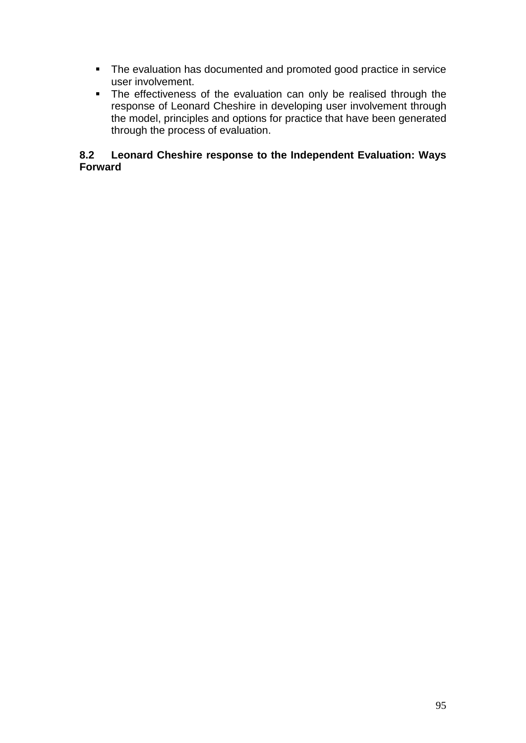- The evaluation has documented and promoted good practice in service user involvement.
- The effectiveness of the evaluation can only be realised through the response of Leonard Cheshire in developing user involvement through the model, principles and options for practice that have been generated through the process of evaluation.

# **8.2 Leonard Cheshire response to the Independent Evaluation: Ways Forward**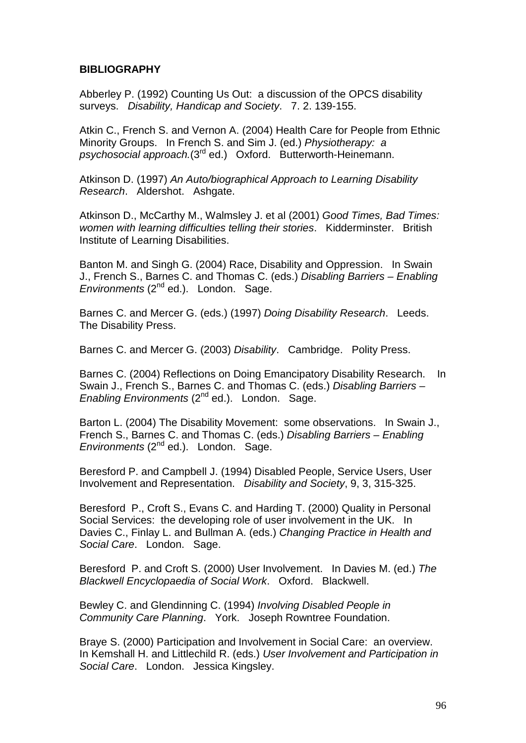# **BIBLIOGRAPHY**

Abberley P. (1992) Counting Us Out: a discussion of the OPCS disability surveys. *Disability, Handicap and Society*. 7. 2. 139-155.

Atkin C., French S. and Vernon A. (2004) Health Care for People from Ethnic Minority Groups. In French S. and Sim J. (ed.) *Physiotherapy: a psychosocial approach.*(3rd ed.) Oxford. Butterworth-Heinemann.

Atkinson D. (1997) *An Auto/biographical Approach to Learning Disability Research*. Aldershot. Ashgate.

Atkinson D., McCarthy M., Walmsley J. et al (2001) *Good Times, Bad Times: women with learning difficulties telling their stories*. Kidderminster. British Institute of Learning Disabilities.

Banton M. and Singh G. (2004) Race, Disability and Oppression. In Swain J., French S., Barnes C. and Thomas C. (eds.) *Disabling Barriers – Enabling Environments* (2<sup>nd</sup> ed.). London. Sage.

Barnes C. and Mercer G. (eds.) (1997) *Doing Disability Research*. Leeds. The Disability Press.

Barnes C. and Mercer G. (2003) *Disability*. Cambridge. Polity Press.

Barnes C. (2004) Reflections on Doing Emancipatory Disability Research. In Swain J., French S., Barnes C. and Thomas C. (eds.) *Disabling Barriers – Enabling Environments* (2<sup>nd</sup> ed.). London. Sage.

Barton L. (2004) The Disability Movement: some observations. In Swain J., French S., Barnes C. and Thomas C. (eds.) *Disabling Barriers – Enabling Environments* (2<sup>nd</sup> ed.). London. Sage.

Beresford P. and Campbell J. (1994) Disabled People, Service Users, User Involvement and Representation. *Disability and Society*, 9, 3, 315-325.

Beresford P., Croft S., Evans C. and Harding T. (2000) Quality in Personal Social Services: the developing role of user involvement in the UK. In Davies C., Finlay L. and Bullman A. (eds.) *Changing Practice in Health and Social Care*. London. Sage.

Beresford P. and Croft S. (2000) User Involvement. In Davies M. (ed.) *The Blackwell Encyclopaedia of Social Work*. Oxford. Blackwell.

Bewley C. and Glendinning C. (1994) *Involving Disabled People in Community Care Planning*. York. Joseph Rowntree Foundation.

Braye S. (2000) Participation and Involvement in Social Care: an overview. In Kemshall H. and Littlechild R. (eds.) *User Involvement and Participation in Social Care*. London. Jessica Kingsley.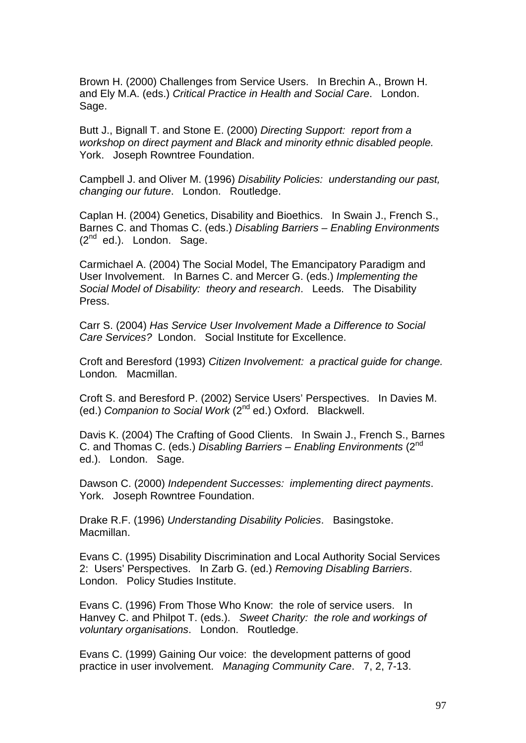Brown H. (2000) Challenges from Service Users. In Brechin A., Brown H. and Ely M.A. (eds.) *Critical Practice in Health and Social Care*. London. Sage.

Butt J., Bignall T. and Stone E. (2000) *Directing Support: report from a workshop on direct payment and Black and minority ethnic disabled people.* York. Joseph Rowntree Foundation.

Campbell J. and Oliver M. (1996) *Disability Policies: understanding our past, changing our future*. London. Routledge.

Caplan H. (2004) Genetics, Disability and Bioethics. In Swain J., French S., Barnes C. and Thomas C. (eds.) *Disabling Barriers – Enabling Environments*  $(2^{nd}$  ed.). London. Sage.

Carmichael A. (2004) The Social Model, The Emancipatory Paradigm and User Involvement. In Barnes C. and Mercer G. (eds.) *Implementing the Social Model of Disability: theory and research*. Leeds. The Disability Press.

Carr S. (2004) *Has Service User Involvement Made a Difference to Social Care Services?* London. Social Institute for Excellence.

Croft and Beresford (1993) *Citizen Involvement: a practical guide for change.*  London*.* Macmillan.

Croft S. and Beresford P. (2002) Service Users' Perspectives. In Davies M. (ed.) *Companion to Social Work* (2nd ed.) Oxford. Blackwell.

Davis K. (2004) The Crafting of Good Clients. In Swain J., French S., Barnes C. and Thomas C. (eds.) *Disabling Barriers – Enabling Environments* (2nd ed.). London. Sage.

Dawson C. (2000) *Independent Successes: implementing direct payments*. York. Joseph Rowntree Foundation.

Drake R.F. (1996) *Understanding Disability Policies*. Basingstoke. Macmillan.

Evans C. (1995) Disability Discrimination and Local Authority Social Services 2: Users' Perspectives. In Zarb G. (ed.) *Removing Disabling Barriers*. London. Policy Studies Institute.

Evans C. (1996) From Those Who Know: the role of service users. In Hanvey C. and Philpot T. (eds.). *Sweet Charity: the role and workings of voluntary organisations*. London. Routledge.

Evans C. (1999) Gaining Our voice: the development patterns of good practice in user involvement. *Managing Community Care*. 7, 2, 7-13.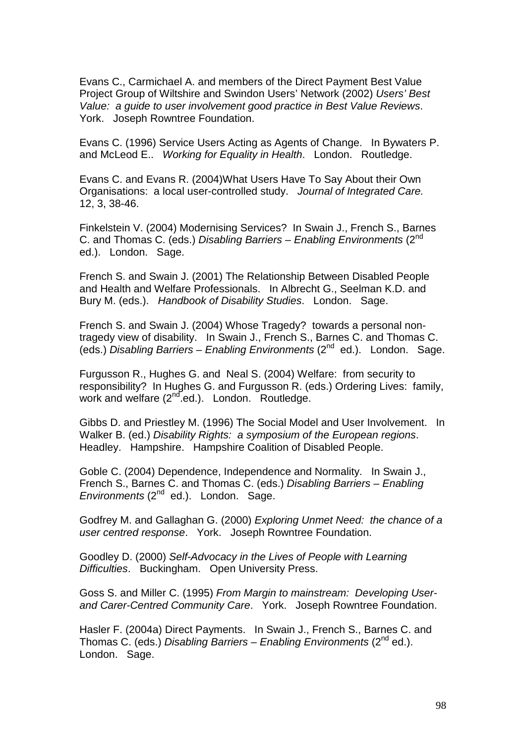Evans C., Carmichael A. and members of the Direct Payment Best Value Project Group of Wiltshire and Swindon Users' Network (2002) *Users' Best Value: a guide to user involvement good practice in Best Value Reviews*. York. Joseph Rowntree Foundation.

Evans C. (1996) Service Users Acting as Agents of Change. In Bywaters P. and McLeod E.. *Working for Equality in Health*. London. Routledge.

Evans C. and Evans R. (2004)What Users Have To Say About their Own Organisations: a local user-controlled study. *Journal of Integrated Care.* 12, 3, 38-46.

Finkelstein V. (2004) Modernising Services? In Swain J., French S., Barnes C. and Thomas C. (eds.) *Disabling Barriers – Enabling Environments* (2nd ed.). London. Sage.

French S. and Swain J. (2001) The Relationship Between Disabled People and Health and Welfare Professionals. In Albrecht G., Seelman K.D. and Bury M. (eds.). *Handbook of Disability Studies*. London. Sage.

French S. and Swain J. (2004) Whose Tragedy? towards a personal nontragedy view of disability. In Swain J., French S., Barnes C. and Thomas C. (eds.) *Disabling Barriers – Enabling Environments* (2<sup>nd</sup> ed.). London. Sage.

Furgusson R., Hughes G. and Neal S. (2004) Welfare: from security to responsibility? In Hughes G. and Furgusson R. (eds.) Ordering Lives: family, work and welfare  $(2^{nd}.ed.)$ . London. Routledge.

Gibbs D. and Priestley M. (1996) The Social Model and User Involvement. In Walker B. (ed.) *Disability Rights: a symposium of the European regions*. Headley. Hampshire. Hampshire Coalition of Disabled People.

Goble C. (2004) Dependence, Independence and Normality. In Swain J., French S., Barnes C. and Thomas C. (eds.) *Disabling Barriers – Enabling Environments* (2nd ed.). London. Sage.

Godfrey M. and Gallaghan G. (2000) *Exploring Unmet Need: the chance of a user centred response*. York. Joseph Rowntree Foundation.

Goodley D. (2000) *Self-Advocacy in the Lives of People with Learning Difficulties*. Buckingham. Open University Press.

Goss S. and Miller C. (1995) *From Margin to mainstream: Developing Userand Carer-Centred Community Care*. York. Joseph Rowntree Foundation.

Hasler F. (2004a) Direct Payments. In Swain J., French S., Barnes C. and Thomas C. (eds.) *Disabling Barriers – Enabling Environments* (2nd ed.). London. Sage.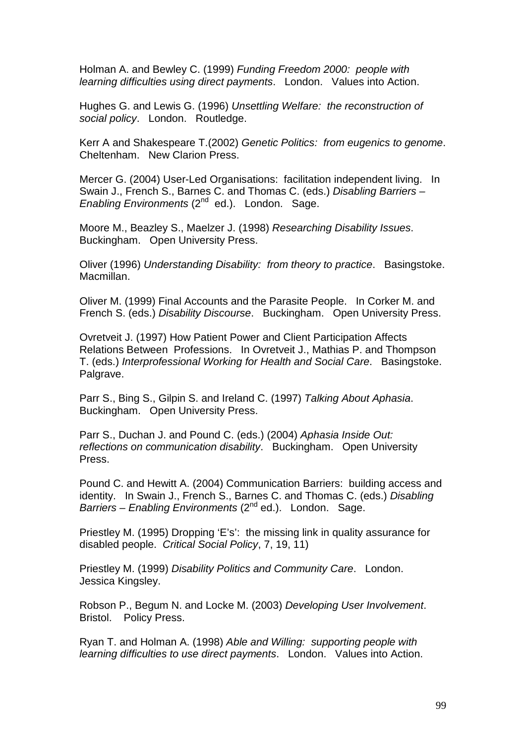Holman A. and Bewley C. (1999) *Funding Freedom 2000: people with learning difficulties using direct payments*. London. Values into Action.

Hughes G. and Lewis G. (1996) *Unsettling Welfare: the reconstruction of social policy*. London. Routledge.

Kerr A and Shakespeare T.(2002) *Genetic Politics: from eugenics to genome*. Cheltenham. New Clarion Press.

Mercer G. (2004) User-Led Organisations: facilitation independent living. In Swain J., French S., Barnes C. and Thomas C. (eds.) *Disabling Barriers – Enabling Environments* (2<sup>nd</sup> ed.). London. Sage.

Moore M., Beazley S., Maelzer J. (1998) *Researching Disability Issues*. Buckingham. Open University Press.

Oliver (1996) *Understanding Disability: from theory to practice*. Basingstoke. Macmillan.

Oliver M. (1999) Final Accounts and the Parasite People. In Corker M. and French S. (eds.) *Disability Discourse*. Buckingham. Open University Press.

Ovretveit J. (1997) How Patient Power and Client Participation Affects Relations Between Professions. In Ovretveit J., Mathias P. and Thompson T. (eds.) *Interprofessional Working for Health and Social Care*. Basingstoke. Palgrave.

Parr S., Bing S., Gilpin S. and Ireland C. (1997) *Talking About Aphasia*. Buckingham. Open University Press.

Parr S., Duchan J. and Pound C. (eds.) (2004) *Aphasia Inside Out: reflections on communication disability*. Buckingham. Open University Press.

Pound C. and Hewitt A. (2004) Communication Barriers: building access and identity. In Swain J., French S., Barnes C. and Thomas C. (eds.) *Disabling Barriers – Enabling Environments* (2nd ed.). London. Sage.

Priestley M. (1995) Dropping 'E's': the missing link in quality assurance for disabled people. *Critical Social Policy*, 7, 19, 11)

Priestley M. (1999) *Disability Politics and Community Care*. London. Jessica Kingsley.

Robson P., Begum N. and Locke M. (2003) *Developing User Involvement*. Bristol. Policy Press.

Ryan T. and Holman A. (1998) *Able and Willing: supporting people with learning difficulties to use direct payments*. London. Values into Action.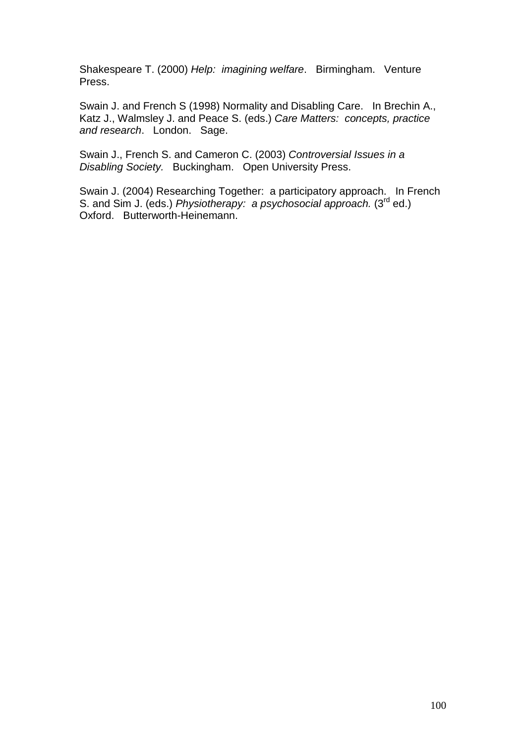Shakespeare T. (2000) *Help: imagining welfare*. Birmingham. Venture Press.

Swain J. and French S (1998) Normality and Disabling Care. In Brechin A., Katz J., Walmsley J. and Peace S. (eds.) *Care Matters: concepts, practice and research*. London. Sage.

Swain J., French S. and Cameron C. (2003) *Controversial Issues in a Disabling Society.* Buckingham. Open University Press.

Swain J. (2004) Researching Together: a participatory approach. In French S. and Sim J. (eds.) *Physiotherapy: a psychosocial approach.* (3<sup>rd</sup> ed.) Oxford. Butterworth-Heinemann.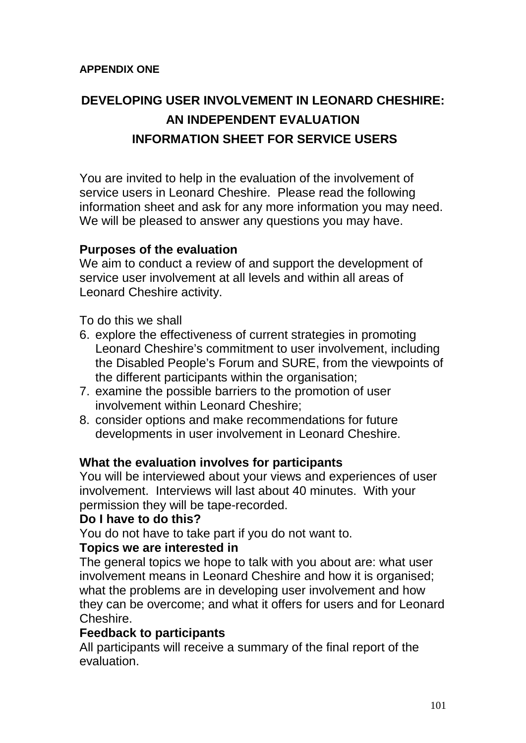# **DEVELOPING USER INVOLVEMENT IN LEONARD CHESHIRE: AN INDEPENDENT EVALUATION INFORMATION SHEET FOR SERVICE USERS**

You are invited to help in the evaluation of the involvement of service users in Leonard Cheshire. Please read the following information sheet and ask for any more information you may need. We will be pleased to answer any questions you may have.

# **Purposes of the evaluation**

We aim to conduct a review of and support the development of service user involvement at all levels and within all areas of Leonard Cheshire activity.

To do this we shall

- 6. explore the effectiveness of current strategies in promoting Leonard Cheshire's commitment to user involvement, including the Disabled People's Forum and SURE, from the viewpoints of the different participants within the organisation;
- 7. examine the possible barriers to the promotion of user involvement within Leonard Cheshire;
- 8. consider options and make recommendations for future developments in user involvement in Leonard Cheshire.

# **What the evaluation involves for participants**

You will be interviewed about your views and experiences of user involvement. Interviews will last about 40 minutes. With your permission they will be tape-recorded.

# **Do I have to do this?**

You do not have to take part if you do not want to.

# **Topics we are interested in**

The general topics we hope to talk with you about are: what user involvement means in Leonard Cheshire and how it is organised; what the problems are in developing user involvement and how they can be overcome; and what it offers for users and for Leonard Cheshire.

# **Feedback to participants**

All participants will receive a summary of the final report of the evaluation.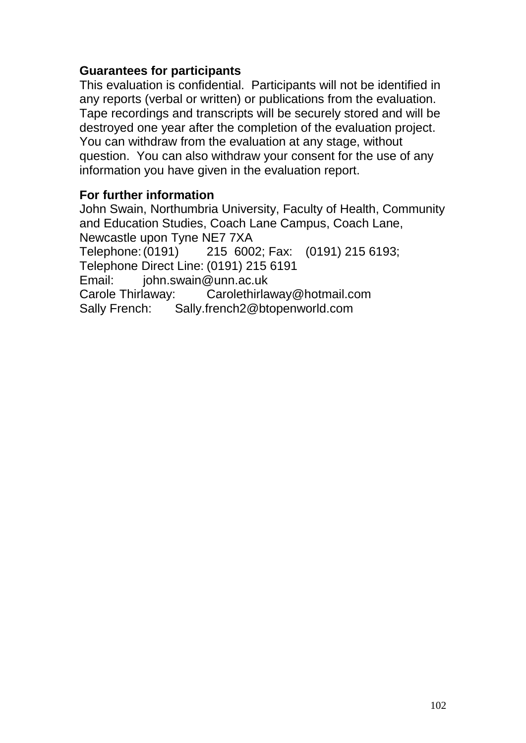# **Guarantees for participants**

This evaluation is confidential. Participants will not be identified in any reports (verbal or written) or publications from the evaluation. Tape recordings and transcripts will be securely stored and will be destroyed one year after the completion of the evaluation project. You can withdraw from the evaluation at any stage, without question. You can also withdraw your consent for the use of any information you have given in the evaluation report.

# **For further information**

John Swain, Northumbria University, Faculty of Health, Community and Education Studies, Coach Lane Campus, Coach Lane, Newcastle upon Tyne NE7 7XA Telephone:(0191) 215 6002; Fax: (0191) 215 6193; Telephone Direct Line: (0191) 215 6191 Email: [john.swain@unn.ac.uk](mailto:john.swain@unn.ac.uk)  Carole Thirlaway: Carolethirlaway@hotmail.com Sally French: [Sally.french2@btopenworld.com](mailto:Sally.french2@btopenworld.com)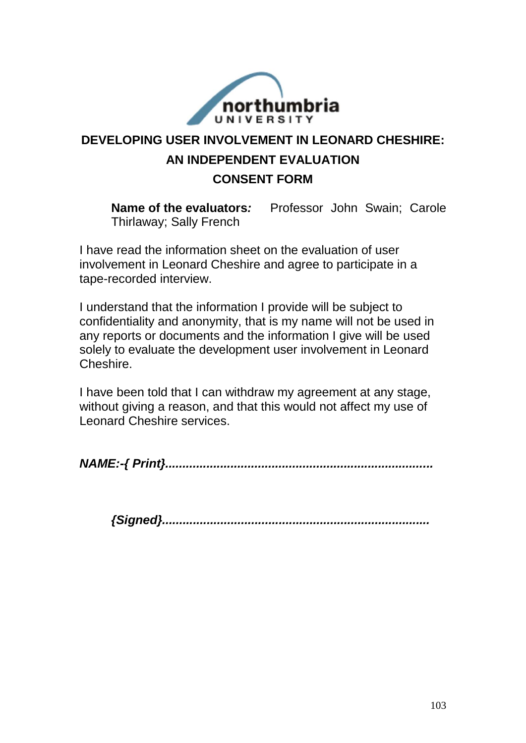

# **DEVELOPING USER INVOLVEMENT IN LEONARD CHESHIRE: AN INDEPENDENT EVALUATION CONSENT FORM**

**Name of the evaluators***:* Professor John Swain; Carole Thirlaway; Sally French

I have read the information sheet on the evaluation of user involvement in Leonard Cheshire and agree to participate in a tape-recorded interview.

I understand that the information I provide will be subject to confidentiality and anonymity, that is my name will not be used in any reports or documents and the information I give will be used solely to evaluate the development user involvement in Leonard Cheshire.

I have been told that I can withdraw my agreement at any stage, without giving a reason, and that this would not affect my use of Leonard Cheshire services.

*NAME:-{ Print}..............................................................................*

*{Signed}..............................................................................*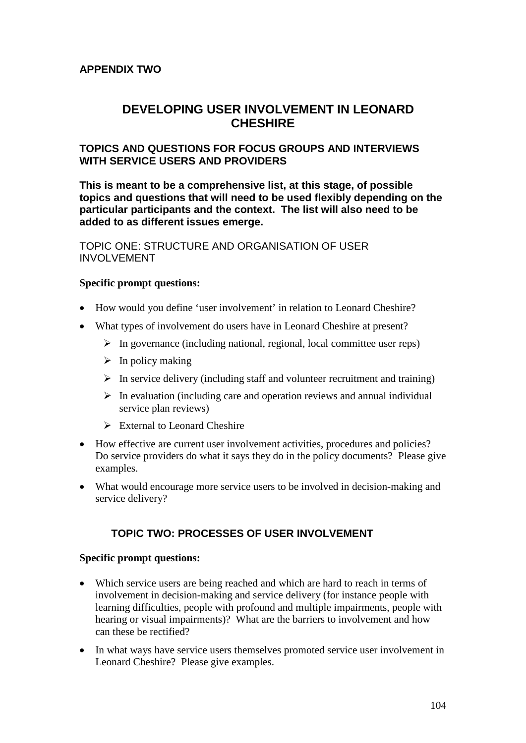# **APPENDIX TWO**

# **DEVELOPING USER INVOLVEMENT IN LEONARD CHESHIRE**

# **TOPICS AND QUESTIONS FOR FOCUS GROUPS AND INTERVIEWS WITH SERVICE USERS AND PROVIDERS**

**This is meant to be a comprehensive list, at this stage, of possible topics and questions that will need to be used flexibly depending on the particular participants and the context. The list will also need to be added to as different issues emerge.**

TOPIC ONE: STRUCTURE AND ORGANISATION OF USER INVOLVEMENT

#### **Specific prompt questions:**

- How would you define 'user involvement' in relation to Leonard Cheshire?
- What types of involvement do users have in Leonard Cheshire at present?
	- $\triangleright$  In governance (including national, regional, local committee user reps)
	- $\triangleright$  In policy making
	- $\triangleright$  In service delivery (including staff and volunteer recruitment and training)
	- $\triangleright$  In evaluation (including care and operation reviews and annual individual service plan reviews)
	- External to Leonard Cheshire
- How effective are current user involvement activities, procedures and policies? Do service providers do what it says they do in the policy documents? Please give examples.
- What would encourage more service users to be involved in decision-making and service delivery?

# **TOPIC TWO: PROCESSES OF USER INVOLVEMENT**

#### **Specific prompt questions:**

- Which service users are being reached and which are hard to reach in terms of involvement in decision-making and service delivery (for instance people with learning difficulties, people with profound and multiple impairments, people with hearing or visual impairments)? What are the barriers to involvement and how can these be rectified?
- In what ways have service users themselves promoted service user involvement in Leonard Cheshire? Please give examples.